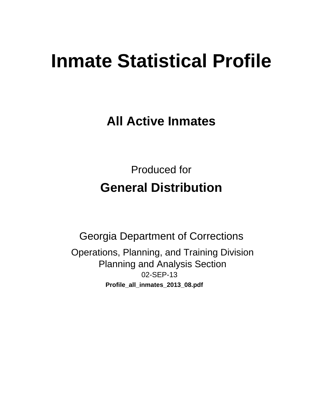# **Inmate Statistical Profile**

**All Active Inmates** 

**Produced for General Distribution** 

**Georgia Department of Corrections** Operations, Planning, and Training Division **Planning and Analysis Section** 02-SEP-13 Profile\_all\_inmates\_2013\_08.pdf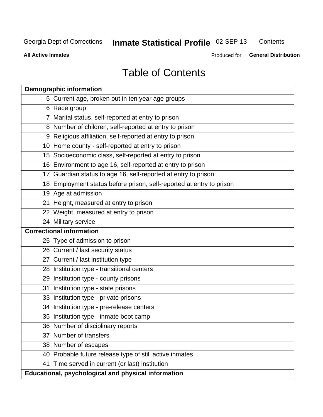# Inmate Statistical Profile 02-SEP-13

Contents

**All Active Inmates** 

Produced for General Distribution

# **Table of Contents**

|    | <b>Demographic information</b>                                       |
|----|----------------------------------------------------------------------|
|    | 5 Current age, broken out in ten year age groups                     |
|    | 6 Race group                                                         |
|    | 7 Marital status, self-reported at entry to prison                   |
|    | 8 Number of children, self-reported at entry to prison               |
|    | 9 Religious affiliation, self-reported at entry to prison            |
|    | 10 Home county - self-reported at entry to prison                    |
|    | 15 Socioeconomic class, self-reported at entry to prison             |
|    | 16 Environment to age 16, self-reported at entry to prison           |
|    | 17 Guardian status to age 16, self-reported at entry to prison       |
|    | 18 Employment status before prison, self-reported at entry to prison |
|    | 19 Age at admission                                                  |
|    | 21 Height, measured at entry to prison                               |
|    | 22 Weight, measured at entry to prison                               |
|    | 24 Military service                                                  |
|    | <b>Correctional information</b>                                      |
|    | 25 Type of admission to prison                                       |
|    | 26 Current / last security status                                    |
|    | 27 Current / last institution type                                   |
|    | 28 Institution type - transitional centers                           |
|    | 29 Institution type - county prisons                                 |
| 31 | Institution type - state prisons                                     |
|    | 33 Institution type - private prisons                                |
|    | 34 Institution type - pre-release centers                            |
|    | 35 Institution type - inmate boot camp                               |
|    | 36 Number of disciplinary reports                                    |
|    | 37 Number of transfers                                               |
|    | 38 Number of escapes                                                 |
|    | 40 Probable future release type of still active inmates              |
|    | 41 Time served in current (or last) institution                      |
|    | Educational, psychological and physical information                  |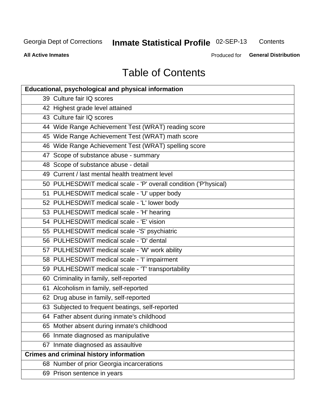# Inmate Statistical Profile 02-SEP-13

Contents

**All Active Inmates** 

Produced for General Distribution

# **Table of Contents**

| <b>Educational, psychological and physical information</b>       |
|------------------------------------------------------------------|
| 39 Culture fair IQ scores                                        |
| 42 Highest grade level attained                                  |
| 43 Culture fair IQ scores                                        |
| 44 Wide Range Achievement Test (WRAT) reading score              |
| 45 Wide Range Achievement Test (WRAT) math score                 |
| 46 Wide Range Achievement Test (WRAT) spelling score             |
| 47 Scope of substance abuse - summary                            |
| 48 Scope of substance abuse - detail                             |
| 49 Current / last mental health treatment level                  |
| 50 PULHESDWIT medical scale - 'P' overall condition ('P'hysical) |
| 51 PULHESDWIT medical scale - 'U' upper body                     |
| 52 PULHESDWIT medical scale - 'L' lower body                     |
| 53 PULHESDWIT medical scale - 'H' hearing                        |
| 54 PULHESDWIT medical scale - 'E' vision                         |
| 55 PULHESDWIT medical scale -'S' psychiatric                     |
| 56 PULHESDWIT medical scale - 'D' dental                         |
| 57 PULHESDWIT medical scale - 'W' work ability                   |
| 58 PULHESDWIT medical scale - 'I' impairment                     |
| 59 PULHESDWIT medical scale - 'T' transportability               |
| 60 Criminality in family, self-reported                          |
| 61 Alcoholism in family, self-reported                           |
| 62 Drug abuse in family, self-reported                           |
| 63 Subjected to frequent beatings, self-reported                 |
| 64 Father absent during inmate's childhood                       |
| 65 Mother absent during inmate's childhood                       |
| 66 Inmate diagnosed as manipulative                              |
| 67 Inmate diagnosed as assaultive                                |
| <b>Crimes and criminal history information</b>                   |
| 68 Number of prior Georgia incarcerations                        |
| 69 Prison sentence in years                                      |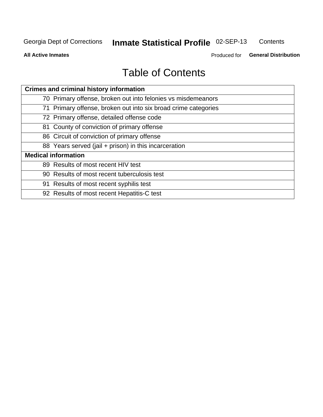### Inmate Statistical Profile 02-SEP-13 Contents

**All Active Inmates** 

Produced for General Distribution

# **Table of Contents**

| <b>Crimes and criminal history information</b>                 |
|----------------------------------------------------------------|
| 70 Primary offense, broken out into felonies vs misdemeanors   |
| 71 Primary offense, broken out into six broad crime categories |
| 72 Primary offense, detailed offense code                      |
| 81 County of conviction of primary offense                     |
| 86 Circuit of conviction of primary offense                    |
| 88 Years served (jail + prison) in this incarceration          |
| <b>Medical information</b>                                     |
| 89 Results of most recent HIV test                             |
| 90 Results of most recent tuberculosis test                    |
| 91 Results of most recent syphilis test                        |
| 92 Results of most recent Hepatitis-C test                     |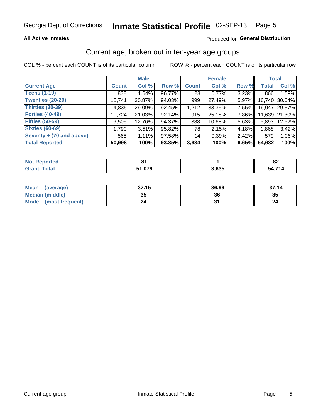### **All Active Inmates**

### Produced for General Distribution

### Current age, broken out in ten-year age groups

COL % - percent each COUNT is of its particular column

|                          |              | <b>Male</b> |        |                 | <b>Female</b> |          |              | <b>Total</b>  |
|--------------------------|--------------|-------------|--------|-----------------|---------------|----------|--------------|---------------|
| <b>Current Age</b>       | <b>Count</b> | Col %       | Row %  | <b>Count</b>    | Col %         | Row %    | <b>Total</b> | Col %         |
| <b>Teens (1-19)</b>      | 838          | 1.64%       | 96.77% | 28 <sub>1</sub> | 0.77%         | 3.23%    | 866          | 1.59%         |
| <b>Twenties (20-29)</b>  | 15,741       | 30.87%      | 94.03% | 999             | 27.49%        | 5.97%    | 16,740       | 30.64%        |
| <b>Thirties (30-39)</b>  | 14,835       | 29.09%      | 92.45% | 1,212           | 33.35%        | 7.55%    | 16.047       | 29.37%        |
| <b>Forties (40-49)</b>   | 10,724       | 21.03%      | 92.14% | 915             | 25.18%        | 7.86%    |              | 11,639 21.30% |
| <b>Fifties (50-59)</b>   | 6,505        | 12.76%      | 94.37% | 388             | 10.68%        | 5.63%    | 6,893        | 12.62%        |
| <b>Sixties (60-69)</b>   | 1,790        | 3.51%       | 95.82% | 78              | 2.15%         | 4.18%    | 1,868        | 3.42%         |
| Seventy + (70 and above) | 565          | 1.11%       | 97.58% | 14              | 0.39%         | $2.42\%$ | 579          | 1.06%         |
| <b>Total Reported</b>    | 50,998       | 100%        | 93.35% | 3,634           | 100%          | 6.65%    | 54,632       | 100%          |

| <b>Not Reported</b> | .    |       | o۹<br>0Z      |
|---------------------|------|-------|---------------|
| Total               | .27c | 3,635 | $\rightarrow$ |

| <b>Mean</b><br>(average)       | 37.15    | 36.99 | 37.14 |
|--------------------------------|----------|-------|-------|
| Median (middle)                | つん<br>vu | 36    | 35    |
| <b>Mode</b><br>(most frequent) | 24       |       |       |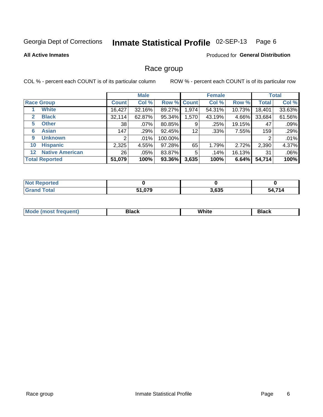### Inmate Statistical Profile 02-SEP-13 Page 6

### **All Active Inmates**

### **Produced for General Distribution**

### Race group

COL % - percent each COUNT is of its particular column

|                       |                        |              | <b>Male</b> |             |       | <b>Female</b> |        |              | <b>Total</b> |
|-----------------------|------------------------|--------------|-------------|-------------|-------|---------------|--------|--------------|--------------|
| <b>Race Group</b>     |                        | <b>Count</b> | Col %       | Row % Count |       | Col %         | Row %  | <b>Total</b> | Col %        |
|                       | <b>White</b>           | 16,427       | 32.16%      | 89.27%      | .974  | 54.31%        | 10.73% | 18,401       | 33.63%       |
| $\mathbf{2}$          | <b>Black</b>           | 32,114       | 62.87%      | 95.34%      | .570  | 43.19%        | 4.66%  | 33,684       | 61.56%       |
| 5                     | <b>Other</b>           | 38           | .07%        | 80.85%      | 9     | .25%          | 19.15% | 47           | .09%         |
| 6                     | <b>Asian</b>           | 147          | .29%        | 92.45%      | 12    | .33%          | 7.55%  | 159          | .29%         |
| 9                     | <b>Unknown</b>         | 2            | .01%        | 100.00%     |       |               |        | 2            | .01%         |
| 10                    | <b>Hispanic</b>        | 2,325        | 4.55%       | 97.28%      | 65    | 1.79%         | 2.72%  | 2,390        | 4.37%        |
| 12 <sub>2</sub>       | <b>Native American</b> | 26           | .05%        | 83.87%      | 5     | .14%          | 16.13% | 31           | .06%         |
| <b>Total Reported</b> |                        | 51,079       | 100%        | 93.36%      | 3,635 | 100%          | 6.64%  | 54,714       | 100%         |

| <b>Not</b><br><b>Reported</b> |        |       |        |
|-------------------------------|--------|-------|--------|
| <b>Total</b>                  | 51,079 | 3,635 | 54,714 |

| M.<br>____ | . | ------- |
|------------|---|---------|
|            |   |         |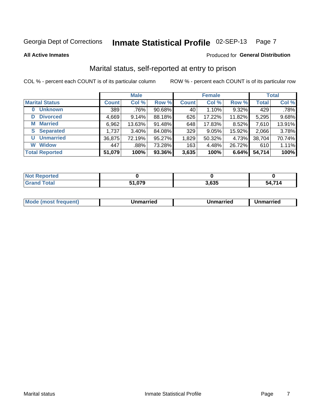### Inmate Statistical Profile 02-SEP-13 Page 7

**All Active Inmates** 

### Produced for General Distribution

# Marital status, self-reported at entry to prison

COL % - percent each COUNT is of its particular column

|                       |              | <b>Male</b> |        |              | <b>Female</b> |        |              | <b>Total</b> |
|-----------------------|--------------|-------------|--------|--------------|---------------|--------|--------------|--------------|
| <b>Marital Status</b> | <b>Count</b> | Col %       | Row %  | <b>Count</b> | Col %         | Row %  | <b>Total</b> | Col %        |
| <b>Unknown</b><br>0   | 389          | .76%        | 90.68% | 40           | 1.10%         | 9.32%  | 429          | .78%         |
| <b>Divorced</b><br>D  | 4,669        | 9.14%       | 88.18% | 626          | 17.22%        | 11.82% | 5,295        | 9.68%        |
| <b>Married</b><br>М   | 6,962        | 13.63%      | 91.48% | 648          | 17.83%        | 8.52%  | 7,610        | 13.91%       |
| <b>Separated</b><br>S | 1,737        | 3.40%       | 84.08% | 329          | 9.05%         | 15.92% | 2,066        | 3.78%        |
| <b>Unmarried</b><br>U | 36,875       | 72.19%      | 95.27% | 1,829        | 50.32%        | 4.73%  | 38,704       | 70.74%       |
| <b>Widow</b><br>W     | 447          | .88%        | 73.28% | 163          | 4.48%         | 26.72% | 610          | 1.11%        |
| <b>Total Reported</b> | 51,079       | 100%        | 93.36% | 3,635        | 100%          | 6.64%  | 54,714       | 100%         |

| N <sub>of</sub><br>ੋ"∩rted |                    |        |      |
|----------------------------|--------------------|--------|------|
| <b>Total</b>               | $\sim$ 0.70 $\sim$ | $\sim$ | 74.4 |

|--|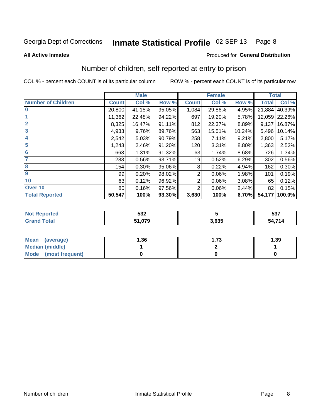### Inmate Statistical Profile 02-SEP-13 Page 8

**All Active Inmates** 

### **Produced for General Distribution**

# Number of children, self reported at entry to prison

COL % - percent each COUNT is of its particular column

|                           |              | <b>Male</b> |        | <b>Female</b>  |        |        | <b>Total</b> |        |
|---------------------------|--------------|-------------|--------|----------------|--------|--------|--------------|--------|
| <b>Number of Children</b> | <b>Count</b> | Col %       | Row %  | <b>Count</b>   | Col %  | Row %  | <b>Total</b> | Col %  |
| $\bf{0}$                  | 20,800       | 41.15%      | 95.05% | 1,084          | 29.86% | 4.95%  | 21,884       | 40.39% |
|                           | 11,362       | 22.48%      | 94.22% | 697            | 19.20% | 5.78%  | 12,059       | 22.26% |
| $\overline{2}$            | 8,325        | 16.47%      | 91.11% | 812            | 22.37% | 8.89%  | 9,137        | 16.87% |
| 3                         | 4,933        | 9.76%       | 89.76% | 563            | 15.51% | 10.24% | 5,496        | 10.14% |
| 4                         | 2,542        | 5.03%       | 90.79% | 258            | 7.11%  | 9.21%  | 2,800        | 5.17%  |
| 5                         | 1,243        | 2.46%       | 91.20% | 120            | 3.31%  | 8.80%  | 1,363        | 2.52%  |
| $6\phantom{1}6$           | 663          | 1.31%       | 91.32% | 63             | 1.74%  | 8.68%  | 726          | 1.34%  |
| 7                         | 283          | 0.56%       | 93.71% | 19             | 0.52%  | 6.29%  | 302          | 0.56%  |
| 8                         | 154          | $0.30\%$    | 95.06% | 8              | 0.22%  | 4.94%  | 162          | 0.30%  |
| $\boldsymbol{9}$          | 99           | 0.20%       | 98.02% | 2              | 0.06%  | 1.98%  | 101          | 0.19%  |
| 10                        | 63           | 0.12%       | 96.92% | $\overline{2}$ | 0.06%  | 3.08%  | 65           | 0.12%  |
| Over 10                   | 80           | 0.16%       | 97.56% | 2              | 0.06%  | 2.44%  | 82           | 0.15%  |
| <b>Total Reported</b>     | 50,547       | 100%        | 93.30% | 3,630          | 100%   | 6.70%  | 54,177       | 100.0% |

| ттес | につつ          |       | F27    |
|------|--------------|-------|--------|
| NG   | ວວ∠          |       | ວວກ    |
|      | 51 07Q<br>.м | 3,635 | 54,714 |

| <b>Mean</b><br>(average)       | 1.36 | 1.73 | 1.39 |
|--------------------------------|------|------|------|
| Median (middle)                |      |      |      |
| <b>Mode</b><br>(most frequent) |      |      |      |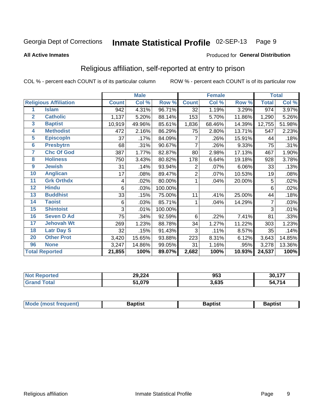#### Inmate Statistical Profile 02-SEP-13 Page 9

### **All Active Inmates**

### Produced for General Distribution

### Religious affiliation, self-reported at entry to prison

COL % - percent each COUNT is of its particular column

|                         |                              |              | <b>Male</b> |         |              | <b>Female</b> |        |              | <b>Total</b> |
|-------------------------|------------------------------|--------------|-------------|---------|--------------|---------------|--------|--------------|--------------|
|                         | <b>Religious Affiliation</b> | <b>Count</b> | Col %       | Row %   | <b>Count</b> | Col %         | Row %  | <b>Total</b> | Col %        |
| 1                       | <b>Islam</b>                 | 942          | 4.31%       | 96.71%  | 32           | 1.19%         | 3.29%  | 974          | 3.97%        |
| $\mathbf{2}$            | <b>Catholic</b>              | 1,137        | 5.20%       | 88.14%  | 153          | 5.70%         | 11.86% | 1,290        | 5.26%        |
| $\overline{\mathbf{3}}$ | <b>Baptist</b>               | 10,919       | 49.96%      | 85.61%  | 1,836        | 68.46%        | 14.39% | 12,755       | 51.98%       |
| $\overline{\mathbf{4}}$ | <b>Methodist</b>             | 472          | 2.16%       | 86.29%  | 75           | 2.80%         | 13.71% | 547          | 2.23%        |
| $\overline{\mathbf{5}}$ | <b>EpiscopIn</b>             | 37           | .17%        | 84.09%  | 7            | .26%          | 15.91% | 44           | .18%         |
| $6\overline{6}$         | <b>Presbytrn</b>             | 68           | .31%        | 90.67%  | 7            | .26%          | 9.33%  | 75           | .31%         |
| 7                       | <b>Chc Of God</b>            | 387          | 1.77%       | 82.87%  | 80           | 2.98%         | 17.13% | 467          | 1.90%        |
| 8                       | <b>Holiness</b>              | 750          | 3.43%       | 80.82%  | 178          | 6.64%         | 19.18% | 928          | 3.78%        |
| 9                       | <b>Jewish</b>                | 31           | .14%        | 93.94%  | 2            | .07%          | 6.06%  | 33           | .13%         |
| 10                      | <b>Anglican</b>              | 17           | .08%        | 89.47%  | 2            | .07%          | 10.53% | 19           | .08%         |
| 11                      | <b>Grk Orthdx</b>            | 4            | .02%        | 80.00%  |              | .04%          | 20.00% | 5            | .02%         |
| 12                      | <b>Hindu</b>                 | 6            | .03%        | 100.00% |              |               |        | 6            | .02%         |
| 13                      | <b>Buddhist</b>              | 33           | .15%        | 75.00%  | 11           | .41%          | 25.00% | 44           | .18%         |
| 14                      | <b>Taoist</b>                | 6            | .03%        | 85.71%  | 1            | .04%          | 14.29% | 7            | .03%         |
| 15                      | <b>Shintoist</b>             | 3            | .01%        | 100.00% |              |               |        | 3            | .01%         |
| 16                      | <b>Seven D Ad</b>            | 75           | .34%        | 92.59%  | 6            | .22%          | 7.41%  | 81           | .33%         |
| $\overline{17}$         | <b>Jehovah Wt</b>            | 269          | 1.23%       | 88.78%  | 34           | 1.27%         | 11.22% | 303          | 1.23%        |
| 18                      | <b>Latr Day S</b>            | 32           | .15%        | 91.43%  | 3            | .11%          | 8.57%  | 35           | .14%         |
| 20                      | <b>Other Prot</b>            | 3,420        | 15.65%      | 93.88%  | 223          | 8.31%         | 6.12%  | 3,643        | 14.85%       |
| 96                      | <b>None</b>                  | 3,247        | 14.86%      | 99.05%  | 31           | 1.16%         | .95%   | 3,278        | 13.36%       |
|                         | <b>Total Reported</b>        | 21,855       | 100%        | 89.07%  | 2,682        | 100%          | 10.93% | 24,537       | 100%         |

| 29,224     | 953   | 477<br>30 |
|------------|-------|-----------|
| በ70<br>E4. | 3,635 | 54 714    |

| Mode (most frequent) | Baptist | Baptist | <b>Baptist</b> |
|----------------------|---------|---------|----------------|
|                      |         |         |                |
|                      |         |         |                |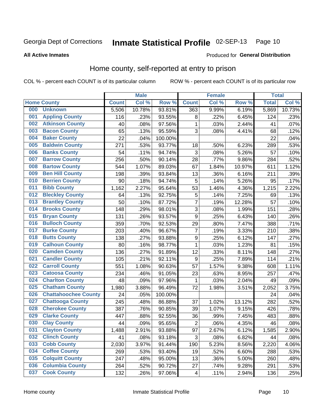#### Inmate Statistical Profile 02-SEP-13 Page 10

**All Active Inmates** 

### Produced for General Distribution

### Home county, self-reported at entry to prison

COL % - percent each COUNT is of its particular column

|     |                             |              | <b>Male</b> |                  |                         | <b>Female</b> |        | <b>Total</b> |        |
|-----|-----------------------------|--------------|-------------|------------------|-------------------------|---------------|--------|--------------|--------|
|     | <b>Home County</b>          | <b>Count</b> | Col %       | Row <sup>%</sup> | <b>Count</b>            | Col %         | Row %  | <b>Total</b> | Col %  |
| 000 | <b>Unknown</b>              | 5,506        | 10.78%      | 93.81%           | 363                     | 9.99%         | 6.19%  | 5,869        | 10.73% |
| 001 | <b>Appling County</b>       | 116          | .23%        | 93.55%           | 8                       | .22%          | 6.45%  | 124          | .23%   |
| 002 | <b>Atkinson County</b>      | 40           | .08%        | 97.56%           | 1                       | .03%          | 2.44%  | 41           | .07%   |
| 003 | <b>Bacon County</b>         | 65           | .13%        | 95.59%           | 3                       | .08%          | 4.41%  | 68           | .12%   |
| 004 | <b>Baker County</b>         | 22           | .04%        | 100.00%          |                         |               |        | 22           | .04%   |
| 005 | <b>Baldwin County</b>       | 271          | .53%        | 93.77%           | 18                      | .50%          | 6.23%  | 289          | .53%   |
| 006 | <b>Banks County</b>         | 54           | .11%        | 94.74%           | $\mathbf{3}$            | .08%          | 5.26%  | 57           | .10%   |
| 007 | <b>Barrow County</b>        | 256          | .50%        | 90.14%           | 28                      | .77%          | 9.86%  | 284          | .52%   |
| 008 | <b>Bartow County</b>        | 544          | 1.07%       | 89.03%           | 67                      | 1.84%         | 10.97% | 611          | 1.12%  |
| 009 | <b>Ben Hill County</b>      | 198          | .39%        | 93.84%           | 13                      | .36%          | 6.16%  | 211          | .39%   |
| 010 | <b>Berrien County</b>       | 90           | .18%        | 94.74%           | 5                       | .14%          | 5.26%  | 95           | .17%   |
| 011 | <b>Bibb County</b>          | 1,162        | 2.27%       | 95.64%           | 53                      | 1.46%         | 4.36%  | 1,215        | 2.22%  |
| 012 | <b>Bleckley County</b>      | 64           | .13%        | 92.75%           | 5                       | .14%          | 7.25%  | 69           | .13%   |
| 013 | <b>Brantley County</b>      | 50           | .10%        | 87.72%           | $\overline{7}$          | .19%          | 12.28% | 57           | .10%   |
| 014 | <b>Brooks County</b>        | 148          | .29%        | 98.01%           | $\overline{3}$          | .08%          | 1.99%  | 151          | .28%   |
| 015 | <b>Bryan County</b>         | 131          | .26%        | 93.57%           | $\boldsymbol{9}$        | .25%          | 6.43%  | 140          | .26%   |
| 016 | <b>Bulloch County</b>       | 359          | .70%        | 92.53%           | 29                      | .80%          | 7.47%  | 388          | .71%   |
| 017 | <b>Burke County</b>         | 203          | .40%        | 96.67%           | 7                       | .19%          | 3.33%  | 210          | .38%   |
| 018 | <b>Butts County</b>         | 138          | .27%        | 93.88%           | $\boldsymbol{9}$        | .25%          | 6.12%  | 147          | .27%   |
| 019 | <b>Calhoun County</b>       | 80           | .16%        | 98.77%           | $\mathbf{1}$            | .03%          | 1.23%  | 81           | .15%   |
| 020 | <b>Camden County</b>        | 136          | .27%        | 91.89%           | 12                      | .33%          | 8.11%  | 148          | .27%   |
| 021 | <b>Candler County</b>       | 105          | .21%        | 92.11%           | $\boldsymbol{9}$        | .25%          | 7.89%  | 114          | .21%   |
| 022 | <b>Carroll County</b>       | 551          | 1.08%       | 90.63%           | 57                      | 1.57%         | 9.38%  | 608          | 1.11%  |
| 023 | <b>Catoosa County</b>       | 234          | .46%        | 91.05%           | 23                      | .63%          | 8.95%  | 257          | .47%   |
| 024 | <b>Charlton County</b>      | 48           | .09%        | 97.96%           | 1                       | .03%          | 2.04%  | 49           | .09%   |
| 025 | <b>Chatham County</b>       | 1,980        | 3.88%       | 96.49%           | 72                      | 1.98%         | 3.51%  | 2,052        | 3.75%  |
| 026 | <b>Chattahoochee County</b> | 24           | .05%        | 100.00%          |                         |               |        | 24           | .04%   |
| 027 | <b>Chattooga County</b>     | 245          | .48%        | 86.88%           | 37                      | 1.02%         | 13.12% | 282          | .52%   |
| 028 | <b>Cherokee County</b>      | 387          | .76%        | 90.85%           | 39                      | 1.07%         | 9.15%  | 426          | .78%   |
| 029 | <b>Clarke County</b>        | 447          | .88%        | 92.55%           | 36                      | .99%          | 7.45%  | 483          | .88%   |
| 030 | <b>Clay County</b>          | 44           | .09%        | 95.65%           | $\overline{2}$          | .06%          | 4.35%  | 46           | .08%   |
| 031 | <b>Clayton County</b>       | 1,488        | 2.91%       | 93.88%           | 97                      | 2.67%         | 6.12%  | 1,585        | 2.90%  |
| 032 | <b>Clinch County</b>        | 41           | .08%        | 93.18%           | 3                       | .08%          | 6.82%  | 44           | .08%   |
| 033 | <b>Cobb County</b>          | 2,030        | 3.97%       | 91.44%           | 190                     | 5.23%         | 8.56%  | 2,220        | 4.06%  |
| 034 | <b>Coffee County</b>        | 269          | .53%        | 93.40%           | 19                      | .52%          | 6.60%  | 288          | .53%   |
| 035 | <b>Colquitt County</b>      | 247          | .48%        | 95.00%           | 13                      | .36%          | 5.00%  | 260          | .48%   |
| 036 | <b>Columbia County</b>      | 264          | .52%        | 90.72%           | 27                      | .74%          | 9.28%  | 291          | .53%   |
| 037 | <b>Cook County</b>          | 132          | .26%        | 97.06%           | $\overline{\mathbf{4}}$ | .11%          | 2.94%  | 136          | .25%   |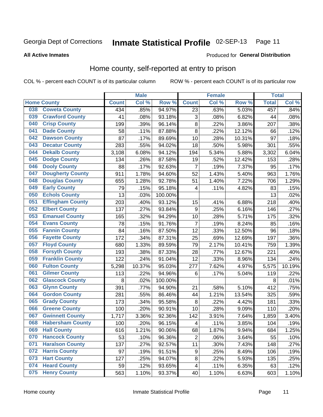### Inmate Statistical Profile 02-SEP-13 Page 11

### **All Active Inmates**

# Produced for General Distribution

### Home county, self-reported at entry to prison

COL % - percent each COUNT is of its particular column

|     |                         |              | <b>Male</b> |                  |                         | <b>Female</b> |        | <b>Total</b> |        |
|-----|-------------------------|--------------|-------------|------------------|-------------------------|---------------|--------|--------------|--------|
|     | <b>Home County</b>      | <b>Count</b> | Col %       | Row <sup>%</sup> | <b>Count</b>            | Col %         | Row %  | <b>Total</b> | Col %  |
| 038 | <b>Coweta County</b>    | 434          | .85%        | 94.97%           | 23                      | .63%          | 5.03%  | 457          | .84%   |
| 039 | <b>Crawford County</b>  | 41           | .08%        | 93.18%           | $\mathbf{3}$            | .08%          | 6.82%  | 44           | .08%   |
| 040 | <b>Crisp County</b>     | 199          | .39%        | 96.14%           | 8                       | .22%          | 3.86%  | 207          | .38%   |
| 041 | <b>Dade County</b>      | 58           | .11%        | 87.88%           | 8                       | .22%          | 12.12% | 66           | .12%   |
| 042 | <b>Dawson County</b>    | 87           | .17%        | 89.69%           | 10                      | .28%          | 10.31% | 97           | .18%   |
| 043 | <b>Decatur County</b>   | 283          | .55%        | 94.02%           | 18                      | .50%          | 5.98%  | 301          | .55%   |
| 044 | <b>Dekalb County</b>    | 3,108        | 6.08%       | 94.12%           | 194                     | 5.34%         | 5.88%  | 3,302        | 6.04%  |
| 045 | <b>Dodge County</b>     | 134          | .26%        | 87.58%           | 19                      | .52%          | 12.42% | 153          | .28%   |
| 046 | <b>Dooly County</b>     | 88           | .17%        | 92.63%           | 7                       | .19%          | 7.37%  | 95           | .17%   |
| 047 | <b>Dougherty County</b> | 911          | 1.78%       | 94.60%           | 52                      | 1.43%         | 5.40%  | 963          | 1.76%  |
| 048 | <b>Douglas County</b>   | 655          | 1.28%       | 92.78%           | 51                      | 1.40%         | 7.22%  | 706          | 1.29%  |
| 049 | <b>Early County</b>     | 79           | .15%        | 95.18%           | 4                       | .11%          | 4.82%  | 83           | .15%   |
| 050 | <b>Echols County</b>    | 13           | .03%        | 100.00%          |                         |               |        | 13           | .02%   |
| 051 | <b>Effingham County</b> | 203          | .40%        | 93.12%           | 15                      | .41%          | 6.88%  | 218          | .40%   |
| 052 | <b>Elbert County</b>    | 137          | .27%        | 93.84%           | $\boldsymbol{9}$        | .25%          | 6.16%  | 146          | .27%   |
| 053 | <b>Emanuel County</b>   | 165          | .32%        | 94.29%           | 10                      | .28%          | 5.71%  | 175          | .32%   |
| 054 | <b>Evans County</b>     | 78           | .15%        | 91.76%           | 7                       | .19%          | 8.24%  | 85           | .16%   |
| 055 | <b>Fannin County</b>    | 84           | .16%        | 87.50%           | 12                      | .33%          | 12.50% | 96           | .18%   |
| 056 | <b>Fayette County</b>   | 172          | .34%        | 87.31%           | 25                      | .69%          | 12.69% | 197          | .36%   |
| 057 | <b>Floyd County</b>     | 680          | 1.33%       | 89.59%           | 79                      | 2.17%         | 10.41% | 759          | 1.39%  |
| 058 | <b>Forsyth County</b>   | 193          | .38%        | 87.33%           | 28                      | .77%          | 12.67% | 221          | .40%   |
| 059 | <b>Franklin County</b>  | 122          | .24%        | 91.04%           | 12                      | .33%          | 8.96%  | 134          | .24%   |
| 060 | <b>Fulton County</b>    | 5,298        | 10.37%      | 95.03%           | 277                     | 7.62%         | 4.97%  | 5,575        | 10.19% |
| 061 | <b>Gilmer County</b>    | 113          | .22%        | 94.96%           | 6                       | .17%          | 5.04%  | 119          | .22%   |
| 062 | <b>Glascock County</b>  | 8            | .02%        | 100.00%          |                         |               |        | 8            | .01%   |
| 063 | <b>Glynn County</b>     | 391          | .77%        | 94.90%           | 21                      | .58%          | 5.10%  | 412          | .75%   |
| 064 | <b>Gordon County</b>    | 281          | .55%        | 86.46%           | 44                      | 1.21%         | 13.54% | 325          | .59%   |
| 065 | <b>Grady County</b>     | 173          | .34%        | 95.58%           | 8                       | .22%          | 4.42%  | 181          | .33%   |
| 066 | <b>Greene County</b>    | 100          | .20%        | 90.91%           | 10                      | .28%          | 9.09%  | 110          | .20%   |
| 067 | <b>Gwinnett County</b>  | 1,717        | 3.36%       | 92.36%           | 142                     | 3.91%         | 7.64%  | 1,859        | 3.40%  |
| 068 | <b>Habersham County</b> | 100          | .20%        | 96.15%           | $\overline{\mathbf{4}}$ | .11%          | 3.85%  | 104          | .19%   |
| 069 | <b>Hall County</b>      | 616          | 1.21%       | 90.06%           | 68                      | 1.87%         | 9.94%  | 684          | 1.25%  |
| 070 | <b>Hancock County</b>   | 53           | .10%        | 96.36%           | $\overline{2}$          | .06%          | 3.64%  | 55           | .10%   |
| 071 | <b>Haralson County</b>  | 137          | .27%        | 92.57%           | 11                      | .30%          | 7.43%  | 148          | .27%   |
| 072 | <b>Harris County</b>    | 97           | .19%        | 91.51%           | 9                       | .25%          | 8.49%  | 106          | .19%   |
| 073 | <b>Hart County</b>      | 127          | .25%        | 94.07%           | 8                       | .22%          | 5.93%  | 135          | .25%   |
| 074 | <b>Heard County</b>     | 59           | .12%        | 93.65%           | $\overline{\mathbf{4}}$ | .11%          | 6.35%  | 63           | .12%   |
| 075 | <b>Henry County</b>     | 563          | 1.10%       | 93.37%           | 40                      | 1.10%         | 6.63%  | 603          | 1.10%  |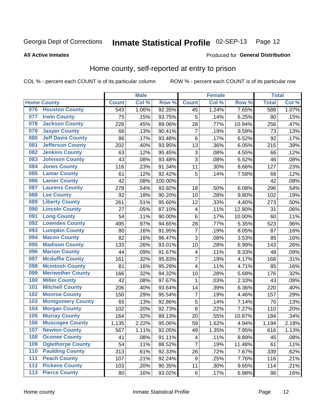### Inmate Statistical Profile 02-SEP-13 Page 12

Produced for General Distribution

### **All Active Inmates**

### Home county, self-reported at entry to prison

COL % - percent each COUNT is of its particular column

|     |                          |              | <b>Male</b> |                  |                  | <b>Female</b> |        | <b>Total</b> |       |
|-----|--------------------------|--------------|-------------|------------------|------------------|---------------|--------|--------------|-------|
|     | <b>Home County</b>       | <b>Count</b> | Col %       | Row <sup>%</sup> | <b>Count</b>     | Col %         | Row %  | <b>Total</b> | Col % |
|     | 076 Houston County       | 543          | 1.06%       | 92.35%           | 45               | 1.24%         | 7.65%  | 588          | 1.07% |
| 077 | <b>Irwin County</b>      | 75           | .15%        | 93.75%           | 5                | .14%          | 6.25%  | 80           | .15%  |
| 078 | <b>Jackson County</b>    | 228          | .45%        | 89.06%           | 28               | .77%          | 10.94% | 256          | .47%  |
| 079 | <b>Jasper County</b>     | 66           | .13%        | 90.41%           | $\overline{7}$   | .19%          | 9.59%  | 73           | .13%  |
| 080 | <b>Jeff Davis County</b> | 86           | .17%        | 93.48%           | $\,6$            | .17%          | 6.52%  | 92           | .17%  |
| 081 | <b>Jefferson County</b>  | 202          | .40%        | 93.95%           | 13               | .36%          | 6.05%  | 215          | .39%  |
| 082 | <b>Jenkins County</b>    | 63           | .12%        | 95.45%           | $\mathbf{3}$     | .08%          | 4.55%  | 66           | .12%  |
| 083 | <b>Johnson County</b>    | 43           | .08%        | 93.48%           | 3                | .08%          | 6.52%  | 46           | .08%  |
| 084 | <b>Jones County</b>      | 116          | .23%        | 91.34%           | 11               | .30%          | 8.66%  | 127          | .23%  |
| 085 | <b>Lamar County</b>      | 61           | .12%        | 92.42%           | 5                | .14%          | 7.58%  | 66           | .12%  |
| 086 | <b>Lanier County</b>     | 42           | .08%        | 100.00%          |                  |               |        | 42           | .08%  |
| 087 | <b>Laurens County</b>    | 278          | .54%        | 93.92%           | 18               | .50%          | 6.08%  | 296          | .54%  |
| 088 | <b>Lee County</b>        | 92           | .18%        | 90.20%           | 10               | .28%          | 9.80%  | 102          | .19%  |
| 089 | <b>Liberty County</b>    | 261          | .51%        | 95.60%           | 12               | .33%          | 4.40%  | 273          | .50%  |
| 090 | <b>Lincoln County</b>    | 27           | .05%        | 87.10%           | 4                | .11%          | 12.90% | 31           | .06%  |
| 091 | <b>Long County</b>       | 54           | .11%        | 90.00%           | $\,6$            | .17%          | 10.00% | 60           | .11%  |
| 092 | <b>Lowndes County</b>    | 495          | .97%        | 94.65%           | 28               | .77%          | 5.35%  | 523          | .96%  |
| 093 | <b>Lumpkin County</b>    | 80           | .16%        | 91.95%           | $\overline{7}$   | .19%          | 8.05%  | 87           | .16%  |
| 094 | <b>Macon County</b>      | 82           | .16%        | 96.47%           | 3                | .08%          | 3.53%  | 85           | .16%  |
| 095 | <b>Madison County</b>    | 133          | .26%        | 93.01%           | 10               | .28%          | 6.99%  | 143          | .26%  |
| 096 | <b>Marion County</b>     | 44           | .09%        | 91.67%           | 4                | .11%          | 8.33%  | 48           | .09%  |
| 097 | <b>Mcduffie County</b>   | 161          | .32%        | 95.83%           | $\overline{7}$   | .19%          | 4.17%  | 168          | .31%  |
| 098 | <b>Mcintosh County</b>   | 81           | .16%        | 95.29%           | 4                | .11%          | 4.71%  | 85           | .16%  |
| 099 | <b>Meriwether County</b> | 166          | .32%        | 94.32%           | 10               | .28%          | 5.68%  | 176          | .32%  |
| 100 | <b>Miller County</b>     | 42           | .08%        | 97.67%           | 1                | .03%          | 2.33%  | 43           | .08%  |
| 101 | <b>Mitchell County</b>   | 206          | .40%        | 93.64%           | 14               | .39%          | 6.36%  | 220          | .40%  |
| 102 | <b>Monroe County</b>     | 150          | .29%        | 95.54%           | $\overline{7}$   | .19%          | 4.46%  | 157          | .29%  |
| 103 | <b>Montgomery County</b> | 65           | .13%        | 92.86%           | 5                | .14%          | 7.14%  | 70           | .13%  |
| 104 | <b>Morgan County</b>     | 102          | .20%        | 92.73%           | 8                | .22%          | 7.27%  | 110          | .20%  |
| 105 | <b>Murray County</b>     | 164          | .32%        | 89.13%           | 20               | .55%          | 10.87% | 184          | .34%  |
| 106 | <b>Muscogee County</b>   | 1,135        | 2.22%       | 95.06%           | 59               | 1.62%         | 4.94%  | 1,194        | 2.18% |
| 107 | <b>Newton County</b>     | 567          | 1.11%       | 92.05%           | 49               | 1.35%         | 7.95%  | 616          | 1.13% |
| 108 | <b>Oconee County</b>     | 41           | .08%        | 91.11%           | 4                | .11%          | 8.89%  | 45           | .08%  |
| 109 | <b>Oglethorpe County</b> | 54           | .11%        | 88.52%           | $\overline{7}$   | .19%          | 11.48% | 61           | .11%  |
| 110 | <b>Paulding County</b>   | 313          | .61%        | 92.33%           | 26               | .72%          | 7.67%  | 339          | .62%  |
| 111 | <b>Peach County</b>      | 107          | .21%        | 92.24%           | $\boldsymbol{9}$ | .25%          | 7.76%  | 116          | .21%  |
| 112 | <b>Pickens County</b>    | 103          | .20%        | 90.35%           | 11               | .30%          | 9.65%  | 114          | .21%  |
| 113 | <b>Pierce County</b>     | 80           | .16%        | 93.02%           | $\,6$            | .17%          | 6.98%  | 86           | .16%  |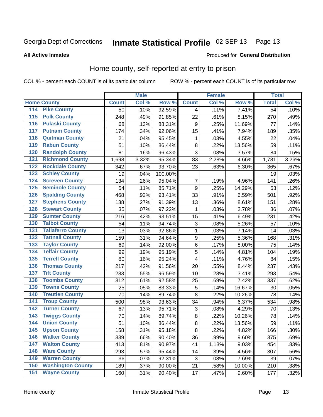#### Inmate Statistical Profile 02-SEP-13 Page 13

### **All Active Inmates**

### Produced for General Distribution

### Home county, self-reported at entry to prison

COL % - percent each COUNT is of its particular column

|                                          |              | <b>Male</b> |         |                  | <b>Female</b> |        | <b>Total</b>    |       |
|------------------------------------------|--------------|-------------|---------|------------------|---------------|--------|-----------------|-------|
| <b>Home County</b>                       | <b>Count</b> | Col %       | Row %   | <b>Count</b>     | Col %         | Row %  | <b>Total</b>    | Col % |
| 114<br><b>Pike County</b>                | 50           | .10%        | 92.59%  | 4                | .11%          | 7.41%  | $\overline{54}$ | .10%  |
| <b>Polk County</b><br>115                | 248          | .49%        | 91.85%  | 22               | .61%          | 8.15%  | 270             | .49%  |
| <b>Pulaski County</b><br>116             | 68           | .13%        | 88.31%  | 9                | .25%          | 11.69% | 77              | .14%  |
| <b>Putnam County</b><br>117              | 174          | .34%        | 92.06%  | 15               | .41%          | 7.94%  | 189             | .35%  |
| 118<br><b>Quitman County</b>             | 21           | .04%        | 95.45%  | 1                | .03%          | 4.55%  | 22              | .04%  |
| <b>Rabun County</b><br>119               | 51           | .10%        | 86.44%  | 8                | .22%          | 13.56% | 59              | .11%  |
| <b>Randolph County</b><br>120            | 81           | .16%        | 96.43%  | $\overline{3}$   | .08%          | 3.57%  | 84              | .15%  |
| <b>Richmond County</b><br>121            | 1,698        | 3.32%       | 95.34%  | 83               | 2.28%         | 4.66%  | 1,781           | 3.26% |
| <b>Rockdale County</b><br>122            | 342          | .67%        | 93.70%  | 23               | .63%          | 6.30%  | 365             | .67%  |
| <b>Schley County</b><br>123              | 19           | .04%        | 100.00% |                  |               |        | 19              | .03%  |
| <b>Screven County</b><br>124             | 134          | .26%        | 95.04%  | 7                | .19%          | 4.96%  | 141             | .26%  |
| <b>Seminole County</b><br>125            | 54           | .11%        | 85.71%  | 9                | .25%          | 14.29% | 63              | .12%  |
| <b>Spalding County</b><br>126            | 468          | .92%        | 93.41%  | 33               | .91%          | 6.59%  | 501             | .92%  |
| <b>Stephens County</b><br>127            | 138          | .27%        | 91.39%  | 13               | .36%          | 8.61%  | 151             | .28%  |
| <b>Stewart County</b><br>128             | 35           | .07%        | 97.22%  | 1                | .03%          | 2.78%  | 36              | .07%  |
| <b>Sumter County</b><br>129              | 216          | .42%        | 93.51%  | 15               | .41%          | 6.49%  | 231             | .42%  |
| <b>Talbot County</b><br>130              | 54           | .11%        | 94.74%  | 3                | .08%          | 5.26%  | 57              | .10%  |
| <b>Taliaferro County</b><br>131          | 13           | .03%        | 92.86%  | 1                | .03%          | 7.14%  | 14              | .03%  |
| <b>Tattnall County</b><br>132            | 159          | .31%        | 94.64%  | $\boldsymbol{9}$ | .25%          | 5.36%  | 168             | .31%  |
| <b>Taylor County</b><br>133              | 69           | .14%        | 92.00%  | 6                | .17%          | 8.00%  | 75              | .14%  |
| <b>Telfair County</b><br>134             | 99           | .19%        | 95.19%  | 5                | .14%          | 4.81%  | 104             | .19%  |
| <b>Terrell County</b><br>135             | 80           | .16%        | 95.24%  | 4                | .11%          | 4.76%  | 84              | .15%  |
| <b>Thomas County</b><br>136              | 217          | .42%        | 91.56%  | 20               | .55%          | 8.44%  | 237             | .43%  |
| <b>Tift County</b><br>137                | 283          | .55%        | 96.59%  | 10               | .28%          | 3.41%  | 293             | .54%  |
| <b>Toombs County</b><br>138              | 312          | .61%        | 92.58%  | 25               | .69%          | 7.42%  | 337             | .62%  |
| <b>Towns County</b><br>139               | 25           | .05%        | 83.33%  | 5                | .14%          | 16.67% | 30              | .05%  |
| <b>Treutlen County</b><br>140            | 70           | .14%        | 89.74%  | 8                | .22%          | 10.26% | 78              | .14%  |
| <b>Troup County</b><br>141               | 500          | .98%        | 93.63%  | 34               | .94%          | 6.37%  | 534             | .98%  |
| <b>Turner County</b><br>$\overline{142}$ | 67           | .13%        | 95.71%  | $\sqrt{3}$       | .08%          | 4.29%  | 70              | .13%  |
| <b>Twiggs County</b><br>143              | 70           | .14%        | 89.74%  | 8                | .22%          | 10.26% | 78              | .14%  |
| <b>Union County</b><br>144               | 51           | .10%        | 86.44%  | $\overline{8}$   | .22%          | 13.56% | 59              | .11%  |
| 145<br><b>Upson County</b>               | 158          | .31%        | 95.18%  | 8                | .22%          | 4.82%  | 166             | .30%  |
| <b>Walker County</b><br>146              | 339          | .66%        | 90.40%  | 36               | .99%          | 9.60%  | 375             | .69%  |
| <b>Walton County</b><br>147              | 413          | .81%        | 90.97%  | 41               | 1.13%         | 9.03%  | 454             | .83%  |
| <b>Ware County</b><br>148                | 293          | .57%        | 95.44%  | 14               | .39%          | 4.56%  | 307             | .56%  |
| <b>Warren County</b><br>149              | 36           | .07%        | 92.31%  | 3                | .08%          | 7.69%  | 39              | .07%  |
| <b>Washington County</b><br>150          | 189          | .37%        | 90.00%  | 21               | .58%          | 10.00% | 210             | .38%  |
| <b>Wayne County</b><br>151               | 160          | .31%        | 90.40%  | 17               | .47%          | 9.60%  | 177             | .32%  |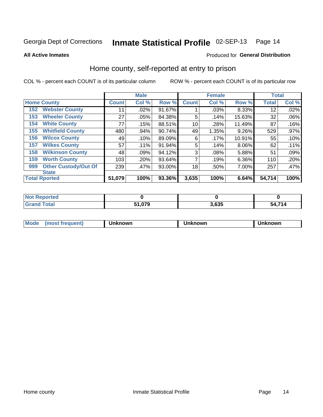### Inmate Statistical Profile 02-SEP-13 Page 14

**All Active Inmates** 

### Produced for General Distribution

# Home county, self-reported at entry to prison

COL % - percent each COUNT is of its particular column

|     |                             |              | <b>Male</b> |        |              | <b>Female</b> |        | <b>Total</b> |         |
|-----|-----------------------------|--------------|-------------|--------|--------------|---------------|--------|--------------|---------|
|     | <b>Home County</b>          | <b>Count</b> | Col %       | Row %  | <b>Count</b> | Col %         | Row %  | <b>Total</b> | Col %   |
| 152 | <b>Webster County</b>       | 11           | .02%        | 91.67% |              | .03%          | 8.33%  | 12           | .02%    |
| 153 | <b>Wheeler County</b>       | 27           | .05%        | 84.38% | 5            | .14%          | 15.63% | 32           | .06%    |
| 154 | <b>White County</b>         | 77           | .15%        | 88.51% | 10           | .28%          | 11.49% | 87           | .16%    |
| 155 | <b>Whitfield County</b>     | 480          | .94%        | 90.74% | 49           | 1.35%         | 9.26%  | 529          | $.97\%$ |
| 156 | <b>Wilcox County</b>        | 49           | .10%        | 89.09% | 6            | .17%          | 10.91% | 55           | .10%    |
| 157 | <b>Wilkes County</b>        | 57           | .11%        | 91.94% | 5            | .14%          | 8.06%  | 62           | .11%    |
| 158 | <b>Wilkinson County</b>     | 48           | .09%        | 94.12% | 3            | .08%          | 5.88%  | 51           | .09%    |
| 159 | <b>Worth County</b>         | 103          | .20%        | 93.64% | 7            | .19%          | 6.36%  | 110          | .20%    |
| 999 | <b>Other Custody/Out Of</b> | 239          | .47%        | 93.00% | 18           | .50%          | 7.00%  | 257          | .47%    |
|     | <b>State</b>                |              |             |        |              |               |        |              |         |
|     | <b>Total Rported</b>        | 51,079       | 100%        | 93.36% | 3,635        | 100%          | 6.64%  | 54,714       | 100%    |

| 'Not<br>Reported |        |       |             |
|------------------|--------|-------|-------------|
| <b>Total</b>     | 51,079 | 3,635 | 4,714<br>54 |

| Mode<br><b>Tequent)</b><br>ns | nown | mown | เทown |
|-------------------------------|------|------|-------|
|                               |      |      |       |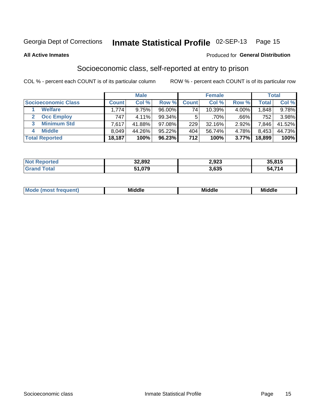# Inmate Statistical Profile 02-SEP-13 Page 15

**All Active Inmates** 

### **Produced for General Distribution**

### Socioeconomic class, self-reported at entry to prison

COL % - percent each COUNT is of its particular column

|                         |              | <b>Male</b> |           |              | <b>Female</b> |       |        | <b>Total</b> |
|-------------------------|--------------|-------------|-----------|--------------|---------------|-------|--------|--------------|
| Socioeconomic Class     | <b>Count</b> | Col %       | Row %     | <b>Count</b> | Col %         | Row % | Total, | Col %        |
| <b>Welfare</b>          | 1,774        | 9.75%       | 96.00%    | 74           | $10.39\%$     | 4.00% | 1,848  | 9.78%        |
| <b>Occ Employ</b>       | 747          | 4.11%       | $99.34\%$ | 5.           | $.70\%$       | .66%  | 752    | 3.98%        |
| <b>Minimum Std</b><br>3 | 7,617        | 41.88%      | $97.08\%$ | 229          | $32.16\%$     | 2.92% | 7,846  | 41.52%       |
| <b>Middle</b><br>4      | 8,049        | 44.26%      | 95.22%    | 404          | 56.74%        | 4.78% | 8,453  | 44.73%       |
| <b>Total Reported</b>   | 18,187       | 100%        | 96.23%    | 712          | 100%          | 3.77% | 18,899 | 100%         |

| <b>Not Reported</b> | 32,892 | 2,923 | 35,815 |
|---------------------|--------|-------|--------|
| Total               | 51,079 | 3,635 | 54,714 |

| ____<br>____ |
|--------------|
|--------------|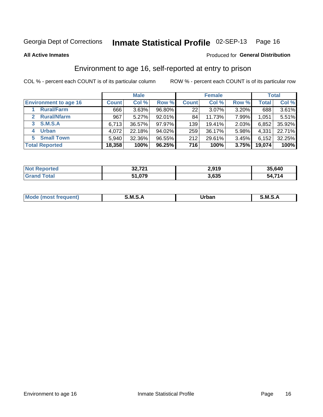# Inmate Statistical Profile 02-SEP-13 Page 16

Produced for General Distribution

### **All Active Inmates**

### Environment to age 16, self-reported at entry to prison

COL % - percent each COUNT is of its particular column

|                                    |              | <b>Male</b> |        |              | <b>Female</b> |       |              | <b>Total</b> |
|------------------------------------|--------------|-------------|--------|--------------|---------------|-------|--------------|--------------|
| <b>Environment to age 16</b>       | <b>Count</b> | Col %       | Row %  | <b>Count</b> | Col %         | Row % | <b>Total</b> | Col %        |
| <b>Rural/Farm</b>                  | 666          | 3.63%       | 96.80% | 22           | 3.07%         | 3.20% | 688          | 3.61%        |
| <b>Rural/Nfarm</b><br>$\mathbf{2}$ | 967          | 5.27%       | 92.01% | 84           | 11.73%        | 7.99% | 1,051        | 5.51%        |
| <b>S.M.S.A</b><br>3                | 6,713        | 36.57%      | 97.97% | 139          | 19.41%        | 2.03% | 6,852        | 35.92%       |
| <b>Urban</b><br>4                  | 4,072        | 22.18%      | 94.02% | 259          | 36.17%        | 5.98% | 4,331        | 22.71%       |
| <b>Small Town</b><br>5.            | 5.940        | 32.36%      | 96.55% | 212          | 29.61%        | 3.45% | 6,152        | 32.25%       |
| <b>Total Reported</b>              | 18,358       | 100%        | 96.25% | 716          | 100%          | 3.75% | 19,074       | 100%         |

| <b>Not Reported</b>         | 32,721 | 2,919 | 35,640 |
|-----------------------------|--------|-------|--------|
| $\tau$ otal<br><b>Grand</b> | 51,079 | 3,635 | 54,714 |

| Mo | M | Irhan<br>rva<br>______ | M<br>______ |
|----|---|------------------------|-------------|
|    |   |                        |             |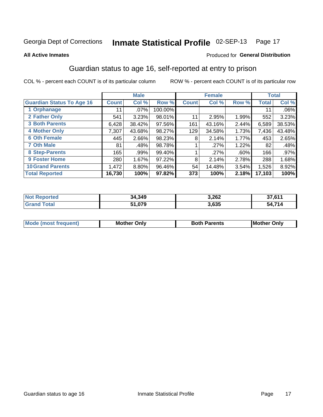# Inmate Statistical Profile 02-SEP-13 Page 17

### **All Active Inmates**

### Produced for General Distribution

# Guardian status to age 16, self-reported at entry to prison

COL % - percent each COUNT is of its particular column

|                                  |               | <b>Male</b> |         |              | <b>Female</b> |       |        | <b>Total</b> |
|----------------------------------|---------------|-------------|---------|--------------|---------------|-------|--------|--------------|
| <b>Guardian Status To Age 16</b> | <b>Count!</b> | Col %       | Row %   | <b>Count</b> | Col %         | Row % | Total  | Col %        |
| 1 Orphanage                      | 11            | $.07\%$     | 100.00% |              |               |       | 11     | $.06\%$      |
| 2 Father Only                    | 541           | 3.23%       | 98.01%  | 11           | 2.95%         | 1.99% | 552    | 3.23%        |
| <b>3 Both Parents</b>            | 6,428         | 38.42%      | 97.56%  | 161          | 43.16%        | 2.44% | 6,589  | 38.53%       |
| <b>4 Mother Only</b>             | 7,307         | 43.68%      | 98.27%  | 129          | 34.58%        | 1.73% | 7,436  | 43.48%       |
| <b>6 Oth Female</b>              | 445           | 2.66%       | 98.23%  | 8            | 2.14%         | 1.77% | 453    | 2.65%        |
| <b>7 Oth Male</b>                | 81            | .48%        | 98.78%  |              | .27%          | 1.22% | 82     | .48%         |
| 8 Step-Parents                   | 165           | .99%        | 99.40%  |              | .27%          | .60%  | 166    | $.97\%$      |
| 9 Foster Home                    | 280           | 1.67%       | 97.22%  | 8            | 2.14%         | 2.78% | 288    | 1.68%        |
| <b>10 Grand Parents</b>          | 1,472         | 8.80%       | 96.46%  | 54           | 14.48%        | 3.54% | 1,526  | 8.92%        |
| <b>Total Reported</b>            | 16,730        | 100%        | 97.82%  | 373          | 100%          | 2.18% | 17,103 | 100%         |

| <b>Not</b><br><b>Reported</b>  | 34,349 | 3,262 | 27.011       |
|--------------------------------|--------|-------|--------------|
| Total<br>. Gr $\mathfrak{p}$ : | 51,079 | 3,635 | A 714:<br>54 |

| <b>Mode (most frequent)</b> | วทIv<br>- -<br>MΩ | <b>Roth</b><br>ີ <sup>ລ</sup> າrents | l Mc<br>Only<br>- - |
|-----------------------------|-------------------|--------------------------------------|---------------------|
|                             |                   |                                      |                     |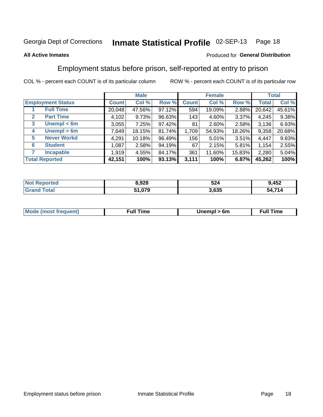#### Inmate Statistical Profile 02-SEP-13 Page 18

### **All Active Inmates**

### Produced for General Distribution

### Employment status before prison, self-reported at entry to prison

COL % - percent each COUNT is of its particular column

|                                  |              | <b>Male</b> |        |              | <b>Female</b> |        |        | <b>Total</b> |
|----------------------------------|--------------|-------------|--------|--------------|---------------|--------|--------|--------------|
| <b>Employment Status</b>         | <b>Count</b> | Col %       | Row %  | <b>Count</b> | Col %         | Row %  | Total  | Col %        |
| <b>Full Time</b>                 | 20,048       | 47.56%      | 97.12% | 594          | 19.09%        | 2.88%  | 20,642 | 45.61%       |
| <b>Part Time</b><br>$\mathbf{2}$ | 4,102        | 9.73%       | 96.63% | 143          | 4.60%         | 3.37%  | 4,245  | 9.38%        |
| Unempl $<$ 6m<br>3               | 3,055        | 7.25%       | 97.42% | 81           | 2.60%         | 2.58%  | 3,136  | 6.93%        |
| Unempl > 6m<br>4                 | 7,649        | 18.15%      | 81.74% | 1,709        | 54.93%        | 18.26% | 9,358  | 20.68%       |
| <b>Never Workd</b><br>5          | 4,291        | 10.18%      | 96.49% | 156          | 5.01%         | 3.51%  | 4,447  | 9.83%        |
| <b>Student</b><br>6              | 1,087        | 2.58%       | 94.19% | 67           | 2.15%         | 5.81%  | 1,154  | 2.55%        |
| <b>Incapable</b>                 | 1,919        | 4.55%       | 84.17% | 361          | 11.60%        | 15.83% | 2,280  | 5.04%        |
| <b>Total Reported</b>            | 42,151       | 100%        | 93.13% | 3,111        | 100%          | 6.87%  | 45,262 | 100%         |

| тес.<br>NO | 8,928  | 524            | ,452         |
|------------|--------|----------------|--------------|
| $\sim$     | 51,079 | המה מ<br>კ.ხკუ | 54 714<br>٠д |

| <b>Mode (most frequent)</b> | full "<br>the contract of the contract of the contract of the contract of the contract of the contract of the contract of | 6m | ïme<br>้นเ<br>the contract of the contract of the contract of the contract of the contract of the contract of the contract of |
|-----------------------------|---------------------------------------------------------------------------------------------------------------------------|----|-------------------------------------------------------------------------------------------------------------------------------|
|                             |                                                                                                                           |    |                                                                                                                               |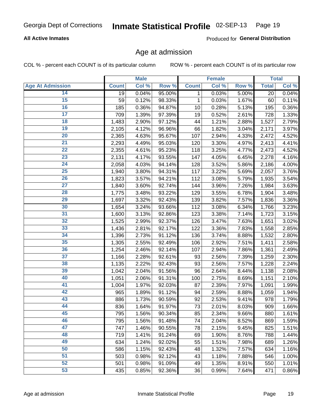### **All Active Inmates**

Produced for General Distribution

### Age at admission

COL % - percent each COUNT is of its particular column

|                         |              | <b>Male</b> |        |              | <b>Female</b> |       |              | <b>Total</b> |
|-------------------------|--------------|-------------|--------|--------------|---------------|-------|--------------|--------------|
| <b>Age At Admission</b> | <b>Count</b> | Col %       | Row %  | <b>Count</b> | Col %         | Row % | <b>Total</b> | Col %        |
| 14                      | 19           | 0.04%       | 95.00% | 1            | 0.03%         | 5.00% | 20           | 0.04%        |
| $\overline{15}$         | 59           | 0.12%       | 98.33% | $\mathbf 1$  | 0.03%         | 1.67% | 60           | 0.11%        |
| 16                      | 185          | 0.36%       | 94.87% | 10           | 0.28%         | 5.13% | 195          | 0.36%        |
| $\overline{17}$         | 709          | 1.39%       | 97.39% | 19           | 0.52%         | 2.61% | 728          | 1.33%        |
| $\overline{18}$         | 1,483        | 2.90%       | 97.12% | 44           | 1.21%         | 2.88% | 1,527        | 2.79%        |
| 19                      | 2,105        | 4.12%       | 96.96% | 66           | 1.82%         | 3.04% | 2,171        | 3.97%        |
| $\overline{20}$         | 2,365        | 4.63%       | 95.67% | 107          | 2.94%         | 4.33% | 2,472        | 4.52%        |
| $\overline{21}$         | 2,293        | 4.49%       | 95.03% | 120          | 3.30%         | 4.97% | 2,413        | 4.41%        |
| $\overline{22}$         | 2,355        | 4.61%       | 95.23% | 118          | 3.25%         | 4.77% | 2,473        | 4.52%        |
| 23                      | 2,131        | 4.17%       | 93.55% | 147          | 4.05%         | 6.45% | 2,278        | 4.16%        |
| $\overline{24}$         | 2,058        | 4.03%       | 94.14% | 128          | 3.52%         | 5.86% | 2,186        | 4.00%        |
| 25                      | 1,940        | 3.80%       | 94.31% | 117          | 3.22%         | 5.69% | 2,057        | 3.76%        |
| $\overline{26}$         | 1,823        | 3.57%       | 94.21% | 112          | 3.08%         | 5.79% | 1,935        | 3.54%        |
| $\overline{27}$         | 1,840        | 3.60%       | 92.74% | 144          | 3.96%         | 7.26% | 1,984        | 3.63%        |
| 28                      | 1,775        | 3.48%       | 93.22% | 129          | 3.55%         | 6.78% | 1,904        | 3.48%        |
| 29                      | 1,697        | 3.32%       | 92.43% | 139          | 3.82%         | 7.57% | 1,836        | 3.36%        |
| 30                      | 1,654        | 3.24%       | 93.66% | 112          | 3.08%         | 6.34% | 1,766        | 3.23%        |
| $\overline{31}$         | 1,600        | 3.13%       | 92.86% | 123          | 3.38%         | 7.14% | 1,723        | 3.15%        |
| 32                      | 1,525        | 2.99%       | 92.37% | 126          | 3.47%         | 7.63% | 1,651        | 3.02%        |
| 33                      | 1,436        | 2.81%       | 92.17% | 122          | 3.36%         | 7.83% | 1,558        | 2.85%        |
| 34                      | 1,396        | 2.73%       | 91.12% | 136          | 3.74%         | 8.88% | 1,532        | 2.80%        |
| 35                      | 1,305        | 2.55%       | 92.49% | 106          | 2.92%         | 7.51% | 1,411        | 2.58%        |
| 36                      | 1,254        | 2.46%       | 92.14% | 107          | 2.94%         | 7.86% | 1,361        | 2.49%        |
| $\overline{37}$         | 1,166        | 2.28%       | 92.61% | 93           | 2.56%         | 7.39% | 1,259        | 2.30%        |
| 38                      | 1,135        | 2.22%       | 92.43% | 93           | 2.56%         | 7.57% | 1,228        | 2.24%        |
| 39                      | 1,042        | 2.04%       | 91.56% | 96           | 2.64%         | 8.44% | 1,138        | 2.08%        |
| 40                      | 1,051        | 2.06%       | 91.31% | 100          | 2.75%         | 8.69% | 1,151        | 2.10%        |
| 41                      | 1,004        | 1.97%       | 92.03% | 87           | 2.39%         | 7.97% | 1,091        | 1.99%        |
| 42                      | 965          | 1.89%       | 91.12% | 94           | 2.59%         | 8.88% | 1,059        | 1.94%        |
| 43                      | 886          | 1.73%       | 90.59% | 92           | 2.53%         | 9.41% | 978          | 1.79%        |
| 44                      | 836          | 1.64%       | 91.97% | 73           | 2.01%         | 8.03% | 909          | 1.66%        |
| 45                      | 795          | 1.56%       | 90.34% | 85           | 2.34%         | 9.66% | 880          | 1.61%        |
| 46                      | 795          | 1.56%       | 91.48% | 74           | 2.04%         | 8.52% | 869          | 1.59%        |
| 47                      | 747          | 1.46%       | 90.55% | 78           | 2.15%         | 9.45% | 825          | 1.51%        |
| 48                      | 719          | 1.41%       | 91.24% | 69           | 1.90%         | 8.76% | 788          | 1.44%        |
| 49                      | 634          | 1.24%       | 92.02% | 55           | 1.51%         | 7.98% | 689          | 1.26%        |
| 50                      | 586          | 1.15%       | 92.43% | 48           | 1.32%         | 7.57% | 634          | 1.16%        |
| 51                      | 503          | 0.98%       | 92.12% | 43           | 1.18%         | 7.88% | 546          | 1.00%        |
| 52                      | 501          | 0.98%       | 91.09% | 49           | 1.35%         | 8.91% | 550          | 1.01%        |
| 53                      | 435          | 0.85%       | 92.36% | 36           | 0.99%         | 7.64% | 471          | 0.86%        |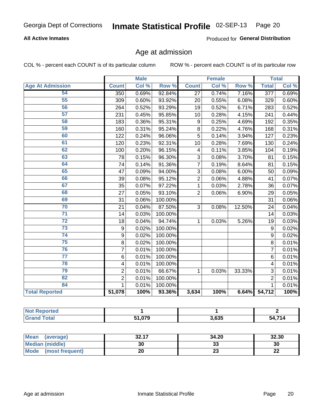### **All Active Inmates**

Produced for General Distribution

# Age at admission

COL % - percent each COUNT is of its particular column

|                         |                  | <b>Male</b> |         |                  | <b>Female</b> |        |                  | <b>Total</b> |
|-------------------------|------------------|-------------|---------|------------------|---------------|--------|------------------|--------------|
| <b>Age At Admission</b> | <b>Count</b>     | Col %       | Row %   | <b>Count</b>     | Col %         | Row %  | <b>Total</b>     | Col %        |
| 54                      | 350              | 0.69%       | 92.84%  | 27               | 0.74%         | 7.16%  | $\overline{377}$ | 0.69%        |
| 55                      | 309              | 0.60%       | 93.92%  | 20               | 0.55%         | 6.08%  | 329              | 0.60%        |
| 56                      | 264              | 0.52%       | 93.29%  | 19               | 0.52%         | 6.71%  | 283              | 0.52%        |
| $\overline{57}$         | 231              | 0.45%       | 95.85%  | 10               | 0.28%         | 4.15%  | 241              | 0.44%        |
| 58                      | 183              | 0.36%       | 95.31%  | $\boldsymbol{9}$ | 0.25%         | 4.69%  | 192              | 0.35%        |
| 59                      | 160              | 0.31%       | 95.24%  | 8                | 0.22%         | 4.76%  | 168              | 0.31%        |
| 60                      | 122              | 0.24%       | 96.06%  | 5                | 0.14%         | 3.94%  | 127              | 0.23%        |
| 61                      | 120              | 0.23%       | 92.31%  | 10               | 0.28%         | 7.69%  | 130              | 0.24%        |
| 62                      | 100              | 0.20%       | 96.15%  | 4                | 0.11%         | 3.85%  | 104              | 0.19%        |
| 63                      | 78               | 0.15%       | 96.30%  | 3                | 0.08%         | 3.70%  | 81               | 0.15%        |
| 64                      | 74               | 0.14%       | 91.36%  | 7                | 0.19%         | 8.64%  | 81               | 0.15%        |
| 65                      | 47               | 0.09%       | 94.00%  | $\overline{3}$   | 0.08%         | 6.00%  | 50               | 0.09%        |
| 66                      | 39               | 0.08%       | 95.12%  | $\overline{2}$   | 0.06%         | 4.88%  | 41               | 0.07%        |
| 67                      | 35               | 0.07%       | 97.22%  | 1                | 0.03%         | 2.78%  | 36               | 0.07%        |
| 68                      | 27               | 0.05%       | 93.10%  | $\overline{2}$   | 0.06%         | 6.90%  | 29               | 0.05%        |
| 69                      | 31               | 0.06%       | 100.00% |                  |               |        | 31               | 0.06%        |
| 70                      | 21               | 0.04%       | 87.50%  | $\overline{3}$   | 0.08%         | 12.50% | 24               | 0.04%        |
| $\overline{71}$         | 14               | 0.03%       | 100.00% |                  |               |        | 14               | 0.03%        |
| $\overline{72}$         | 18               | 0.04%       | 94.74%  | 1                | 0.03%         | 5.26%  | 19               | 0.03%        |
| $\overline{73}$         | $\boldsymbol{9}$ | 0.02%       | 100.00% |                  |               |        | 9                | 0.02%        |
| $\overline{74}$         | $\boldsymbol{9}$ | 0.02%       | 100.00% |                  |               |        | 9                | 0.02%        |
| $\overline{75}$         | 8                | 0.02%       | 100.00% |                  |               |        | 8                | 0.01%        |
| 76                      | 7                | 0.01%       | 100.00% |                  |               |        | $\overline{7}$   | 0.01%        |
| $\overline{77}$         | 6                | 0.01%       | 100.00% |                  |               |        | $6\phantom{1}$   | 0.01%        |
| 78                      | 4                | 0.01%       | 100.00% |                  |               |        | 4                | 0.01%        |
| 79                      | $\overline{2}$   | 0.01%       | 66.67%  | 1                | 0.03%         | 33.33% | 3                | 0.01%        |
| 82                      | $\overline{2}$   | 0.01%       | 100.00% |                  |               |        | $\overline{2}$   | 0.01%        |
| 84                      | $\mathbf{1}$     | 0.01%       | 100.00% |                  |               |        | $\mathbf{1}$     | 0.01%        |
| <b>Total Reported</b>   | 51,078           | 100%        | 93.36%  | 3,634            | 100%          | 6.64%  | 54,712           | 100%         |

| тео<br>N    |        |       |              |
|-------------|--------|-------|--------------|
| <b>otal</b> | 51 070 | 3,635 | 54 714<br>74 |

| <b>Mean</b><br>(average) | 22.47<br>34. LI | 34.20    | 32.30     |
|--------------------------|-----------------|----------|-----------|
| Median (middle)          | 30              | ົ<br>აა  | 30        |
| Mode<br>(most frequent)  | 20              | ^^<br>23 | ne.<br>LL |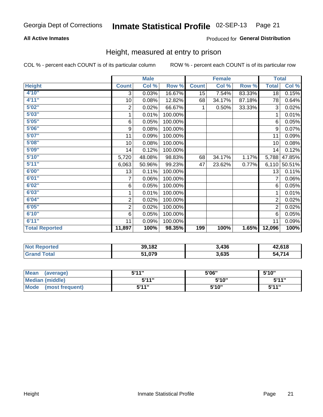### **All Active Inmates**

### Produced for General Distribution

### Height, measured at entry to prison

COL % - percent each COUNT is of its particular column

|                       |                         | <b>Male</b>               |         |              | <b>Female</b> |        | <b>Total</b>   |        |
|-----------------------|-------------------------|---------------------------|---------|--------------|---------------|--------|----------------|--------|
| <b>Height</b>         | <b>Count</b>            | $\overline{\text{Col}}$ % | Row %   | <b>Count</b> | Col %         | Row %  | <b>Total</b>   | Col %  |
| 4'10''                | 3                       | 0.03%                     | 16.67%  | 15           | 7.54%         | 83.33% | 18             | 0.15%  |
| 4'11''                | 10                      | 0.08%                     | 12.82%  | 68           | 34.17%        | 87.18% | 78             | 0.64%  |
| 5'02''                | 2                       | 0.02%                     | 66.67%  | 1            | 0.50%         | 33.33% | 3              | 0.02%  |
| 5'03"                 | 1                       | 0.01%                     | 100.00% |              |               |        | 1              | 0.01%  |
| 5'05''                | 6                       | 0.05%                     | 100.00% |              |               |        | 6              | 0.05%  |
| 5'06''                | 9                       | 0.08%                     | 100.00% |              |               |        | 9              | 0.07%  |
| 5'07''                | 11                      | 0.09%                     | 100.00% |              |               |        | 11             | 0.09%  |
| 5'08''                | 10                      | 0.08%                     | 100.00% |              |               |        | 10             | 0.08%  |
| 5'09''                | 14                      | 0.12%                     | 100.00% |              |               |        | 14             | 0.12%  |
| 5'10''                | 5,720                   | 48.08%                    | 98.83%  | 68           | 34.17%        | 1.17%  | 5,788          | 47.85% |
| 5'11''                | 6,063                   | 50.96%                    | 99.23%  | 47           | 23.62%        | 0.77%  | 6,110          | 50.51% |
| 6'00''                | 13                      | 0.11%                     | 100.00% |              |               |        | 13             | 0.11%  |
| 6'01''                | 7                       | 0.06%                     | 100.00% |              |               |        |                | 0.06%  |
| 6'02"                 | 6                       | 0.05%                     | 100.00% |              |               |        | 6              | 0.05%  |
| 6'03''                | 1                       | 0.01%                     | 100.00% |              |               |        | 1              | 0.01%  |
| 6'04''                | $\overline{\mathbf{c}}$ | 0.02%                     | 100.00% |              |               |        | $\overline{c}$ | 0.02%  |
| 6'05''                | $\overline{2}$          | 0.02%                     | 100.00% |              |               |        | $\overline{2}$ | 0.02%  |
| 6'10''                | 6                       | 0.05%                     | 100.00% |              |               |        | 6              | 0.05%  |
| 6'11''                | 11                      | 0.09%                     | 100.00% |              |               |        | 11             | 0.09%  |
| <b>Total Reported</b> | 11,897                  | 100%                      | 98.35%  | 199          | 100%          | 1.65%  | 12,096         | 100%   |

| <b>Not</b><br><b>Reported</b> | 39,182   | 3.436 | 42,618    |
|-------------------------------|----------|-------|-----------|
| Total                         | 979, ו ∕ | 3,635 | 74/<br>54 |

| <b>Mean</b><br>(average)       | 544"<br>JII | 5'06" | 5'10"        |
|--------------------------------|-------------|-------|--------------|
| <b>Median (middle)</b>         | 544"        | 5'10" | 5'11"        |
| <b>Mode</b><br>(most frequent) | 544"        | 5'10" | <b>5'44"</b> |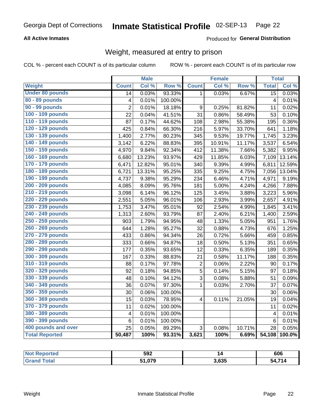### **All Active Inmates**

### Produced for General Distribution

# Weight, measured at entry to prison

COL % - percent each COUNT is of its particular column

|                        |                         | <b>Male</b> |         |                         | <b>Female</b> |        | <b>Total</b>            |                     |
|------------------------|-------------------------|-------------|---------|-------------------------|---------------|--------|-------------------------|---------------------|
| <b>Weight</b>          | <b>Count</b>            | Col %       | Row %   | <b>Count</b>            | Col %         | Row %  | <b>Total</b>            | Col %               |
| <b>Under 80 pounds</b> | $\overline{14}$         | 0.03%       | 93.33%  | $\mathbf{1}$            | 0.03%         | 6.67%  | $\overline{15}$         | 0.03%               |
| 80 - 89 pounds         | 4                       | 0.01%       | 100.00% |                         |               |        | $\overline{\mathbf{4}}$ | 0.01%               |
| 90 - 99 pounds         | $\overline{2}$          | 0.01%       | 18.18%  | $\boldsymbol{9}$        | 0.25%         | 81.82% | 11                      | 0.02%               |
| 100 - 109 pounds       | 22                      | 0.04%       | 41.51%  | 31                      | 0.86%         | 58.49% | 53                      | 0.10%               |
| 110 - 119 pounds       | 87                      | 0.17%       | 44.62%  | 108                     | 2.98%         | 55.38% | 195                     | 0.36%               |
| 120 - 129 pounds       | 425                     | 0.84%       | 66.30%  | 216                     | 5.97%         | 33.70% | 641                     | 1.18%               |
| 130 - 139 pounds       | 1,400                   | 2.77%       | 80.23%  | 345                     | 9.53%         | 19.77% | 1,745                   | 3.23%               |
| 140 - 149 pounds       | 3,142                   | 6.22%       | 88.83%  | 395                     | 10.91%        | 11.17% | 3,537                   | 6.54%               |
| 150 - 159 pounds       | 4,970                   | 9.84%       | 92.34%  | 412                     | 11.38%        | 7.66%  | 5,382                   | 9.95%               |
| 160 - 169 pounds       | 6,680                   | 13.23%      | 93.97%  | 429                     | 11.85%        | 6.03%  | 7,109                   | 13.14%              |
| 170 - 179 pounds       | 6,471                   | 12.82%      | 95.01%  | 340                     | 9.39%         | 4.99%  | 6,811                   | 12.59%              |
| 180 - 189 pounds       | 6,721                   | 13.31%      | 95.25%  | 335                     | 9.25%         | 4.75%  | 7,056                   | 13.04%              |
| 190 - 199 pounds       | 4,737                   | 9.38%       | 95.29%  | 234                     | 6.46%         | 4.71%  | 4,971                   | 9.19%               |
| 200 - 209 pounds       | 4,085                   | 8.09%       | 95.76%  | 181                     | 5.00%         | 4.24%  | 4,266                   | 7.88%               |
| 210 - 219 pounds       | 3,098                   | 6.14%       | 96.12%  | 125                     | 3.45%         | 3.88%  | 3,223                   | 5.96%               |
| 220 - 229 pounds       | 2,551                   | 5.05%       | 96.01%  | 106                     | 2.93%         | 3.99%  | 2,657                   | 4.91%               |
| 230 - 239 pounds       | 1,753                   | 3.47%       | 95.01%  | 92                      | 2.54%         | 4.99%  | 1,845                   | 3.41%               |
| 240 - 249 pounds       | 1,313                   | 2.60%       | 93.79%  | 87                      | 2.40%         | 6.21%  | 1,400                   | 2.59%               |
| 250 - 259 pounds       | 903                     | 1.79%       | 94.95%  | 48                      | 1.33%         | 5.05%  | 951                     | 1.76%               |
| 260 - 269 pounds       | 644                     | 1.28%       | 95.27%  | 32                      | 0.88%         | 4.73%  | 676                     | 1.25%               |
| 270 - 279 pounds       | 433                     | 0.86%       | 94.34%  | 26                      | 0.72%         | 5.66%  | 459                     | 0.85%               |
| 280 - 289 pounds       | 333                     | 0.66%       | 94.87%  | 18                      | 0.50%         | 5.13%  | 351                     | 0.65%               |
| 290 - 299 pounds       | 177                     | 0.35%       | 93.65%  | 12                      | 0.33%         | 6.35%  | 189                     | 0.35%               |
| 300 - 309 pounds       | 167                     | 0.33%       | 88.83%  | 21                      | 0.58%         | 11.17% | 188                     | 0.35%               |
| 310 - 319 pounds       | 88                      | 0.17%       | 97.78%  | 2                       | 0.06%         | 2.22%  | 90                      | $\overline{0.17\%}$ |
| 320 - 329 pounds       | 92                      | 0.18%       | 94.85%  | 5                       | 0.14%         | 5.15%  | 97                      | 0.18%               |
| 330 - 339 pounds       | 48                      | 0.10%       | 94.12%  | 3                       | 0.08%         | 5.88%  | 51                      | 0.09%               |
| 340 - 349 pounds       | 36                      | 0.07%       | 97.30%  | $\mathbf{1}$            | 0.03%         | 2.70%  | 37                      | 0.07%               |
| 350 - 359 pounds       | 30                      | 0.06%       | 100.00% |                         |               |        | 30                      | 0.06%               |
| 360 - 369 pounds       | 15                      | 0.03%       | 78.95%  | $\overline{\mathbf{4}}$ | 0.11%         | 21.05% | 19                      | 0.04%               |
| 370 - 379 pounds       | 11                      | 0.02%       | 100.00% |                         |               |        | 11                      | 0.02%               |
| 380 - 389 pounds       | $\overline{\mathbf{4}}$ | 0.01%       | 100.00% |                         |               |        | $\overline{4}$          | 0.01%               |
| 390 - 399 pounds       | 6                       | 0.01%       | 100.00% |                         |               |        | $\,6$                   | 0.01%               |
| 400 pounds and over    | 25                      | 0.05%       | 89.29%  | 3                       | 0.08%         | 10.71% | 28                      | 0.05%               |
| <b>Total Reported</b>  | 50,487                  | 100%        | 93.31%  | 3,621                   | 100%          | 6.69%  | 54,108                  | 100.0%              |

| NOT<br>meo | 592 |       | 606                |
|------------|-----|-------|--------------------|
|            | ሰ70 | 3.635 | ,714<br>57<br>v-11 |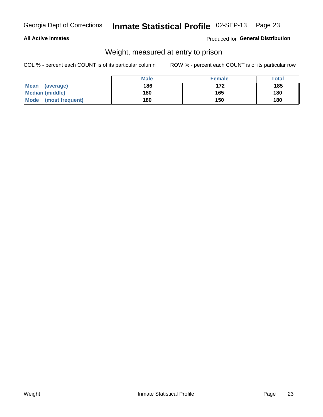### **All Active Inmates**

### Produced for General Distribution

# Weight, measured at entry to prison

COL % - percent each COUNT is of its particular column

|                          | <b>Male</b> | <b>Female</b> | Total |
|--------------------------|-------------|---------------|-------|
| <b>Mean</b><br>(average) | 186         | 172           | 185   |
| <b>Median (middle)</b>   | 180         | 165           | 180   |
| Mode<br>(most frequent)  | 180         | 150           | 180   |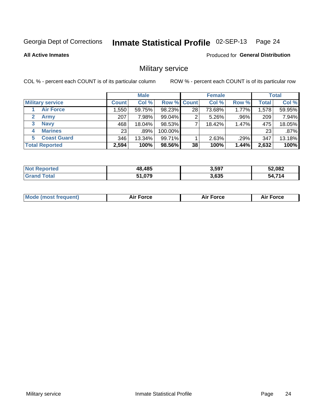### Inmate Statistical Profile 02-SEP-13 Page 24

**All Active Inmates** 

**Produced for General Distribution** 

### Military service

COL % - percent each COUNT is of its particular column

|                               | <b>Male</b>  |         |                    | <b>Female</b>   |        |       | <b>Total</b> |        |
|-------------------------------|--------------|---------|--------------------|-----------------|--------|-------|--------------|--------|
| <b>Military service</b>       | <b>Count</b> | Col %   | <b>Row % Count</b> |                 | Col %  | Row % | <b>Total</b> | Col %  |
| <b>Air Force</b>              | 1,550        | 59.75%  | 98.23%             | 28 <sub>1</sub> | 73.68% | 1.77% | 1,578        | 59.95% |
| $\mathbf{2}^-$<br><b>Army</b> | 207          | 7.98%   | 99.04%             |                 | 5.26%  | .96%  | 209          | 7.94%  |
| <b>Navy</b><br>3              | 468          | 18.04%  | 98.53%             |                 | 18.42% | 1.47% | 475          | 18.05% |
| <b>Marines</b><br>4           | 23           | $.89\%$ | 100.00%            |                 |        |       | 23           | .87%   |
| <b>Coast Guard</b><br>5.      | 346          | 13.34%  | 99.71%             |                 | 2.63%  | .29%  | 347          | 13.18% |
| <b>Total Reported</b>         | 2,594        | 100%    | 98.56%             | 38              | 100%   | 1.44% | 2,632        | 100%   |

| <b>Not Reported</b> | 48,485 | 3,597 | 52,082 |
|---------------------|--------|-------|--------|
| ™∩tal               | 51,079 | 3,635 | 54 71A |

| Mo | <br>ъc | . |
|----|--------|---|
|    |        |   |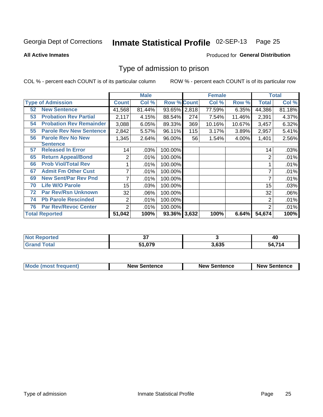### Inmate Statistical Profile 02-SEP-13 Page 25

**All Active Inmates** 

### **Produced for General Distribution**

### Type of admission to prison

COL % - percent each COUNT is of its particular column

|    |                                |                | <b>Male</b> |                    |     | <b>Female</b> |        |        | <b>Total</b> |  |
|----|--------------------------------|----------------|-------------|--------------------|-----|---------------|--------|--------|--------------|--|
|    | <b>Type of Admission</b>       | <b>Count</b>   | Col %       | <b>Row % Count</b> |     | Col %         | Row %  | Total  | Col %        |  |
| 52 | <b>New Sentence</b>            | 41,568         | 81.44%      | 93.65% 2,818       |     | 77.59%        | 6.35%  | 44,386 | 81.18%       |  |
| 53 | <b>Probation Rev Partial</b>   | 2,117          | 4.15%       | 88.54%             | 274 | 7.54%         | 11.46% | 2,391  | 4.37%        |  |
| 54 | <b>Probation Rev Remainder</b> | 3,088          | 6.05%       | 89.33%             | 369 | 10.16%        | 10.67% | 3,457  | 6.32%        |  |
| 55 | <b>Parole Rev New Sentence</b> | 2,842          | 5.57%       | 96.11%             | 115 | 3.17%         | 3.89%  | 2,957  | 5.41%        |  |
| 56 | <b>Parole Rev No New</b>       | 1,345          | 2.64%       | 96.00%             | 56  | 1.54%         | 4.00%  | 1,401  | 2.56%        |  |
|    | <b>Sentence</b>                |                |             |                    |     |               |        |        |              |  |
| 57 | <b>Released In Error</b>       | 14             | .03%        | 100.00%            |     |               |        | 14     | .03%         |  |
| 65 | <b>Return Appeal/Bond</b>      | 2              | .01%        | 100.00%            |     |               |        | 2      | .01%         |  |
| 66 | <b>Prob Viol/Total Rev</b>     |                | .01%        | 100.00%            |     |               |        |        | .01%         |  |
| 67 | <b>Admit Fm Other Cust</b>     | 7              | .01%        | 100.00%            |     |               |        | 7      | .01%         |  |
| 69 | <b>New Sent/Par Rev Pnd</b>    | 7              | .01%        | 100.00%            |     |               |        | 7      | .01%         |  |
| 70 | <b>Life W/O Parole</b>         | 15             | .03%        | 100.00%            |     |               |        | 15     | .03%         |  |
| 72 | <b>Par Rev/Rsn Unknown</b>     | 32             | .06%        | 100.00%            |     |               |        | 32     | .06%         |  |
| 74 | <b>Pb Parole Rescinded</b>     | 2              | .01%        | 100.00%            |     |               |        | 2      | .01%         |  |
| 76 | <b>Par Rev/Revoc Center</b>    | $\overline{2}$ | .01%        | 100.00%            |     |               |        | 2      | .01%         |  |
|    | <b>Total Reported</b>          | 51,042         | 100%        | 93.36% 3,632       |     | 100%          | 6.64%  | 54,674 | 100%         |  |

| neo<br>NO. | . .           |       | ı<br>40  |
|------------|---------------|-------|----------|
|            | 51 079<br>- 7 | 3,635 | E A 74 A |

| <b>Mode (most frequent)</b> | <b>New Sentence</b> | <b>New Sentence</b> | <b>New Sentence</b> |
|-----------------------------|---------------------|---------------------|---------------------|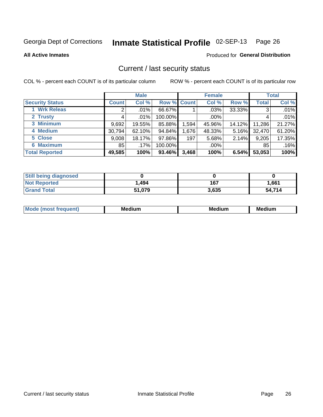### Inmate Statistical Profile 02-SEP-13 Page 26

**All Active Inmates** 

### **Produced for General Distribution**

### Current / last security status

COL % - percent each COUNT is of its particular column

|                        |              | <b>Male</b> |                    |       | <b>Female</b> |          |              | <b>Total</b> |
|------------------------|--------------|-------------|--------------------|-------|---------------|----------|--------------|--------------|
| <b>Security Status</b> | <b>Count</b> | Col %       | <b>Row % Count</b> |       | Col %         | Row %    | <b>Total</b> | Col %        |
| 1 Wrk Releas           | 2            | $.01\%$     | 66.67%             |       | .03%          | 33.33%   | 3            | .01%         |
| 2 Trusty               |              | $.01\%$     | 100.00%            |       | .00%          |          |              | .01%         |
| 3 Minimum              | 9,692        | 19.55%      | 85.88%             | 1,594 | 45.96%        | 14.12%   | 11,286       | 21.27%       |
| 4 Medium               | 30,794       | 62.10%      | 94.84%             | 1,676 | 48.33%        | $5.16\%$ | 32,470       | 61.20%       |
| 5 Close                | 9,008        | 18.17%      | 97.86%             | 197   | 5.68%         | $2.14\%$ | 9,205        | 17.35%       |
| <b>6 Maximum</b>       | 85           | $.17\%$     | 100.00%            |       | $.00\%$       |          | 85           | .16%         |
| <b>Total Reported</b>  | 49,585       | 100%        | 93.46%             | 3,468 | 100%          | 6.54%    | 53,053       | 100%         |

| <b>Still being diagnosed</b> |        |       |        |
|------------------------------|--------|-------|--------|
| <b>Not Reported</b>          | 1,494  | 167   | 1,661  |
| <b>Grand Total</b>           | 51,079 | 3,635 | 54,714 |

| <b>Mo</b><br>ети | M<br>. .<br>dium | M٢<br>. | <br><b>Medium</b> |
|------------------|------------------|---------|-------------------|
|                  |                  |         |                   |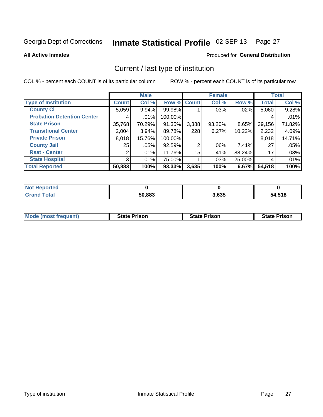### Inmate Statistical Profile 02-SEP-13 Page 27

**All Active Inmates** 

### **Produced for General Distribution**

# Current / last type of institution

COL % - percent each COUNT is of its particular column

|                                   |                | <b>Male</b> |         |                | <b>Female</b> |          |              | <b>Total</b> |
|-----------------------------------|----------------|-------------|---------|----------------|---------------|----------|--------------|--------------|
| <b>Type of Institution</b>        | <b>Count</b>   | Col %       |         | Row % Count    | Col %         | Row %    | <b>Total</b> | Col %        |
| <b>County Ci</b>                  | 5,059          | $9.94\%$    | 99.98%  |                | $.03\%$       | .02%     | 5,060        | 9.28%        |
| <b>Probation Detention Center</b> |                | .01%        | 100.00% |                |               |          | 4            | .01%         |
| <b>State Prison</b>               | 35,768         | 70.29%      | 91.35%  | 3,388          | 93.20%        | $8.65\%$ | 39,156       | 71.82%       |
| <b>Transitional Center</b>        | 2,004          | $3.94\%$    | 89.78%  | 228            | 6.27%         | 10.22%   | 2,232        | 4.09%        |
| <b>Private Prison</b>             | 8,018          | 15.76%      | 100.00% |                |               |          | 8,018        | 14.71%       |
| <b>County Jail</b>                | 25             | .05%        | 92.59%  | $\overline{2}$ | $.06\%$       | $7.41\%$ | 27           | .05%         |
| <b>Rsat - Center</b>              | 2              | .01%        | 11.76%  | 15             | .41%          | 88.24%   | 17           | .03%         |
| <b>State Hospital</b>             | 3 <sub>l</sub> | .01%        | 75.00%  |                | .03%          | 25.00%   | 4            | .01%         |
| <b>Total Reported</b>             | 50,883         | 100%        | 93.33%  | 3,635          | 100%          | 6.67%    | 54,518       | 100%         |

| Reported     |        |       |        |
|--------------|--------|-------|--------|
| <b>Total</b> | 50,883 | 3,635 | 54,518 |

| Mode (most frequent) | <b>State Prison</b> | <b>State Prison</b> | <b>State Prison</b> |
|----------------------|---------------------|---------------------|---------------------|
|                      |                     |                     |                     |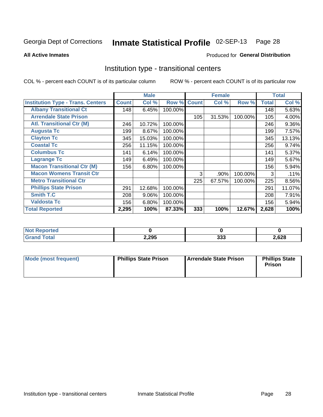### Inmate Statistical Profile 02-SEP-13 Page 28

Produced for General Distribution

### **All Active Inmates**

# Institution type - transitional centers

COL % - percent each COUNT is of its particular column

|                                          | <b>Male</b>  |        | <b>Female</b> |              |        | <b>Total</b> |              |          |
|------------------------------------------|--------------|--------|---------------|--------------|--------|--------------|--------------|----------|
| <b>Institution Type - Trans. Centers</b> | <b>Count</b> | Col %  | Row %         | <b>Count</b> | Col %  | Row %        | <b>Total</b> | Col %    |
| <b>Albany Transitional Ct</b>            | 148          | 6.45%  | 100.00%       |              |        |              | 148          | 5.63%    |
| <b>Arrendale State Prison</b>            |              |        |               | 105          | 31.53% | 100.00%      | 105          | 4.00%    |
| <b>Atl. Transitional Ctr (M)</b>         | 246          | 10.72% | 100.00%       |              |        |              | 246          | $9.36\%$ |
| <b>Augusta Tc</b>                        | 199          | 8.67%  | 100.00%       |              |        |              | 199          | 7.57%    |
| <b>Clayton Tc</b>                        | 345          | 15.03% | 100.00%       |              |        |              | 345          | 13.13%   |
| <b>Coastal Tc</b>                        | 256          | 11.15% | 100.00%       |              |        |              | 256          | 9.74%    |
| <b>Columbus Tc</b>                       | 141          | 6.14%  | 100.00%       |              |        |              | 141          | 5.37%    |
| <b>Lagrange Tc</b>                       | 149          | 6.49%  | 100.00%       |              |        |              | 149          | 5.67%    |
| <b>Macon Transitional Ctr (M)</b>        | 156          | 6.80%  | 100.00%       |              |        |              | 156          | 5.94%    |
| <b>Macon Womens Transit Ctr</b>          |              |        |               | 3            | .90%   | 100.00%      | 3            | .11%     |
| <b>Metro Transitional Ctr</b>            |              |        |               | 225          | 67.57% | 100.00%      | 225          | 8.56%    |
| <b>Phillips State Prison</b>             | 291          | 12.68% | 100.00%       |              |        |              | 291          | 11.07%   |
| Smith T.C                                | 208          | 9.06%  | 100.00%       |              |        |              | 208          | 7.91%    |
| <b>Valdosta Tc</b>                       | 156          | 6.80%  | 100.00%       |              |        |              | 156          | 5.94%    |
| <b>Total Reported</b>                    | 2,295        | 100%   | 87.33%        | 333          | 100%   | 12.67%       | 2,628        | 100%     |

| <b>orted</b><br>. |       |              |       |
|-------------------|-------|--------------|-------|
| <b>ota</b>        | 2,295 | nne<br>- ാാക | 2,628 |

| Mode (most frequent) | <b>Phillips State Prison</b> | Arrendale State Prison | <b>Phillips State</b><br><b>Prison</b> |
|----------------------|------------------------------|------------------------|----------------------------------------|
|                      |                              |                        |                                        |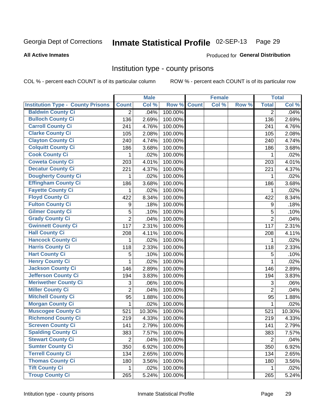# Inmate Statistical Profile 02-SEP-13 Page 29

### **All Active Inmates**

### Produced for General Distribution

### Institution type - county prisons

COL % - percent each COUNT is of its particular column

|                                          |                | <b>Male</b> |         |              | <b>Female</b> |       |                | <b>Total</b> |
|------------------------------------------|----------------|-------------|---------|--------------|---------------|-------|----------------|--------------|
| <b>Institution Type - County Prisons</b> | <b>Count</b>   | Col %       | Row %   | <b>Count</b> | Col %         | Row % | <b>Total</b>   | Col %        |
| <b>Baldwin County Ci</b>                 | $\overline{2}$ | .04%        | 100.00% |              |               |       | $\overline{2}$ | .04%         |
| <b>Bulloch County Ci</b>                 | 136            | 2.69%       | 100.00% |              |               |       | 136            | 2.69%        |
| <b>Carroll County Ci</b>                 | 241            | 4.76%       | 100.00% |              |               |       | 241            | 4.76%        |
| <b>Clarke County Ci</b>                  | 105            | 2.08%       | 100.00% |              |               |       | 105            | 2.08%        |
| <b>Clayton County Ci</b>                 | 240            | 4.74%       | 100.00% |              |               |       | 240            | 4.74%        |
| <b>Colquitt County Ci</b>                | 186            | 3.68%       | 100.00% |              |               |       | 186            | 3.68%        |
| <b>Cook County Ci</b>                    | 1              | .02%        | 100.00% |              |               |       | 1              | .02%         |
| <b>Coweta County Ci</b>                  | 203            | 4.01%       | 100.00% |              |               |       | 203            | 4.01%        |
| <b>Decatur County Ci</b>                 | 221            | 4.37%       | 100.00% |              |               |       | 221            | 4.37%        |
| <b>Dougherty County Ci</b>               | 1              | .02%        | 100.00% |              |               |       | 1              | .02%         |
| <b>Effingham County Ci</b>               | 186            | 3.68%       | 100.00% |              |               |       | 186            | 3.68%        |
| <b>Fayette County Ci</b>                 | 1              | .02%        | 100.00% |              |               |       | 1              | .02%         |
| <b>Floyd County Ci</b>                   | 422            | 8.34%       | 100.00% |              |               |       | 422            | 8.34%        |
| <b>Fulton County Ci</b>                  | 9              | .18%        | 100.00% |              |               |       | 9              | .18%         |
| <b>Gilmer County Ci</b>                  | 5              | .10%        | 100.00% |              |               |       | 5              | .10%         |
| <b>Grady County Ci</b>                   | $\overline{2}$ | .04%        | 100.00% |              |               |       | $\overline{2}$ | .04%         |
| <b>Gwinnett County Ci</b>                | 117            | 2.31%       | 100.00% |              |               |       | 117            | 2.31%        |
| <b>Hall County Ci</b>                    | 208            | 4.11%       | 100.00% |              |               |       | 208            | 4.11%        |
| <b>Hancock County Ci</b>                 | 1              | .02%        | 100.00% |              |               |       | 1              | .02%         |
| <b>Harris County Ci</b>                  | 118            | 2.33%       | 100.00% |              |               |       | 118            | 2.33%        |
| <b>Hart County Ci</b>                    | 5              | .10%        | 100.00% |              |               |       | 5              | .10%         |
| <b>Henry County Ci</b>                   | 1              | .02%        | 100.00% |              |               |       | 1              | .02%         |
| <b>Jackson County Ci</b>                 | 146            | 2.89%       | 100.00% |              |               |       | 146            | 2.89%        |
| <b>Jefferson County Ci</b>               | 194            | 3.83%       | 100.00% |              |               |       | 194            | 3.83%        |
| <b>Meriwether County Ci</b>              | 3              | .06%        | 100.00% |              |               |       | 3              | .06%         |
| <b>Miller County Ci</b>                  | $\overline{2}$ | .04%        | 100.00% |              |               |       | $\overline{2}$ | .04%         |
| <b>Mitchell County Ci</b>                | 95             | 1.88%       | 100.00% |              |               |       | 95             | 1.88%        |
| <b>Morgan County Ci</b>                  | 1              | .02%        | 100.00% |              |               |       | 1              | .02%         |
| <b>Muscogee County Ci</b>                | 521            | 10.30%      | 100.00% |              |               |       | 521            | 10.30%       |
| <b>Richmond County Ci</b>                | 219            | 4.33%       | 100.00% |              |               |       | 219            | 4.33%        |
| <b>Screven County Ci</b>                 | 141            | 2.79%       | 100.00% |              |               |       | 141            | 2.79%        |
| <b>Spalding County Ci</b>                | 383            | 7.57%       | 100.00% |              |               |       | 383            | 7.57%        |
| <b>Stewart County Ci</b>                 | $\overline{2}$ | .04%        | 100.00% |              |               |       | $\overline{2}$ | .04%         |
| <b>Sumter County Ci</b>                  | 350            | 6.92%       | 100.00% |              |               |       | 350            | 6.92%        |
| <b>Terrell County Ci</b>                 | 134            | 2.65%       | 100.00% |              |               |       | 134            | 2.65%        |
| <b>Thomas County Ci</b>                  | 180            | 3.56%       | 100.00% |              |               |       | 180            | 3.56%        |
| <b>Tift County Ci</b>                    | 1              | .02%        | 100.00% |              |               |       | 1              | .02%         |
| <b>Troup County Ci</b>                   | 265            | 5.24%       | 100.00% |              |               |       | 265            | 5.24%        |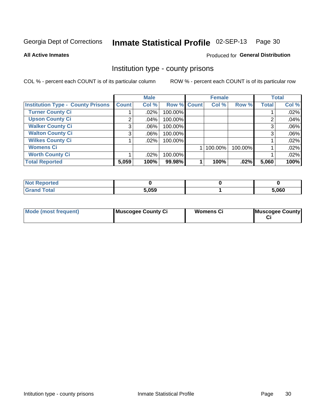# Inmate Statistical Profile 02-SEP-13 Page 30

**All Active Inmates** 

### Produced for General Distribution

### Institution type - county prisons

COL % - percent each COUNT is of its particular column

|                                          |              | <b>Male</b> |             | <b>Female</b> |         |              | <b>Total</b> |
|------------------------------------------|--------------|-------------|-------------|---------------|---------|--------------|--------------|
| <b>Institution Type - County Prisons</b> | <b>Count</b> | Col %       | Row % Count | Col %         | Row %   | <b>Total</b> | Col %        |
| <b>Turner County Ci</b>                  |              | $.02\%$     | 100.00%     |               |         |              | .02%         |
| <b>Upson County Ci</b>                   | 2            | .04%        | 100.00%     |               |         | റ            | .04%         |
| <b>Walker County Ci</b>                  | 3            | $.06\%$     | 100.00%     |               |         | 3            | .06%         |
| <b>Walton County Ci</b>                  | 3            | $.06\%$     | 100.00%     |               |         |              | .06%         |
| <b>Wilkes County Ci</b>                  |              | $.02\%$     | 100.00%     |               |         |              | .02%         |
| <b>Womens Ci</b>                         |              |             |             | 100.00%       | 100.00% |              | .02%         |
| <b>Worth County Ci</b>                   |              | $.02\%$     | 100.00%     |               |         |              | .02%         |
| <b>Total Reported</b>                    | 5,059        | 100%        | 99.98%      | 100%          | $.02\%$ | 5,060        | 100%         |

| <b>Not Reported</b> |       |       |
|---------------------|-------|-------|
| <b>Grand Total</b>  | 5,059 | 5,060 |

| <b>Mode (most frequent)</b> | Muscogee County Ci | Womens Ci | Muscogee County |
|-----------------------------|--------------------|-----------|-----------------|
|-----------------------------|--------------------|-----------|-----------------|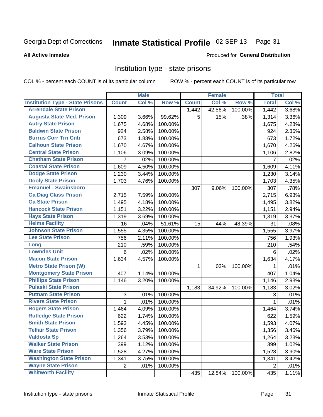### Inmate Statistical Profile 02-SEP-13 Page 31

### **All Active Inmates**

### Produced for General Distribution

### Institution type - state prisons

COL % - percent each COUNT is of its particular column

|                                         |              | <b>Male</b> |         |              | <b>Female</b> |         | <b>Total</b>   |       |
|-----------------------------------------|--------------|-------------|---------|--------------|---------------|---------|----------------|-------|
| <b>Institution Type - State Prisons</b> | <b>Count</b> | Col %       | Row %   | <b>Count</b> | Col %         | Row %   | <b>Total</b>   | Col % |
| <b>Arrendale State Prison</b>           |              |             |         | 1,442        | 42.56%        | 100.00% | 1,442          | 3.68% |
| <b>Augusta State Med. Prison</b>        | 1,309        | 3.66%       | 99.62%  | 5            | .15%          | .38%    | 1,314          | 3.36% |
| <b>Autry State Prison</b>               | 1,675        | 4.68%       | 100.00% |              |               |         | 1,675          | 4.28% |
| <b>Baldwin State Prison</b>             | 924          | 2.58%       | 100.00% |              |               |         | 924            | 2.36% |
| <b>Burrus Corr Trn Cntr</b>             | 673          | 1.88%       | 100.00% |              |               |         | 673            | 1.72% |
| <b>Calhoun State Prison</b>             | 1,670        | 4.67%       | 100.00% |              |               |         | 1,670          | 4.26% |
| <b>Central State Prison</b>             | 1,106        | 3.09%       | 100.00% |              |               |         | 1,106          | 2.82% |
| <b>Chatham State Prison</b>             | 7            | .02%        | 100.00% |              |               |         | $\overline{7}$ | .02%  |
| <b>Coastal State Prison</b>             | 1,609        | 4.50%       | 100.00% |              |               |         | 1,609          | 4.11% |
| <b>Dodge State Prison</b>               | 1,230        | 3.44%       | 100.00% |              |               |         | 1,230          | 3.14% |
| <b>Dooly State Prison</b>               | 1,703        | 4.76%       | 100.00% |              |               |         | 1,703          | 4.35% |
| <b>Emanuel - Swainsboro</b>             |              |             |         | 307          | 9.06%         | 100.00% | 307            | .78%  |
| <b>Ga Diag Class Prison</b>             | 2,715        | 7.59%       | 100.00% |              |               |         | 2,715          | 6.93% |
| <b>Ga State Prison</b>                  | 1,495        | 4.18%       | 100.00% |              |               |         | 1,495          | 3.82% |
| <b>Hancock State Prison</b>             | 1,151        | 3.22%       | 100.00% |              |               |         | 1,151          | 2.94% |
| <b>Hays State Prison</b>                | 1,319        | 3.69%       | 100.00% |              |               |         | 1,319          | 3.37% |
| <b>Helms Facility</b>                   | 16           | .04%        | 51.61%  | 15           | .44%          | 48.39%  | 31             | .08%  |
| <b>Johnson State Prison</b>             | 1,555        | 4.35%       | 100.00% |              |               |         | 1,555          | 3.97% |
| <b>Lee State Prison</b>                 | 756          | 2.11%       | 100.00% |              |               |         | 756            | 1.93% |
| Long                                    | 210          | .59%        | 100.00% |              |               |         | 210            | .54%  |
| <b>Lowndes Unit</b>                     | $\,6$        | .02%        | 100.00% |              |               |         | 6              | .02%  |
| <b>Macon State Prison</b>               | 1,634        | 4.57%       | 100.00% |              |               |         | 1,634          | 4.17% |
| <b>Metro State Prison (W)</b>           |              |             |         | 1            | .03%          | 100.00% | 1              | .01%  |
| <b>Montgomery State Prison</b>          | 407          | 1.14%       | 100.00% |              |               |         | 407            | 1.04% |
| <b>Phillips State Prison</b>            | 1,146        | 3.20%       | 100.00% |              |               |         | 1,146          | 2.93% |
| <b>Pulaski State Prison</b>             |              |             |         | 1,183        | 34.92%        | 100.00% | 1,183          | 3.02% |
| <b>Putnam State Prison</b>              | $\sqrt{3}$   | .01%        | 100.00% |              |               |         | 3              | .01%  |
| <b>Rivers State Prison</b>              | 1            | .01%        | 100.00% |              |               |         | 1              | .01%  |
| <b>Rogers State Prison</b>              | 1,464        | 4.09%       | 100.00% |              |               |         | 1,464          | 3.74% |
| <b>Rutledge State Prison</b>            | 622          | 1.74%       | 100.00% |              |               |         | 622            | 1.59% |
| <b>Smith State Prison</b>               | 1,593        | 4.45%       | 100.00% |              |               |         | 1,593          | 4.07% |
| <b>Telfair State Prison</b>             | 1,356        | 3.79%       | 100.00% |              |               |         | 1,356          | 3.46% |
| <b>Valdosta Sp</b>                      | 1,264        | 3.53%       | 100.00% |              |               |         | 1,264          | 3.23% |
| <b>Walker State Prison</b>              | 399          | 1.12%       | 100.00% |              |               |         | 399            | 1.02% |
| <b>Ware State Prison</b>                | 1,528        | 4.27%       | 100.00% |              |               |         | 1,528          | 3.90% |
| <b>Washington State Prison</b>          | 1,341        | 3.75%       | 100.00% |              |               |         | 1,341          | 3.42% |
| <b>Wayne State Prison</b>               | 2            | .01%        | 100.00% |              |               |         | 2              | .01%  |
| <b>Whitworth Facility</b>               |              |             |         | 435          | 12.84%        | 100.00% | 435            | 1.11% |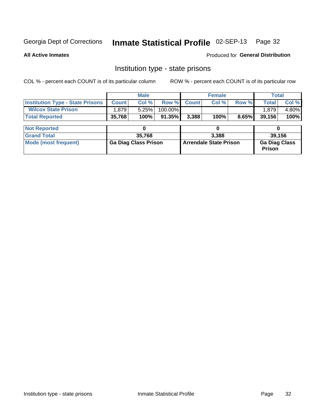# Inmate Statistical Profile 02-SEP-13 Page 32

**All Active Inmates** 

Produced for General Distribution

# Institution type - state prisons

COL % - percent each COUNT is of its particular column

|                                         |                             | <b>Male</b> |                               |              | <b>Female</b> |                                       |        | <b>Total</b> |  |  |
|-----------------------------------------|-----------------------------|-------------|-------------------------------|--------------|---------------|---------------------------------------|--------|--------------|--|--|
| <b>Institution Type - State Prisons</b> | <b>Count</b>                | Col %       | Row %                         | <b>Count</b> | Col %         | Row %                                 | Total  | Col %        |  |  |
| <b>Wilcox State Prison</b>              | .879                        | 5.25%       | $100.00\%$                    |              |               |                                       | 1,879  | 4.80%        |  |  |
| <b>Total Reported</b>                   | 35,768                      | 100%        | $91.35\%$                     | 3,388        | 100%          | 8.65%                                 | 39,156 | 100%         |  |  |
|                                         |                             |             |                               |              |               |                                       |        |              |  |  |
| <b>Not Reported</b>                     |                             |             |                               |              | 0             |                                       |        |              |  |  |
| <b>Grand Total</b>                      |                             | 35,768      |                               |              | 3,388         |                                       |        | 39,156       |  |  |
| <b>Mode (most frequent)</b>             | <b>Ga Diag Class Prison</b> |             | <b>Arrendale State Prison</b> |              |               | <b>Ga Diag Class</b><br><b>Prison</b> |        |              |  |  |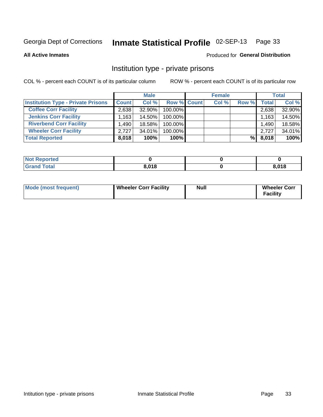# Inmate Statistical Profile 02-SEP-13 Page 33

**All Active Inmates** 

### Produced for General Distribution

### Institution type - private prisons

COL % - percent each COUNT is of its particular column

|                                           | <b>Male</b>       |        |                    | <b>Female</b> |       |       | <b>Total</b> |  |
|-------------------------------------------|-------------------|--------|--------------------|---------------|-------|-------|--------------|--|
| <b>Institution Type - Private Prisons</b> | <b>Count</b>      | Col %  | <b>Row % Count</b> | Col %         | Row % | Total | Col %        |  |
| <b>Coffee Corr Facility</b>               | 2,638             | 32.90% | 100.00%            |               |       | 2,638 | 32.90%       |  |
| <b>Jenkins Corr Facility</b>              | .163 <sup>1</sup> | 14.50% | 100.00%            |               |       | 1,163 | 14.50%       |  |
| <b>Riverbend Corr Facility</b>            | .490              | 18.58% | 100.00%            |               |       | 1,490 | 18.58%       |  |
| <b>Wheeler Corr Facility</b>              | 2.727             | 34.01% | 100.00%            |               |       | 2.727 | 34.01%       |  |
| <b>Total Reported</b>                     | 8,018             | 100%   | $100\%$            |               | %∣    | 8,018 | 100%         |  |

| 'Not<br><b>Reported</b> |       |       |
|-------------------------|-------|-------|
| <b>Total</b>            | 8,018 | 8,018 |

| Mode (most frequent) | <b>Wheeler Corr Facility</b> | <b>Null</b> | <b>Wheeler Corr</b><br><b>Facility</b> |
|----------------------|------------------------------|-------------|----------------------------------------|
|----------------------|------------------------------|-------------|----------------------------------------|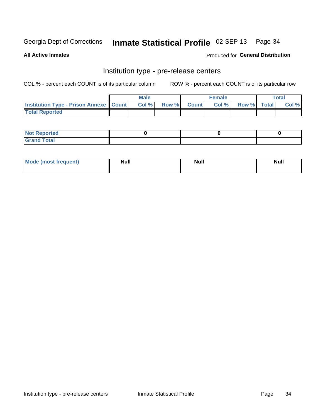# Inmate Statistical Profile 02-SEP-13 Page 34

**All Active Inmates** 

Produced for General Distribution

# Institution type - pre-release centers

COL % - percent each COUNT is of its particular column

|                                                   | <b>Male</b> |             | <b>Female</b> |             | <b>Total</b> |
|---------------------------------------------------|-------------|-------------|---------------|-------------|--------------|
| <b>Institution Type - Prison Annexe   Count  </b> | Col%        | Row % Count | Col%          | Row % Total | Col %        |
| <b>Total Reported</b>                             |             |             |               |             |              |

| <b>Reported</b><br>I NOT |  |  |
|--------------------------|--|--|
| <b>Total</b><br>$C$ ren  |  |  |

| Mor<br><b>ruent</b> )<br>rea<br>nos | <b>Null</b> | <b>Moll</b><br>_____ | . .<br><b>Null</b> |
|-------------------------------------|-------------|----------------------|--------------------|
|                                     |             |                      |                    |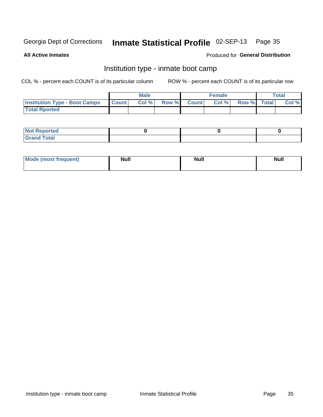#### Inmate Statistical Profile 02-SEP-13 Page 35

**All Active Inmates** 

### Produced for General Distribution

# Institution type - inmate boot camp

COL % - percent each COUNT is of its particular column

|                                      |              | <b>Male</b> |             | <b>Female</b> |             | Total |
|--------------------------------------|--------------|-------------|-------------|---------------|-------------|-------|
| <b>Institution Type - Boot Camps</b> | <b>Count</b> | Col %       | Row % Count | Col%          | Row % Total | Col % |
| <b>Total Rported</b>                 |              |             |             |               |             |       |

| <b>Not Reported</b>                   |  |  |
|---------------------------------------|--|--|
| <b>Total</b><br><b>C HAM</b><br>_____ |  |  |

| <b>I Mode (most frequent)</b> | <b>Null</b> | <b>Null</b> | <b>Null</b> |
|-------------------------------|-------------|-------------|-------------|
|                               |             |             |             |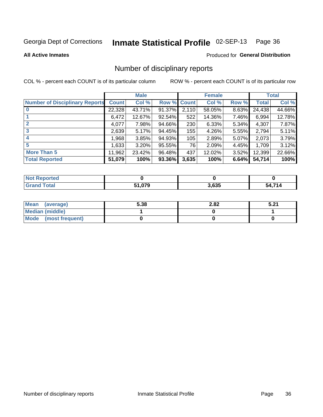### Inmate Statistical Profile 02-SEP-13 Page 36

**All Active Inmates** 

### **Produced for General Distribution**

### Number of disciplinary reports

COL % - percent each COUNT is of its particular column

|                                       |              | <b>Male</b> |             |       | <b>Female</b> |       |        | <b>Total</b> |
|---------------------------------------|--------------|-------------|-------------|-------|---------------|-------|--------|--------------|
| <b>Number of Disciplinary Reports</b> | <b>Count</b> | Col %       | Row % Count |       | Col %         | Row % | Total  | Col %        |
| $\bf{0}$                              | 22,328       | 43.71%      | 91.37%      | 2,110 | 58.05%        | 8.63% | 24,438 | 44.66%       |
|                                       | 6,472        | 12.67%      | 92.54%      | 522   | 14.36%        | 7.46% | 6,994  | 12.78%       |
| $\mathbf{2}$                          | 4,077        | 7.98%       | 94.66%      | 230   | 6.33%         | 5.34% | 4,307  | 7.87%        |
| 3                                     | 2,639        | 5.17%       | 94.45%      | 155   | 4.26%         | 5.55% | 2,794  | 5.11%        |
|                                       | .968         | 3.85%       | 94.93%      | 105   | 2.89%         | 5.07% | 2,073  | 3.79%        |
| 5                                     | 1,633        | 3.20%       | 95.55%      | 76    | 2.09%         | 4.45% | 1,709  | 3.12%        |
| <b>More Than 5</b>                    | 11,962       | 23.42%      | 96.48%      | 437   | 12.02%        | 3.52% | 12,399 | 22.66%       |
| <b>Total Reported</b>                 | 51,079       | 100%        | 93.36%      | 3,635 | 100%          | 6.64% | 54,714 | 100%         |

| Reported<br><b>NOT</b> |        |       |      |
|------------------------|--------|-------|------|
| Total                  | 079. ا | 3,635 | 74.4 |

| Mean (average)         | 5.38 | 2.82 | E 94<br>. J.Z. |
|------------------------|------|------|----------------|
| <b>Median (middle)</b> |      |      |                |
| Mode (most frequent)   |      |      |                |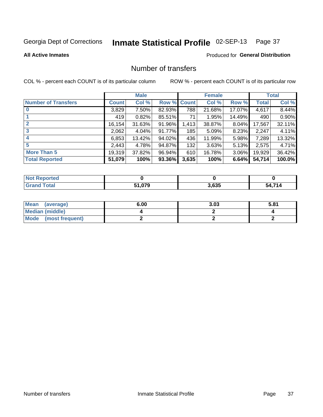# Inmate Statistical Profile 02-SEP-13 Page 37

#### **All Active Inmates**

## **Produced for General Distribution**

# Number of transfers

COL % - percent each COUNT is of its particular column

|                            |         | <b>Male</b> |        |              | <b>Female</b> |          |              | <b>Total</b> |
|----------------------------|---------|-------------|--------|--------------|---------------|----------|--------------|--------------|
| <b>Number of Transfers</b> | Count l | Col %       | Row %  | <b>Count</b> | Col %         | Row %    | <b>Total</b> | Col %        |
|                            | 3,829   | $7.50\%$    | 82.93% | 788          | 21.68%        | 17.07%   | 4,617        | 8.44%        |
|                            | 419     | 0.82%       | 85.51% | 71           | 1.95%         | 14.49%   | 490          | 0.90%        |
| $\mathbf{2}$               | 16, 154 | 31.63%      | 91.96% | 1,413        | 38.87%        | $8.04\%$ | 17,567       | 32.11%       |
| 3                          | 2,062   | 4.04%       | 91.77% | 185          | 5.09%         | 8.23%    | 2,247        | 4.11%        |
| 4                          | 6,853   | 13.42%      | 94.02% | 436          | 11.99%        | 5.98%    | 7,289        | 13.32%       |
| 5                          | 2,443   | 4.78%       | 94.87% | 132          | 3.63%         | 5.13%    | 2,575        | 4.71%        |
| <b>More Than 5</b>         | 19,319  | 37.82%      | 96.94% | 610          | 16.78%        | $3.06\%$ | 19,929       | 36.42%       |
| <b>Total Reported</b>      | 51,079  | 100%        | 93.36% | 3,635        | 100%          | 6.64%    | 54,714       | 100.0%       |

| <b>Not Reported</b> |        |       |             |
|---------------------|--------|-------|-------------|
| <b>Total</b>        | 61,079 | 3,635 | 4,714<br>54 |

| Mean (average)       | 6.00 | 3.03 | 5.81 |
|----------------------|------|------|------|
| Median (middle)      |      |      |      |
| Mode (most frequent) |      |      |      |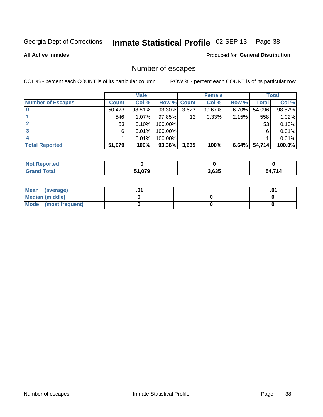# Inmate Statistical Profile 02-SEP-13 Page 38

**All Active Inmates** 

Produced for General Distribution

# Number of escapes

COL % - percent each COUNT is of its particular column

|                          |              | <b>Male</b> |                    |       | <b>Female</b> |       |        | <b>Total</b> |
|--------------------------|--------------|-------------|--------------------|-------|---------------|-------|--------|--------------|
| <b>Number of Escapes</b> | <b>Count</b> | Col %       | <b>Row % Count</b> |       | Col %         | Row % | Total  | Col %        |
|                          | 50,473       | 98.81%      | 93.30%             | 3,623 | 99.67%        | 6.70% | 54,096 | 98.87%       |
|                          | 546          | 1.07%       | 97.85%             | 12    | 0.33%         | 2.15% | 558    | 1.02%        |
|                          | 53           | 0.10%       | 100.00%            |       |               |       | 53     | 0.10%        |
|                          | 6            | 0.01%       | 100.00%            |       |               |       | 6      | 0.01%        |
|                          |              | 0.01%       | 100.00%            |       |               |       |        | 0.01%        |
| <b>Total Reported</b>    | 51,079       | 100%        | 93.36%             | 3,635 | 100%          | 6.64% | 54,714 | 100.0%       |

| rted |        |       |          |
|------|--------|-------|----------|
|      | 51,079 | 3,635 | 74A<br>״ |

| Mean (average)       |  | ו ש. |
|----------------------|--|------|
| Median (middle)      |  |      |
| Mode (most frequent) |  |      |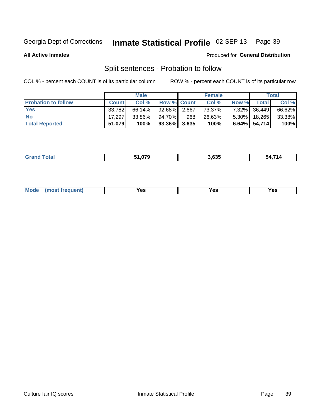#### Inmate Statistical Profile 02-SEP-13 Page 39

**All Active Inmates** 

#### Produced for General Distribution

# Split sentences - Probation to follow

COL % - percent each COUNT is of its particular column

|                            |              | <b>Male</b> |                    |     | <b>Female</b> |          |                 | <b>Total</b> |
|----------------------------|--------------|-------------|--------------------|-----|---------------|----------|-----------------|--------------|
| <b>Probation to follow</b> | <b>Count</b> | Col%        | <b>Row % Count</b> |     | Col %         | Row %    | Total           | Col %        |
| <b>Yes</b>                 | 33.782       | 66.14%      | 92.68% 2.667       |     | 73.37%        | $7.32\%$ | 36,449          | 66.62%       |
| <b>No</b>                  | 17,297       | 33.86%      | 94.70%             | 968 | 26.63%        | $5.30\%$ | 18,265          | 33.38%       |
| <b>Total Reported</b>      | 51,079       | 100%        | $93.36\%$ 3,635    |     | 100%          |          | $6.64\%$ 54,714 | 100%         |

| . | 3 635<br>. மக | 74A<br>מי<br>$\sim$ |
|---|---------------|---------------------|
|   |               |                     |

| Mode<br>res<br>Yes<br><b>YAC</b><br>. |
|---------------------------------------|
|---------------------------------------|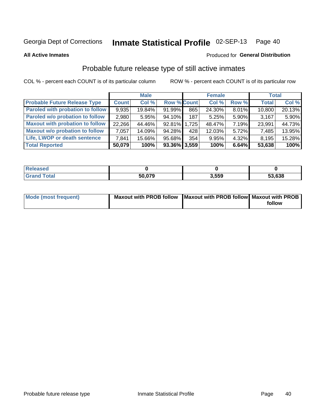#### Inmate Statistical Profile 02-SEP-13 Page 40

**All Active Inmates** 

#### Produced for General Distribution

# Probable future release type of still active inmates

COL % - percent each COUNT is of its particular column

|                                         |              | <b>Male</b> |                 |     | <b>Female</b> |          | <b>Total</b> |        |
|-----------------------------------------|--------------|-------------|-----------------|-----|---------------|----------|--------------|--------|
| <b>Probable Future Release Type</b>     | <b>Count</b> | Col%        | Row % Count     |     | Col%          | Row %    | <b>Total</b> | Col %  |
| <b>Paroled with probation to follow</b> | 9,935        | 19.84%      | 91.99%          | 865 | 24.30%        | $8.01\%$ | 10,800       | 20.13% |
| Paroled w/o probation to follow         | 2,980        | 5.95%       | $94.10\%$       | 187 | 5.25%         | 5.90%    | 3,167        | 5.90%  |
| <b>Maxout with probation to follow</b>  | 22,266       | 44.46%      | 92.81% 1,725    |     | 48.47%        | 7.19%    | 23,991       | 44.73% |
| <b>Maxout w/o probation to follow</b>   | 7,057        | 14.09%      | 94.28%          | 428 | 12.03%        | $5.72\%$ | 7,485        | 13.95% |
| Life, LWOP or death sentence            | 7.841        | 15.66%      | 95.68%          | 354 | 9.95%         | $4.32\%$ | 8,195        | 15.28% |
| <b>Total Reported</b>                   | 50,079       | 100%        | $93.36\%$ 3,559 |     | 100%          | 6.64%    | 53,638       | 100%   |

| eleased     |        |       |        |
|-------------|--------|-------|--------|
| <b>otal</b> | 50 079 | 3.559 | 53,638 |

| <b>Mode (most frequent)</b> | Maxout with PROB follow   Maxout with PROB follow   Maxout with PROB |        |
|-----------------------------|----------------------------------------------------------------------|--------|
|                             |                                                                      | follow |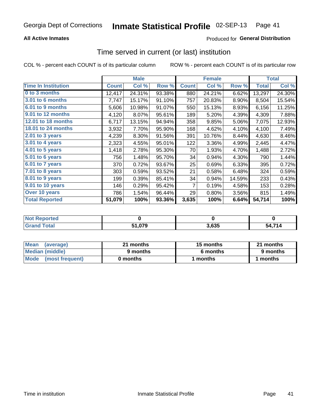### **All Active Inmates**

## **Produced for General Distribution**

# Time served in current (or last) institution

COL % - percent each COUNT is of its particular column

|                            |              | <b>Male</b> |        |                | <b>Female</b> |        |              | <b>Total</b> |
|----------------------------|--------------|-------------|--------|----------------|---------------|--------|--------------|--------------|
| <b>Time In Institution</b> | <b>Count</b> | Col %       | Row %  | <b>Count</b>   | Col %         | Row %  | <b>Total</b> | Col %        |
| 0 to 3 months              | 12,417       | 24.31%      | 93.38% | 880            | 24.21%        | 6.62%  | 13,297       | 24.30%       |
| 3.01 to 6 months           | 7,747        | 15.17%      | 91.10% | 757            | 20.83%        | 8.90%  | 8,504        | 15.54%       |
| 6.01 to 9 months           | 5,606        | 10.98%      | 91.07% | 550            | 15.13%        | 8.93%  | 6,156        | 11.25%       |
| 9.01 to 12 months          | 4,120        | 8.07%       | 95.61% | 189            | 5.20%         | 4.39%  | 4,309        | 7.88%        |
| 12.01 to 18 months         | 6,717        | 13.15%      | 94.94% | 358            | 9.85%         | 5.06%  | 7,075        | 12.93%       |
| <b>18.01 to 24 months</b>  | 3,932        | 7.70%       | 95.90% | 168            | 4.62%         | 4.10%  | 4,100        | 7.49%        |
| 2.01 to 3 years            | 4,239        | 8.30%       | 91.56% | 391            | 10.76%        | 8.44%  | 4,630        | 8.46%        |
| $3.01$ to 4 years          | 2,323        | 4.55%       | 95.01% | 122            | 3.36%         | 4.99%  | 2,445        | 4.47%        |
| 4.01 to 5 years            | 1,418        | 2.78%       | 95.30% | 70             | 1.93%         | 4.70%  | 1,488        | 2.72%        |
| 5.01 to 6 years            | 756          | 1.48%       | 95.70% | 34             | 0.94%         | 4.30%  | 790          | 1.44%        |
| 6.01 to 7 years            | 370          | 0.72%       | 93.67% | 25             | 0.69%         | 6.33%  | 395          | 0.72%        |
| 7.01 to 8 years            | 303          | 0.59%       | 93.52% | 21             | 0.58%         | 6.48%  | 324          | 0.59%        |
| $8.01$ to 9 years          | 199          | 0.39%       | 85.41% | 34             | 0.94%         | 14.59% | 233          | 0.43%        |
| 9.01 to 10 years           | 146          | 0.29%       | 95.42% | $\overline{7}$ | 0.19%         | 4.58%  | 153          | 0.28%        |
| Over 10 years              | 786          | 1.54%       | 96.44% | 29             | 0.80%         | 3.56%  | 815          | 1.49%        |
| <b>Total Reported</b>      | 51,079       | 100%        | 93.36% | 3,635          | 100%          | 6.64%  | 54,714       | 100%         |

| <b>Reported</b><br><b>Not</b> |        |       |        |
|-------------------------------|--------|-------|--------|
| <b>otal</b>                   | 51,079 | 3,635 | 54 71A |

| <b>Mean</b><br>(average) | 21 months | 15 months | 21 months |  |
|--------------------------|-----------|-----------|-----------|--|
| Median (middle)          | 9 months  | 6 months  | 9 months  |  |
| Mode<br>(most frequent)  | 0 months  | months    | months    |  |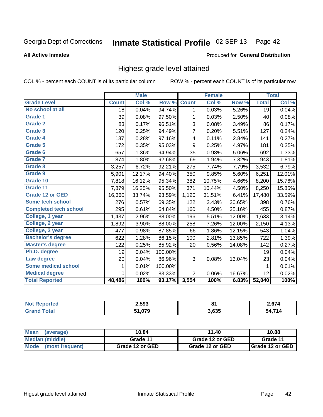#### Inmate Statistical Profile 02-SEP-13 Page 42

#### **All Active Inmates**

### Produced for General Distribution

# Highest grade level attained

COL % - percent each COUNT is of its particular column

|                              |                 | <b>Male</b> |         |                  | <b>Female</b> |        |              | <b>Total</b> |
|------------------------------|-----------------|-------------|---------|------------------|---------------|--------|--------------|--------------|
| <b>Grade Level</b>           | <b>Count</b>    | Col %       | Row %   | <b>Count</b>     | Col %         | Row %  | <b>Total</b> | Col %        |
| No school at all             | $\overline{18}$ | 0.04%       | 94.74%  | 1                | 0.03%         | 5.26%  | 19           | 0.04%        |
| Grade 1                      | 39              | 0.08%       | 97.50%  | 1                | 0.03%         | 2.50%  | 40           | 0.08%        |
| <b>Grade 2</b>               | 83              | 0.17%       | 96.51%  | 3                | 0.08%         | 3.49%  | 86           | 0.17%        |
| <b>Grade 3</b>               | 120             | 0.25%       | 94.49%  | 7                | 0.20%         | 5.51%  | 127          | 0.24%        |
| Grade 4                      | 137             | 0.28%       | 97.16%  | 4                | 0.11%         | 2.84%  | 141          | 0.27%        |
| Grade 5                      | 172             | 0.35%       | 95.03%  | $\boldsymbol{9}$ | 0.25%         | 4.97%  | 181          | 0.35%        |
| Grade 6                      | 657             | 1.36%       | 94.94%  | 35               | 0.98%         | 5.06%  | 692          | 1.33%        |
| Grade 7                      | 874             | 1.80%       | 92.68%  | 69               | 1.94%         | 7.32%  | 943          | 1.81%        |
| Grade 8                      | 3,257           | 6.72%       | 92.21%  | 275              | 7.74%         | 7.79%  | 3,532        | 6.79%        |
| Grade 9                      | 5,901           | 12.17%      | 94.40%  | 350              | 9.85%         | 5.60%  | 6,251        | 12.01%       |
| Grade 10                     | 7,818           | 16.12%      | 95.34%  | 382              | 10.75%        | 4.66%  | 8,200        | 15.76%       |
| Grade 11                     | 7,879           | 16.25%      | 95.50%  | 371              | 10.44%        | 4.50%  | 8,250        | 15.85%       |
| <b>Grade 12 or GED</b>       | 16,360          | 33.74%      | 93.59%  | 1,120            | 31.51%        | 6.41%  | 17,480       | 33.59%       |
| Some tech school             | 276             | 0.57%       | 69.35%  | 122              | 3.43%         | 30.65% | 398          | 0.76%        |
| <b>Completed tech school</b> | 295             | 0.61%       | 64.84%  | 160              | 4.50%         | 35.16% | 455          | 0.87%        |
| College, 1 year              | 1,437           | 2.96%       | 88.00%  | 196              | 5.51%         | 12.00% | 1,633        | 3.14%        |
| College, 2 year              | 1,892           | 3.90%       | 88.00%  | 258              | 7.26%         | 12.00% | 2,150        | 4.13%        |
| College, 3 year              | 477             | 0.98%       | 87.85%  | 66               | 1.86%         | 12.15% | 543          | 1.04%        |
| <b>Bachelor's degree</b>     | 622             | 1.28%       | 86.15%  | 100              | 2.81%         | 13.85% | 722          | 1.39%        |
| <b>Master's degree</b>       | 122             | 0.25%       | 85.92%  | 20               | 0.56%         | 14.08% | 142          | 0.27%        |
| Ph.D. degree                 | 19              | 0.04%       | 100.00% |                  |               |        | 19           | 0.04%        |
| Law degree                   | 20              | 0.04%       | 86.96%  | 3                | 0.08%         | 13.04% | 23           | 0.04%        |
| <b>Some medical school</b>   | 1               | 0.01%       | 100.00% |                  |               |        | 1            | 0.01%        |
| <b>Medical degree</b>        | 10              | 0.02%       | 83.33%  | $\overline{2}$   | 0.06%         | 16.67% | 12           | 0.02%        |
| <b>Total Reported</b>        | 48,486          | 100%        | 93.17%  | 3,554            | 100%          | 6.83%  | 52,040       | 100%         |

| 2,593  | $\bullet$<br>$\mathbf{o}$ . | $\sim$ C $74$ |
|--------|-----------------------------|---------------|
| 51.079 | 3.635                       | 74.4          |

| <b>Mean</b><br>(average) | 10.84           | 11.40           | 10.88           |
|--------------------------|-----------------|-----------------|-----------------|
| Median (middle)          | Grade 11        | Grade 12 or GED | Grade 11        |
| Mode<br>(most frequent)  | Grade 12 or GED | Grade 12 or GED | Grade 12 or GED |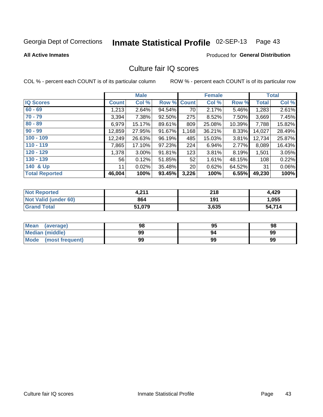# Inmate Statistical Profile 02-SEP-13 Page 43

#### **All Active Inmates**

## **Produced for General Distribution**

# Culture fair IQ scores

COL % - percent each COUNT is of its particular column

|                       |              | <b>Male</b> |        |                 | <b>Female</b> |           |              | <b>Total</b> |
|-----------------------|--------------|-------------|--------|-----------------|---------------|-----------|--------------|--------------|
| <b>IQ Scores</b>      | <b>Count</b> | Col %       | Row %  | <b>Count</b>    | Col %         | Row %     | <b>Total</b> | Col %        |
| $60 - 69$             | 1,213        | 2.64%       | 94.54% | 70              | 2.17%         | 5.46%     | 1,283        | 2.61%        |
| $70 - 79$             | 3,394        | 7.38%       | 92.50% | 275             | 8.52%         | 7.50%     | 3,669        | 7.45%        |
| $80 - 89$             | 6,979        | 15.17%      | 89.61% | 809             | 25.08%        | $10.39\%$ | 7,788        | 15.82%       |
| $90 - 99$             | 12,859       | 27.95%      | 91.67% | 1,168           | 36.21%        | 8.33%     | 14,027       | 28.49%       |
| $100 - 109$           | 12,249       | 26.63%      | 96.19% | 485             | 15.03%        | 3.81%     | 12,734       | 25.87%       |
| $110 - 119$           | 7,865        | 17.10%      | 97.23% | 224             | 6.94%         | 2.77%     | 8,089        | 16.43%       |
| $120 - 129$           | 1,378        | $3.00\%$    | 91.81% | 123             | 3.81%         | 8.19%     | 1,501        | 3.05%        |
| $130 - 139$           | 56           | 0.12%       | 51.85% | 52              | 1.61%         | 48.15%    | 108          | 0.22%        |
| 140 & Up              | 11           | 0.02%       | 35.48% | 20 <sub>1</sub> | 0.62%         | 64.52%    | 31           | 0.06%        |
| <b>Total Reported</b> | 46,004       | 100%        | 93.45% | 3,226           | 100%          | 6.55%     | 49,230       | 100%         |

| <b>Not Reported</b>         | 4,211  | 218   | 4,429  |
|-----------------------------|--------|-------|--------|
| <b>Not Valid (under 60)</b> | 864    | 191   | 1,055  |
| <b>Grand Total</b>          | 51,079 | 3,635 | 54,714 |

| <b>Mean</b><br>(average) | 98 | 95 | 98 |
|--------------------------|----|----|----|
| <b>Median (middle)</b>   | 99 | 94 | 99 |
| Mode<br>(most frequent)  | 99 | 99 | 99 |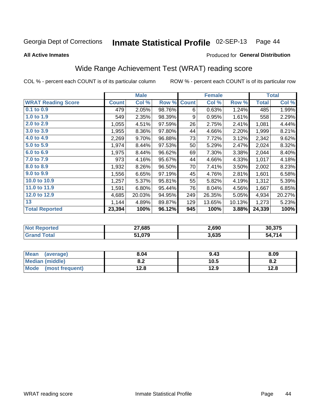#### Inmate Statistical Profile 02-SEP-13 Page 44

**All Active Inmates** 

#### Produced for General Distribution

# Wide Range Achievement Test (WRAT) reading score

COL % - percent each COUNT is of its particular column

|                           |              | <b>Male</b> |        |              | <b>Female</b> |        |              | <b>Total</b> |
|---------------------------|--------------|-------------|--------|--------------|---------------|--------|--------------|--------------|
| <b>WRAT Reading Score</b> | <b>Count</b> | Col %       | Row %  | <b>Count</b> | Col %         | Row %  | <b>Total</b> | Col %        |
| $0.1$ to $0.9$            | 479          | 2.05%       | 98.76% | 6            | 0.63%         | 1.24%  | 485          | 1.99%        |
| 1.0 to 1.9                | 549          | 2.35%       | 98.39% | 9            | 0.95%         | 1.61%  | 558          | 2.29%        |
| 2.0 to 2.9                | 1,055        | 4.51%       | 97.59% | 26           | 2.75%         | 2.41%  | 1,081        | 4.44%        |
| 3.0 to 3.9                | 1,955        | 8.36%       | 97.80% | 44           | 4.66%         | 2.20%  | 1,999        | 8.21%        |
| 4.0 to 4.9                | 2,269        | 9.70%       | 96.88% | 73           | 7.72%         | 3.12%  | 2,342        | 9.62%        |
| 5.0 to 5.9                | 1,974        | 8.44%       | 97.53% | 50           | 5.29%         | 2.47%  | 2,024        | 8.32%        |
| 6.0 to 6.9                | 1,975        | 8.44%       | 96.62% | 69           | 7.30%         | 3.38%  | 2,044        | 8.40%        |
| 7.0 to 7.9                | 973          | 4.16%       | 95.67% | 44           | 4.66%         | 4.33%  | 1,017        | 4.18%        |
| 8.0 to 8.9                | 1,932        | 8.26%       | 96.50% | 70           | 7.41%         | 3.50%  | 2,002        | 8.23%        |
| 9.0 to 9.9                | 1,556        | 6.65%       | 97.19% | 45           | 4.76%         | 2.81%  | 1,601        | 6.58%        |
| 10.0 to 10.9              | 1,257        | 5.37%       | 95.81% | 55           | 5.82%         | 4.19%  | 1,312        | 5.39%        |
| 11.0 to 11.9              | 1,591        | 6.80%       | 95.44% | 76           | 8.04%         | 4.56%  | 1,667        | 6.85%        |
| 12.0 to 12.9              | 4,685        | 20.03%      | 94.95% | 249          | 26.35%        | 5.05%  | 4,934        | 20.27%       |
| 13                        | 1,144        | 4.89%       | 89.87% | 129          | 13.65%        | 10.13% | 1,273        | 5.23%        |
| <b>Total Reported</b>     | 23,394       | 100%        | 96.12% | 945          | 100%          | 3.88%  | 24,339       | 100%         |

| <b>TEG</b><br>NO | 27,685 | 2,690 | 30.375                   |
|------------------|--------|-------|--------------------------|
|                  | 51,079 | 3,635 | 74.4<br>וש<br>$\sqrt{ }$ |

| Mean<br>(average)       | 8.04       | 9.43 | 8.09 |
|-------------------------|------------|------|------|
| <b>Median (middle)</b>  | ר ס<br>0.4 | 10.5 | O.A  |
| Mode<br>(most frequent) | 12.8       | 12.9 | 12.8 |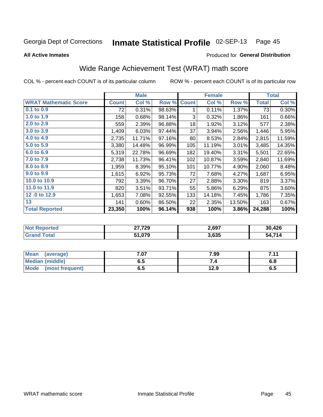#### Inmate Statistical Profile 02-SEP-13 Page 45

Produced for General Distribution

#### **All Active Inmates**

# Wide Range Achievement Test (WRAT) math score

COL % - percent each COUNT is of its particular column

|                              |              | <b>Male</b> |        |              | <b>Female</b> |        |              | <b>Total</b> |
|------------------------------|--------------|-------------|--------|--------------|---------------|--------|--------------|--------------|
| <b>WRAT Mathematic Score</b> | <b>Count</b> | Col %       | Row %  | <b>Count</b> | Col %         | Row %  | <b>Total</b> | Col %        |
| $0.1$ to $0.9$               | 72           | 0.31%       | 98.63% | 1            | 0.11%         | 1.37%  | 73           | 0.30%        |
| 1.0 to 1.9                   | 158          | 0.68%       | 98.14% | 3            | 0.32%         | 1.86%  | 161          | 0.66%        |
| 2.0 to 2.9                   | 559          | 2.39%       | 96.88% | 18           | 1.92%         | 3.12%  | 577          | 2.38%        |
| 3.0 to 3.9                   | 1,409        | 6.03%       | 97.44% | 37           | 3.94%         | 2.56%  | 1,446        | 5.95%        |
| 4.0 to 4.9                   | 2,735        | 11.71%      | 97.16% | 80           | 8.53%         | 2.84%  | 2,815        | 11.59%       |
| 5.0 to 5.9                   | 3,380        | 14.48%      | 96.99% | 105          | 11.19%        | 3.01%  | 3,485        | 14.35%       |
| 6.0 to 6.9                   | 5,319        | 22.78%      | 96.69% | 182          | 19.40%        | 3.31%  | 5,501        | 22.65%       |
| 7.0 to 7.9                   | 2,738        | 11.73%      | 96.41% | 102          | 10.87%        | 3.59%  | 2,840        | 11.69%       |
| 8.0 to 8.9                   | 1,959        | 8.39%       | 95.10% | 101          | 10.77%        | 4.90%  | 2,060        | 8.48%        |
| 9.0 to 9.9                   | 1,615        | 6.92%       | 95.73% | 72           | 7.68%         | 4.27%  | 1,687        | 6.95%        |
| 10.0 to 10.9                 | 792          | 3.39%       | 96.70% | 27           | 2.88%         | 3.30%  | 819          | 3.37%        |
| 11.0 to 11.9                 | 820          | 3.51%       | 93.71% | 55           | 5.86%         | 6.29%  | 875          | 3.60%        |
| 12.0 to 12.9                 | 1,653        | 7.08%       | 92.55% | 133          | 14.18%        | 7.45%  | 1,786        | 7.35%        |
| 13                           | 141          | 0.60%       | 86.50% | 22           | 2.35%         | 13.50% | 163          | 0.67%        |
| <b>Total Reported</b>        | 23,350       | 100%        | 96.14% | 938          | 100%          | 3.86%  | 24,288       | 100%         |

| <b>Not Reported</b> | 27,729 | 2,697 | 30,426          |
|---------------------|--------|-------|-----------------|
| <b>Grand Total</b>  | 51,079 | 3,635 | 54.714<br>4.714 |

| <b>Mean</b><br>(average) | 7.07 | 7.99 | 7.11<br>. |
|--------------------------|------|------|-----------|
| Median (middle)          | כ.ס  | ۰.,  | υ.ο       |
| Mode<br>(most frequent)  | υ.υ  | 12.9 | ხ.ე       |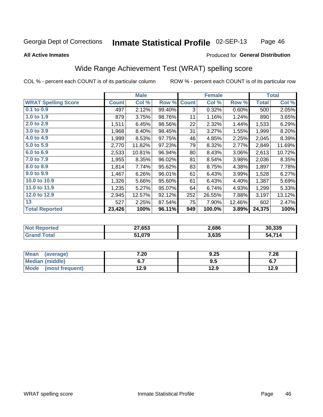#### Inmate Statistical Profile 02-SEP-13 Page 46

#### **All Active Inmates**

### Produced for General Distribution

# Wide Range Achievement Test (WRAT) spelling score

COL % - percent each COUNT is of its particular column

|                            |              | <b>Male</b> |        |              | <b>Female</b> |        |              | <b>Total</b> |
|----------------------------|--------------|-------------|--------|--------------|---------------|--------|--------------|--------------|
| <b>WRAT Spelling Score</b> | <b>Count</b> | Col %       | Row %  | <b>Count</b> | Col %         | Row %  | <b>Total</b> | Col %        |
| 0.1 to 0.9                 | 497          | 2.12%       | 99.40% | 3            | 0.32%         | 0.60%  | 500          | 2.05%        |
| 1.0 to 1.9                 | 879          | 3.75%       | 98.76% | 11           | 1.16%         | 1.24%  | 890          | 3.65%        |
| 2.0 to 2.9                 | 1,511        | 6.45%       | 98.56% | 22           | 2.32%         | 1.44%  | 1,533        | 6.29%        |
| 3.0 to 3.9                 | 1,968        | 8.40%       | 98.45% | 31           | 3.27%         | 1.55%  | 1,999        | 8.20%        |
| 4.0 to 4.9                 | 1,999        | 8.53%       | 97.75% | 46           | 4.85%         | 2.25%  | 2,045        | 8.39%        |
| 5.0 to 5.9                 | 2,770        | 11.82%      | 97.23% | 79           | 8.32%         | 2.77%  | 2,849        | 11.69%       |
| 6.0 to 6.9                 | 2,533        | 10.81%      | 96.94% | 80           | 8.43%         | 3.06%  | 2,613        | 10.72%       |
| 7.0 to 7.9                 | 1,955        | 8.35%       | 96.02% | 81           | 8.54%         | 3.98%  | 2,036        | 8.35%        |
| 8.0 to 8.9                 | 1,814        | 7.74%       | 95.62% | 83           | 8.75%         | 4.38%  | 1,897        | 7.78%        |
| 9.0 to 9.9                 | 1,467        | 6.26%       | 96.01% | 61           | 6.43%         | 3.99%  | 1,528        | 6.27%        |
| 10.0 to 10.9               | 1,326        | 5.66%       | 95.60% | 61           | 6.43%         | 4.40%  | 1,387        | 5.69%        |
| 11.0 to 11.9               | 1,235        | 5.27%       | 95.07% | 64           | 6.74%         | 4.93%  | 1,299        | 5.33%        |
| 12.0 to 12.9               | 2,945        | 12.57%      | 92.12% | 252          | 26.55%        | 7.88%  | 3,197        | 13.12%       |
| 13                         | 527          | 2.25%       | 87.54% | 75           | 7.90%         | 12.46% | 602          | 2.47%        |
| <b>Total Reported</b>      | 23,426       | 100%        | 96.11% | 949          | 100.0%        | 3.89%  | 24,375       | 100%         |

| Teu.<br>NO | 27,653 | 2,686 | 30.339                   |
|------------|--------|-------|--------------------------|
|            | 51,079 | 3,635 | 74.4<br>$\sqrt{ }$<br>וש |

| <b>Mean</b><br>(average) | 7.20 | 9.25 | 7.28 |
|--------------------------|------|------|------|
| Median (middle)          |      | ຩ.   | ν.,  |
| Mode<br>(most frequent)  | 12.9 | 12.9 | 12.9 |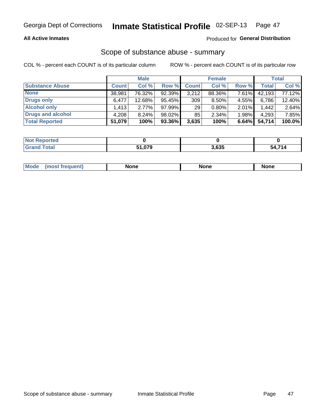### **All Active Inmates**

### Produced for General Distribution

# Scope of substance abuse - summary

COL % - percent each COUNT is of its particular column

|                        |              | <b>Male</b> |           |              | <b>Female</b> |       |              | <b>Total</b> |
|------------------------|--------------|-------------|-----------|--------------|---------------|-------|--------------|--------------|
| <b>Substance Abuse</b> | <b>Count</b> | Col %       | Row %     | <b>Count</b> | Col %         | Row % | <b>Total</b> | Col %        |
| <b>None</b>            | 38,981       | 76.32%      | 92.39%    | 3,212        | 88.36%        | 7.61% | 42,193       | 77.12%       |
| <b>Drugs only</b>      | 6,477        | 12.68%      | 95.45%    | 309          | $8.50\%$      | 4.55% | 6,786        | 12.40%       |
| <b>Alcohol only</b>    | .413         | $2.77\%$    | $97.99\%$ | 29           | $0.80\%$      | 2.01% | 1,442        | 2.64%        |
| Drugs and alcohol      | 4,208        | $8.24\%$    | 98.02%    | 85           | $2.34\%$      | 1.98% | 4,293        | 7.85%        |
| <b>Total Reported</b>  | 51,079       | 100%        | $93.36\%$ | 3,635        | 100%          | 6.64% | 54,714       | 100.0%       |

| <b>Not</b><br>Reported |        |       |        |
|------------------------|--------|-------|--------|
| <b>ind Total</b>       | 51,079 | 3,635 | 54,714 |

| Mode<br>None<br>None<br>None<br>quenu |
|---------------------------------------|
|---------------------------------------|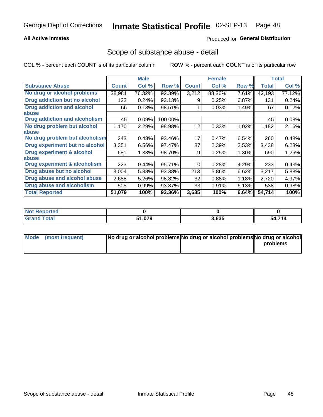### **All Active Inmates**

## **Produced for General Distribution**

## Scope of substance abuse - detail

COL % - percent each COUNT is of its particular column

|                                      |              | <b>Male</b> |         |              | <b>Female</b> |       |              | <b>Total</b> |
|--------------------------------------|--------------|-------------|---------|--------------|---------------|-------|--------------|--------------|
| <b>Substance Abuse</b>               | <b>Count</b> | Col %       | Row %   | <b>Count</b> | Col %         | Row % | <b>Total</b> | Col %        |
| No drug or alcohol problems          | 38,981       | 76.32%      | 92.39%  | 3,212        | 88.36%        | 7.61% | 42,193       | 77.12%       |
| Drug addiction but no alcohol        | 122          | 0.24%       | 93.13%  | 9            | 0.25%         | 6.87% | 131          | 0.24%        |
| <b>Drug addiction and alcohol</b>    | 66           | 0.13%       | 98.51%  |              | 0.03%         | 1.49% | 67           | 0.12%        |
| <b>labuse</b>                        |              |             |         |              |               |       |              |              |
| <b>Drug addiction and alcoholism</b> | 45           | 0.09%       | 100.00% |              |               |       | 45           | 0.08%        |
| No drug problem but alcohol          | 1,170        | 2.29%       | 98.98%  | 12           | 0.33%         | 1.02% | 1,182        | 2.16%        |
| <b>labuse</b>                        |              |             |         |              |               |       |              |              |
| No drug problem but alcoholism       | 243          | 0.48%       | 93.46%  | 17           | 0.47%         | 6.54% | 260          | 0.48%        |
| Drug experiment but no alcohol       | 3,351        | 6.56%       | 97.47%  | 87           | 2.39%         | 2.53% | 3,438        | 6.28%        |
| <b>Drug experiment &amp; alcohol</b> | 681          | 1.33%       | 98.70%  | 9            | 0.25%         | 1.30% | 690          | 1.26%        |
| <b>labuse</b>                        |              |             |         |              |               |       |              |              |
| Drug experiment & alcoholism         | 223          | 0.44%       | 95.71%  | 10           | 0.28%         | 4.29% | 233          | 0.43%        |
| Drug abuse but no alcohol            | 3,004        | 5.88%       | 93.38%  | 213          | 5.86%         | 6.62% | 3,217        | 5.88%        |
| Drug abuse and alcohol abuse         | 2,688        | 5.26%       | 98.82%  | 32           | 0.88%         | 1.18% | 2,720        | 4.97%        |
| <b>Drug abuse and alcoholism</b>     | 505          | 0.99%       | 93.87%  | 33           | 0.91%         | 6.13% | 538          | 0.98%        |
| <b>Total Reported</b>                | 51,079       | 100%        | 93.36%  | 3,635        | 100%          | 6.64% | 54,714       | 100%         |

| ported<br><b>NOT</b> |        |       |        |
|----------------------|--------|-------|--------|
| <b>otal</b>          | 51,079 | 3,635 | 54,714 |

| Mode (most frequent) | No drug or alcohol problems No drug or alcohol problems No drug or alcohol |          |
|----------------------|----------------------------------------------------------------------------|----------|
|                      |                                                                            | problems |
|                      |                                                                            |          |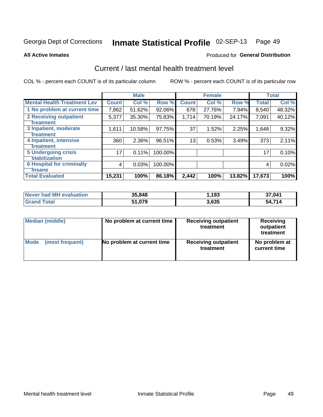#### Inmate Statistical Profile 02-SEP-13 Page 49

**All Active Inmates** 

### **Produced for General Distribution**

# Current / last mental health treatment level

COL % - percent each COUNT is of its particular column

|                                    |              | <b>Male</b> |         |              | <b>Female</b> |        |              | <b>Total</b> |
|------------------------------------|--------------|-------------|---------|--------------|---------------|--------|--------------|--------------|
| <b>Mental Health Treatment Lev</b> | <b>Count</b> | Col %       | Row %   | <b>Count</b> | Col %         | Row %  | <b>Total</b> | Col %        |
| 1 No problem at current time       | 7,862        | 51.62%      | 92.06%  | 678          | 27.76%        | 7.94%  | 8,540        | 48.32%       |
| 2 Receiving outpatient             | 5,377        | 35.30%      | 75.83%  | 1,714        | 70.19%        | 24.17% | 7,091        | 40.12%       |
| <b>Treatment</b>                   |              |             |         |              |               |        |              |              |
| 3 Inpatient, moderate              | 1,611        | 10.58%      | 97.75%  | 37           | 1.52%         | 2.25%  | 1,648        | 9.32%        |
| <b>Treatment</b>                   |              |             |         |              |               |        |              |              |
| 4 Inpatient, intensive             | 360          | 2.36%       | 96.51%  | 13           | 0.53%         | 3.49%  | 373          | 2.11%        |
| <b>Treatment</b>                   |              |             |         |              |               |        |              |              |
| <b>5 Undergoing crisis</b>         | 17           | 0.11%       | 100.00% |              |               |        | 17           | 0.10%        |
| <b>stabilization</b>               |              |             |         |              |               |        |              |              |
| <b>6 Hospital for criminally</b>   | 4            | 0.03%       | 100.00% |              |               |        | 4            | 0.02%        |
| <b>Tinsane</b>                     |              |             |         |              |               |        |              |              |
| <b>Total Evaluated</b>             | 15,231       | 100%        | 86.18%  | 2,442        | 100%          | 13.82% | 17,673       | 100%         |

| Never had MH evaluation | 35,848 | 193. ا | 37,041 |
|-------------------------|--------|--------|--------|
| <b>Grand Total</b>      | 51,079 | 3,635  | 54,714 |

| Median (middle) | No problem at current time | <b>Receiving outpatient</b><br>treatment | <b>Receiving</b><br>outpatient<br>treatment |
|-----------------|----------------------------|------------------------------------------|---------------------------------------------|
| <b>Mode</b>     | No problem at current time | <b>Receiving outpatient</b>              | No problem at                               |
| (most frequent) |                            | treatment                                | current time                                |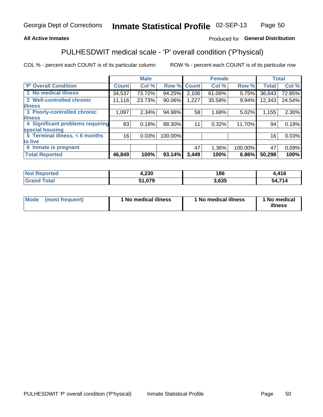### **All Active Inmates**

### Produced for General Distribution

# PULHESDWIT medical scale - 'P' overall condition ('P'hysical)

COL % - percent each COUNT is of its particular column

|                                  |              | <b>Male</b> |         |              | <b>Female</b> |         |              | <b>Total</b> |
|----------------------------------|--------------|-------------|---------|--------------|---------------|---------|--------------|--------------|
| 'P' Overall Condition            | <b>Count</b> | Col %       | Row %   | <b>Count</b> | Col %         | Row %   | <b>Total</b> | Col %        |
| 1 No medical illness             | 34,537       | 73.72%      | 94.25%  | 2,106        | 61.06%        | 5.75%   | 36,643       | 72.85%       |
| 2 Well-controlled chronic        | 11,116       | 23.73%      | 90.06%  | 1,227        | 35.58%        | 9.94%   | 12,343       | 24.54%       |
| <b>illness</b>                   |              |             |         |              |               |         |              |              |
| 3 Poorly-controlled chronic      | 1,097        | $2.34\%$    | 94.98%  | 58           | 1.68%         | 5.02%   | 1,155        | 2.30%        |
| <b>illness</b>                   |              |             |         |              |               |         |              |              |
| 4 Significant problems requiring | 83           | 0.18%       | 88.30%  | 11           | 0.32%         | 11.70%  | 94           | 0.19%        |
| special housing                  |              |             |         |              |               |         |              |              |
| 5 Terminal illness, < 6 months   | 16           | 0.03%       | 100.00% |              |               |         | 16           | 0.03%        |
| to live                          |              |             |         |              |               |         |              |              |
| 6 Inmate is pregnant             |              |             |         | 47           | 1.36%         | 100.00% | 47           | 0.09%        |
| <b>Total Reported</b>            | 46,849       | 100%        | 93.14%  | 3,449        | 100%          | 6.86%   | 50,298       | 100%         |

| orted | ົດລດ<br>שכ∡,ו | 186  | 11C |
|-------|---------------|------|-----|
|       | 0.70          | .635 | 714 |

| Mode | (most frequent) | 1 No medical illness | 1 No medical illness | 1 No medical<br>illness |
|------|-----------------|----------------------|----------------------|-------------------------|
|------|-----------------|----------------------|----------------------|-------------------------|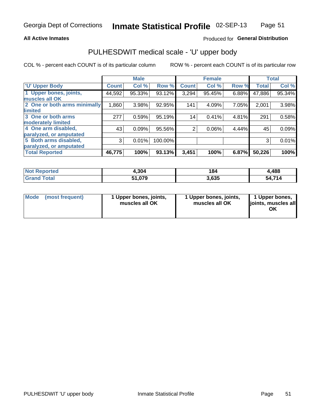#### **All Active Inmates**

### Produced for General Distribution

# PULHESDWIT medical scale - 'U' upper body

COL % - percent each COUNT is of its particular column

|                              |              | <b>Male</b> |         |                | <b>Female</b> |       |              | <b>Total</b> |
|------------------------------|--------------|-------------|---------|----------------|---------------|-------|--------------|--------------|
| <b>U' Upper Body</b>         | <b>Count</b> | Col %       | Row %   | <b>Count</b>   | Col %         | Row % | <b>Total</b> | Col %        |
| 1 Upper bones, joints,       | 44,592       | 95.33%      | 93.12%  | 3,294          | 95.45%        | 6.88% | 47,886       | 95.34%       |
| muscles all OK               |              |             |         |                |               |       |              |              |
| 2 One or both arms minimally | 1,860        | 3.98%       | 92.95%  | 141            | 4.09%         | 7.05% | 2,001        | 3.98%        |
| limited                      |              |             |         |                |               |       |              |              |
| 3 One or both arms           | 277          | 0.59%       | 95.19%  | 14             | 0.41%         | 4.81% | 291          | 0.58%        |
| <b>moderately limited</b>    |              |             |         |                |               |       |              |              |
| 4 One arm disabled,          | 43           | 0.09%       | 95.56%  | $\overline{2}$ | 0.06%         | 4.44% | 45           | 0.09%        |
| paralyzed, or amputated      |              |             |         |                |               |       |              |              |
| 5 Both arms disabled,        | 3            | 0.01%       | 100.00% |                |               |       | 3            | 0.01%        |
| paralyzed, or amputated      |              |             |         |                |               |       |              |              |
| <b>Total Reported</b>        | 46,775       | 100%        | 93.13%  | 3,451          | 100%          | 6.87% | 50,226       | 100%         |

| <b>Not Reported</b>   | 4,304  | 184   | ,488   |
|-----------------------|--------|-------|--------|
| <b>Total</b><br>Grand | 51,079 | 3,635 | 54,714 |

| Mode<br>(most frequent) | 1 Upper bones, joints,<br>muscles all OK | 1 Upper bones, joints,<br>muscles all OK | 1 Upper bones,<br>joints, muscles all<br>ΟK |
|-------------------------|------------------------------------------|------------------------------------------|---------------------------------------------|
|-------------------------|------------------------------------------|------------------------------------------|---------------------------------------------|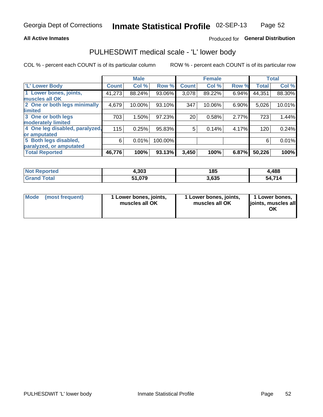#### **All Active Inmates**

## Produced for General Distribution

# PULHESDWIT medical scale - 'L' lower body

COL % - percent each COUNT is of its particular column

|                                |              | <b>Male</b> |         |              | <b>Female</b> |       |              | <b>Total</b> |
|--------------------------------|--------------|-------------|---------|--------------|---------------|-------|--------------|--------------|
| 'L' Lower Body                 | <b>Count</b> | Col %       | Row %   | <b>Count</b> | Col %         | Row % | <b>Total</b> | Col %        |
| 1 Lower bones, joints,         | 41,273       | 88.24%      | 93.06%  | 3,078        | 89.22%        | 6.94% | 44,351       | 88.30%       |
| muscles all OK                 |              |             |         |              |               |       |              |              |
| 2 One or both legs minimally   | 4,679        | 10.00%      | 93.10%  | 347          | 10.06%        | 6.90% | 5,026        | 10.01%       |
| limited                        |              |             |         |              |               |       |              |              |
| 3 One or both legs             | 703          | 1.50%       | 97.23%  | 20           | 0.58%         | 2.77% | 723          | 1.44%        |
| moderately limited             |              |             |         |              |               |       |              |              |
| 4 One leg disabled, paralyzed, | 115          | 0.25%       | 95.83%  | 5            | 0.14%         | 4.17% | 120          | 0.24%        |
| or amputated                   |              |             |         |              |               |       |              |              |
| 5 Both legs disabled,          | 6            | 0.01%       | 100.00% |              |               |       | 6            | 0.01%        |
| paralyzed, or amputated        |              |             |         |              |               |       |              |              |
| <b>Total Reported</b>          | 46,776       | 100%        | 93.13%  | 3,450        | 100%          | 6.87% | 50,226       | 100%         |

| <b>Not Reported</b>          | 1,303  | 185   | ,488   |
|------------------------------|--------|-------|--------|
| <b>Total</b><br><b>Grand</b> | 51,079 | 3,635 | 54,714 |

|  | Mode (most frequent) | 1 Lower bones, joints,<br>muscles all OK | 1 Lower bones, joints,<br>muscles all OK | 1 Lower bones,<br>joints, muscles all<br>ΟK |
|--|----------------------|------------------------------------------|------------------------------------------|---------------------------------------------|
|--|----------------------|------------------------------------------|------------------------------------------|---------------------------------------------|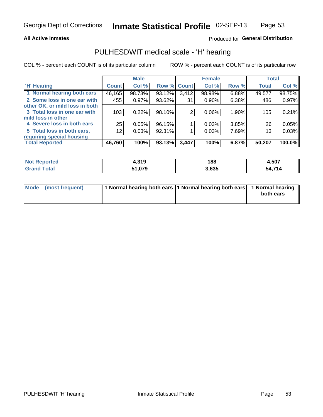#### **All Active Inmates**

## Produced for General Distribution

# PULHESDWIT medical scale - 'H' hearing

COL % - percent each COUNT is of its particular column

|                                |              | <b>Male</b> |             |       | <b>Female</b> |       | <b>Total</b> |        |
|--------------------------------|--------------|-------------|-------------|-------|---------------|-------|--------------|--------|
| <b>'H' Hearing</b>             | <b>Count</b> | Col %       | Row % Count |       | Col %         | Row % | <b>Total</b> | Col %  |
| 1 Normal hearing both ears     | 46,165       | 98.73%      | 93.12%      | 3,412 | 98.98%        | 6.88% | 49,577       | 98.75% |
| 2 Some loss in one ear with    | 455          | 0.97%       | 93.62%      | 31    | 0.90%         | 6.38% | 486          | 0.97%  |
| other OK, or mild loss in both |              |             |             |       |               |       |              |        |
| 3 Total loss in one ear with   | 103          | 0.22%       | 98.10%      | 2     | 0.06%         | 1.90% | 105          | 0.21%  |
| mild loss in other             |              |             |             |       |               |       |              |        |
| 4 Severe loss in both ears     | 25           | 0.05%       | 96.15%      |       | 0.03%         | 3.85% | 26           | 0.05%  |
| 5 Total loss in both ears,     | 12           | 0.03%       | 92.31%      |       | 0.03%         | 7.69% | 13           | 0.03%  |
| requiring special housing      |              |             |             |       |               |       |              |        |
| <b>Total Reported</b>          | 46,760       | 100%        | $93.13\%$   | 3,447 | 100%          | 6.87% | 50,207       | 100.0% |

| <b>Not Renc</b><br>™orted i | <b>240</b><br>4.J I J | 188   | .,507     |
|-----------------------------|-----------------------|-------|-----------|
| Total                       | 51,079                | 3,635 | 714<br>54 |

| Mode (most frequent) | 1 Normal hearing both ears 11 Normal hearing both ears 1 Normal hearing | both ears |
|----------------------|-------------------------------------------------------------------------|-----------|
|                      |                                                                         |           |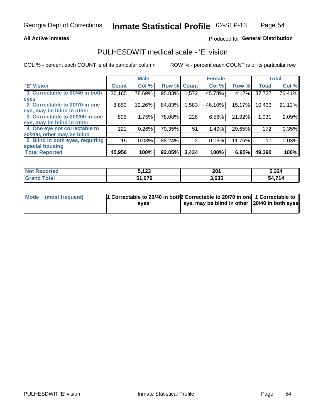#### **All Active Inmates**

### Produced for General Distribution

# PULHESDWIT medical scale - 'E' vision

COL % - percent each COUNT is of its particular column

|                                 |              | <b>Male</b> |        |              | <b>Female</b> |        |              | <b>Total</b> |
|---------------------------------|--------------|-------------|--------|--------------|---------------|--------|--------------|--------------|
| 'E' Vision                      | <b>Count</b> | Col %       | Row %  | <b>Count</b> | Col %         | Row %  | <b>Total</b> | Col %        |
| 1 Correctable to 20/40 in both  | 36,165       | 78.69%      | 95.83% | .572         | 45.78%        | 4.17%  | 37,737       | 76.41%       |
| eyes                            |              |             |        |              |               |        |              |              |
| 2 Correctable to 20/70 in one   | 8,850        | 19.26%      | 84.83% | 1,583        | 46.10%        | 15.17% | 10,433       | 21.12%       |
| eye, may be blind in other      |              |             |        |              |               |        |              |              |
| 3 Correctable to 20/200 in one  | 805          | 1.75%       | 78.08% | 226          | 6.58%         | 21.92% | 1,031        | 2.09%        |
| eye, may be blind in other      |              |             |        |              |               |        |              |              |
| 4 One eye not correctable to    | 121          | 0.26%       | 70.35% | 51           | 1.49%         | 29.65% | 172          | 0.35%        |
| 20/200, other may be blind      |              |             |        |              |               |        |              |              |
| 5 Blind in both eyes, requiring | 15           | 0.03%       | 88.24% | 2            | 0.06%         | 11.76% | 17           | 0.03%        |
| special housing                 |              |             |        |              |               |        |              |              |
| <b>Total Reported</b>           | 45,956       | 100%        | 93.05% | 3,434        | 100%          | 6.95%  | 49,390       | 100%         |

| <b>Not Reported</b>   | 5,123  | 201   | 5,324  |
|-----------------------|--------|-------|--------|
| Total<br><b>Grand</b> | 51,079 | 3,635 | 54,714 |

| Mode (most frequent) | 1 Correctable to 20/40 in both 2 Correctable to 20/70 in one 1 Correctable to |                                                |  |
|----------------------|-------------------------------------------------------------------------------|------------------------------------------------|--|
|                      | eves                                                                          | eye, may be blind in other 120/40 in both eyes |  |
|                      |                                                                               |                                                |  |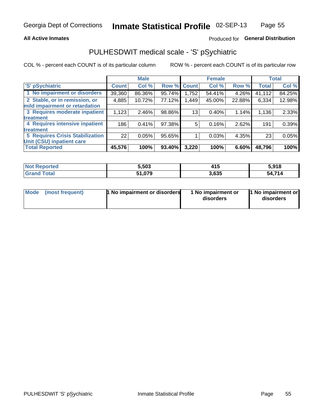### **All Active Inmates**

## Produced for General Distribution

# PULHESDWIT medical scale - 'S' pSychiatric

COL % - percent each COUNT is of its particular column

|                                        |              | <b>Male</b> |        |                 | <b>Female</b> |        |              | <b>Total</b> |
|----------------------------------------|--------------|-------------|--------|-----------------|---------------|--------|--------------|--------------|
| 'S' pSychiatric                        | <b>Count</b> | Col %       | Row %  | <b>Count</b>    | Col %         | Row %  | <b>Total</b> | Col %        |
| 1 No impairment or disorders           | 39,360       | 86.36%      | 95.74% | 1,752           | 54.41%        | 4.26%  | 41,112       | 84.25%       |
| 2 Stable, or in remission, or          | 4,885        | 10.72%      | 77.12% | .449            | 45.00%        | 22.88% | 6,334        | 12.98%       |
| mild impairment or retardation         |              |             |        |                 |               |        |              |              |
| 3 Requires moderate inpatient          | 1,123        | 2.46%       | 98.86% | 13 <sub>1</sub> | 0.40%         | 1.14%  | 1,136        | 2.33%        |
| <b>treatment</b>                       |              |             |        |                 |               |        |              |              |
| 4 Requires intensive inpatient         | 186          | 0.41%       | 97.38% | 5.              | 0.16%         | 2.62%  | 191          | 0.39%        |
| treatment                              |              |             |        |                 |               |        |              |              |
| <b>5 Requires Crisis Stabilization</b> | 22           | 0.05%       | 95.65% |                 | 0.03%         | 4.35%  | 23           | 0.05%        |
| Unit (CSU) inpatient care              |              |             |        |                 |               |        |              |              |
| <b>Total Reported</b>                  | 45,576       | 100%        | 93.40% | 3,220           | 100%          | 6.60%  | 48,796       | 100%         |

| <b>Not Reported</b>   | 5,503  | 415   | 5,918       |
|-----------------------|--------|-------|-------------|
| Total<br><b>Grand</b> | 51,079 | 3,635 | ,714<br>54. |

| Mode | (most frequent) | 1 No impairment or disorders | 1 No impairment or<br>disorders | 11 No impairment or<br>disorders |
|------|-----------------|------------------------------|---------------------------------|----------------------------------|
|------|-----------------|------------------------------|---------------------------------|----------------------------------|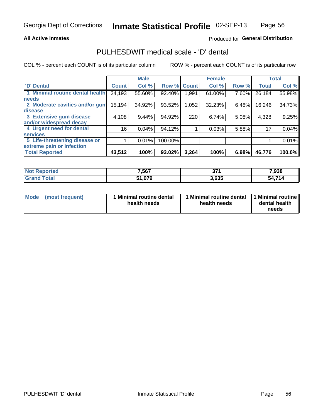#### **All Active Inmates**

### Produced for General Distribution

# PULHESDWIT medical scale - 'D' dental

COL % - percent each COUNT is of its particular column

|                                 |                 | <b>Male</b> |         |              | <b>Female</b> |       |              | <b>Total</b> |
|---------------------------------|-----------------|-------------|---------|--------------|---------------|-------|--------------|--------------|
| 'D' Dental                      | <b>Count</b>    | Col %       | Row %   | <b>Count</b> | Col %         | Row % | <b>Total</b> | Col %        |
| 1 Minimal routine dental health | 24,193          | 55.60%      | 92.40%  | <b>991</b> . | 61.00%        | 7.60% | 26,184       | 55.98%       |
| <b>needs</b>                    |                 |             |         |              |               |       |              |              |
| 2 Moderate cavities and/or gum  | 15,194          | 34.92%      | 93.52%  | 1,052        | 32.23%        | 6.48% | 16,246       | 34.73%       |
| disease                         |                 |             |         |              |               |       |              |              |
| 3 Extensive gum disease         | 4,108           | 9.44%       | 94.92%  | 220          | 6.74%         | 5.08% | 4,328        | 9.25%        |
| and/or widespread decay         |                 |             |         |              |               |       |              |              |
| 4 Urgent need for dental        | 16 <sub>1</sub> | 0.04%       | 94.12%  |              | 0.03%         | 5.88% | 17           | 0.04%        |
| <b>services</b>                 |                 |             |         |              |               |       |              |              |
| 5 Life-threatening disease or   |                 | 0.01%       | 100.00% |              |               |       |              | 0.01%        |
| extreme pain or infection       |                 |             |         |              |               |       |              |              |
| <b>Total Reported</b>           | 43,512          | 100%        | 93.02%  | 3,264        | 100%          | 6.98% | 46,776       | 100.0%       |

| <b>Not Reported</b>          | 7,567  | <b>074</b><br>J1 1 | 7,938  |
|------------------------------|--------|--------------------|--------|
| <b>Total</b><br><b>Grand</b> | 51,079 | 3,635              | 54,714 |

| 1 Minimal routine dental<br>Mode<br>(most frequent)<br>health needs | 1 Minimal routine dental 1 Minimal routine<br>health needs | dental health<br>needs |
|---------------------------------------------------------------------|------------------------------------------------------------|------------------------|
|---------------------------------------------------------------------|------------------------------------------------------------|------------------------|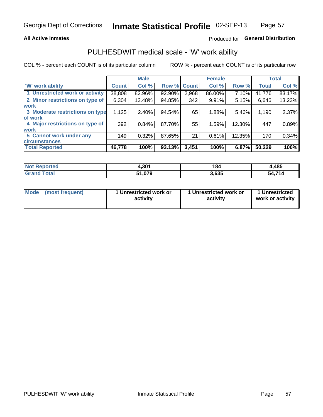### **All Active Inmates**

## Produced for General Distribution

# PULHESDWIT medical scale - 'W' work ability

COL % - percent each COUNT is of its particular column

|                                 |                    | <b>Male</b> |             |       | <b>Female</b> |        |              | <b>Total</b> |
|---------------------------------|--------------------|-------------|-------------|-------|---------------|--------|--------------|--------------|
| 'W' work ability                | Count <sup>1</sup> | Col %       | Row % Count |       | Col %         | Row %  | <b>Total</b> | Col %        |
| 1 Unrestricted work or activity | 38,808             | 82.96%      | 92.90%      | 2,968 | 86.00%        | 7.10%  | 41,776       | 83.17%       |
| 2 Minor restrictions on type of | 6,304              | 13.48%      | 94.85%      | 342   | 9.91%         | 5.15%  | 6,646        | 13.23%       |
| <b>work</b>                     |                    |             |             |       |               |        |              |              |
| 3 Moderate restrictions on type | 1,125              | 2.40%       | 94.54%      | 65    | 1.88%         | 5.46%  | 1,190        | 2.37%        |
| lof work                        |                    |             |             |       |               |        |              |              |
| 4 Major restrictions on type of | 392                | 0.84%       | 87.70%      | 55    | 1.59%         | 12.30% | 447          | 0.89%        |
| <b>work</b>                     |                    |             |             |       |               |        |              |              |
| 5 Cannot work under any         | 149                | 0.32%       | 87.65%      | 21    | 0.61%         | 12.35% | 170          | 0.34%        |
| <b>circumstances</b>            |                    |             |             |       |               |        |              |              |
| <b>Total Reported</b>           | 46,778             | 100%        | 93.13%      | 3,451 | 100%          | 6.87%  | 50,229       | 100%         |

| <b>Not Reported</b> | 4,301  | 184   | 1,485        |
|---------------------|--------|-------|--------------|
| Total<br>'Grand     | 979, ہ | 3,635 | 54,714<br>٠л |

| Mode            | 1 Unrestricted work or | 1 Unrestricted work or | 1 Unrestricted   |
|-----------------|------------------------|------------------------|------------------|
| (most frequent) | activity               | activity               | work or activity |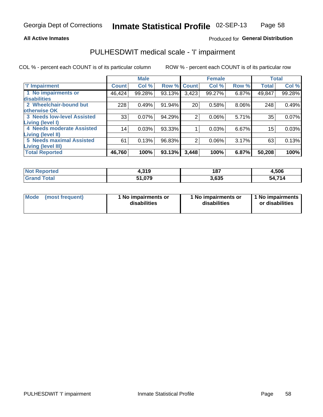#### **All Active Inmates**

### Produced for General Distribution

# PULHESDWIT medical scale - 'I' impairment

COL % - percent each COUNT is of its particular column ROW % - percent each COUNT is of its particular row

|                                   |                 | <b>Male</b> |             |                 | <b>Female</b> |       |              | <b>Total</b> |
|-----------------------------------|-----------------|-------------|-------------|-----------------|---------------|-------|--------------|--------------|
| 'l' Impairment                    | <b>Count</b>    | Col %       | Row % Count |                 | Col %         | Row % | <b>Total</b> | Col %        |
| 1 No impairments or               | 46,424          | 99.28%      | 93.13%      | 3,423           | 99.27%        | 6.87% | 49,847       | 99.28%       |
| disabilities                      |                 |             |             |                 |               |       |              |              |
| 2 Wheelchair-bound but            | 228             | 0.49%       | 91.94%      | 20 <sup>1</sup> | 0.58%         | 8.06% | 248          | 0.49%        |
| otherwise OK                      |                 |             |             |                 |               |       |              |              |
| <b>3 Needs low-level Assisted</b> | 33              | 0.07%       | 94.29%      | $\overline{2}$  | 0.06%         | 5.71% | 35           | 0.07%        |
| Living (level I)                  |                 |             |             |                 |               |       |              |              |
| 4 Needs moderate Assisted         | 14 <sub>1</sub> | 0.03%       | 93.33%      |                 | 0.03%         | 6.67% | 15           | 0.03%        |
| Living (level II)                 |                 |             |             |                 |               |       |              |              |
| <b>5 Needs maximal Assisted</b>   | 61              | 0.13%       | 96.83%      | 2               | 0.06%         | 3.17% | 63           | 0.13%        |
| <b>Living (level III)</b>         |                 |             |             |                 |               |       |              |              |
| <b>Total Reported</b>             | 46,760          | 100%        | 93.13%      | 3,448           | 100%          | 6.87% | 50,208       | 100%         |

| <b>Not</b><br><b>Reported</b> | +,319  | 187   | 4,506      |
|-------------------------------|--------|-------|------------|
| <b>Total</b>                  | 51,079 | 3,635 | .714<br>ь. |

| <b>Mode</b> | (most frequent) | <b>No impairments or</b><br>disabilities | 1 No impairments or<br>disabilities | 1 No impairments<br>or disabilities |
|-------------|-----------------|------------------------------------------|-------------------------------------|-------------------------------------|
|-------------|-----------------|------------------------------------------|-------------------------------------|-------------------------------------|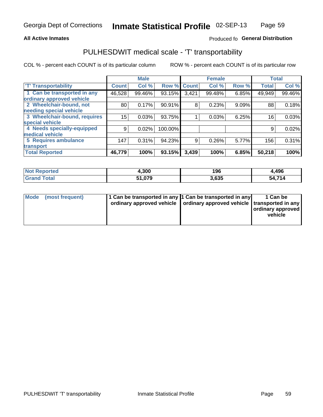#### **All Active Inmates**

### Produced fo General Distribution

# PULHESDWIT medical scale - 'T' transportability

COL % - percent each COUNT is of its particular column

|                              |              | <b>Male</b> |         |              | <b>Female</b> |       |              | <b>Total</b> |
|------------------------------|--------------|-------------|---------|--------------|---------------|-------|--------------|--------------|
| <b>T' Transportability</b>   | <b>Count</b> | Col %       | Row %   | <b>Count</b> | Col %         | Row % | <b>Total</b> | Col %        |
| 1 Can be transported in any  | 46,528       | 99.46%      | 93.15%  | 3,421        | 99.48%        | 6.85% | 49,949       | 99.46%       |
| ordinary approved vehicle    |              |             |         |              |               |       |              |              |
| 2 Wheelchair-bound, not      | 80           | 0.17%       | 90.91%  | 8            | 0.23%         | 9.09% | 88           | 0.18%        |
| needing special vehicle      |              |             |         |              |               |       |              |              |
| 3 Wheelchair-bound, requires | 15           | 0.03%       | 93.75%  |              | 0.03%         | 6.25% | 16           | 0.03%        |
| special vehicle              |              |             |         |              |               |       |              |              |
| 4 Needs specially-equipped   | 9            | 0.02%       | 100.00% |              |               |       | 9            | 0.02%        |
| medical vehicle              |              |             |         |              |               |       |              |              |
| <b>5 Requires ambulance</b>  | 147          | 0.31%       | 94.23%  | 9            | 0.26%         | 5.77% | 156          | 0.31%        |
| transport                    |              |             |         |              |               |       |              |              |
| <b>Total Reported</b>        | 46,779       | 100%        | 93.15%  | 3,439        | 100%          | 6.85% | 50,218       | 100%         |

| Not .<br>Reported | 4,300  | 196   | 4,496      |
|-------------------|--------|-------|------------|
| <b>Total</b>      | 51.079 | 3,635 | .714<br>50 |

|  | Mode (most frequent) | 1 Can be transported in any 1 Can be transported in any<br>ordinary approved vehicle   ordinary approved vehicle   transported in any |  | 1 Can be<br>  ordinary approved  <br>vehicle |
|--|----------------------|---------------------------------------------------------------------------------------------------------------------------------------|--|----------------------------------------------|
|--|----------------------|---------------------------------------------------------------------------------------------------------------------------------------|--|----------------------------------------------|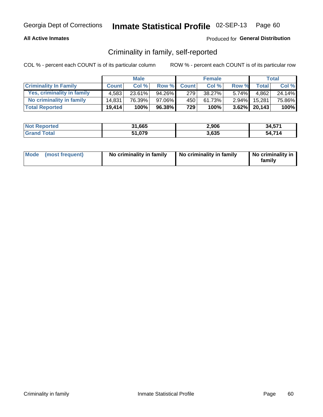### **All Active Inmates**

### Produced for General Distribution

## Criminality in family, self-reported

COL % - percent each COUNT is of its particular column

|                              |              | <b>Male</b> |        |              | <b>Female</b> |          |                 | Total  |
|------------------------------|--------------|-------------|--------|--------------|---------------|----------|-----------------|--------|
| <b>Criminality In Family</b> | <b>Count</b> | Col%        | Row %  | <b>Count</b> | Col %         | Row %    | <b>Total</b>    | Col %  |
| Yes, criminality in family   | 4.583        | $23.61\%$   | 94.26% | 279          | 38.27%        | $5.74\%$ | 4.862           | 24.14% |
| No criminality in family     | 14.831       | 76.39%      | 97.06% | 450          | 61.73%        | $2.94\%$ | 15.281          | 75.86% |
| <b>Total Reported</b>        | 19,414       | 100%        | 96.38% | 729          | 100%          |          | $3.62\%$ 20,143 | 100%   |

| <b>Not Reported</b> | 31,665 | 2,906 | 34,571         |
|---------------------|--------|-------|----------------|
| Total               | 51,079 | 3,635 | 74A<br>54<br>Ø |

|  | Mode (most frequent) | No criminality in family | No criminality in family | No criminality in<br>family |
|--|----------------------|--------------------------|--------------------------|-----------------------------|
|--|----------------------|--------------------------|--------------------------|-----------------------------|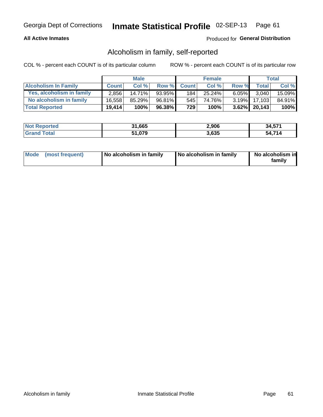### **All Active Inmates**

### Produced for General Distribution

## Alcoholism in family, self-reported

COL % - percent each COUNT is of its particular column

|                             |              | <b>Male</b> |        |              | <b>Female</b> |          |                 | Total  |
|-----------------------------|--------------|-------------|--------|--------------|---------------|----------|-----------------|--------|
| <b>Alcoholism In Family</b> | <b>Count</b> | Col %       | Row %  | <b>Count</b> | Col %         | Row %    | <b>Total</b>    | Col %  |
| Yes, alcoholism in family   | 2.856        | 14.71%      | 93.95% | 184          | 25.24%        | $6.05\%$ | 3.040           | 15.09% |
| No alcoholism in family     | 16.558       | $85.29\%$   | 96.81% | 545          | 74.76%        | $3.19\%$ | 17,103          | 84.91% |
| <b>Total Reported</b>       | 19,414       | 100%        | 96.38% | 729          | 100%          |          | $3.62\%$ 20,143 | 100%   |

| <b>Not Reported</b> | 31,665 | 2,906 | 34,571        |
|---------------------|--------|-------|---------------|
| <b>Srand Total</b>  | 51,079 | 3,635 | 74<br>54<br>4 |

|  | Mode (most frequent) | No alcoholism in family | No alcoholism in family | No alcoholism in<br>family |
|--|----------------------|-------------------------|-------------------------|----------------------------|
|--|----------------------|-------------------------|-------------------------|----------------------------|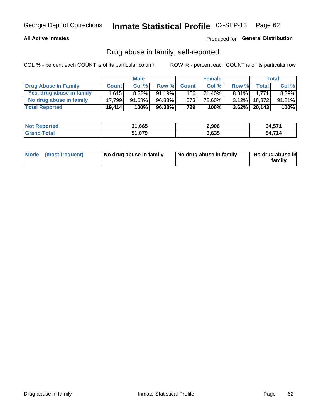### **All Active Inmates**

### Produced for General Distribution

## Drug abuse in family, self-reported

COL % - percent each COUNT is of its particular column

|                           |              | <b>Male</b> |           |              | <b>Female</b> |          |         | <b>Total</b> |
|---------------------------|--------------|-------------|-----------|--------------|---------------|----------|---------|--------------|
| Drug Abuse In Family      | <b>Count</b> | Col%        | Row %     | <b>Count</b> | Col %         | Row %    | Total I | Col %        |
| Yes, drug abuse in family | 1.615        | $8.32\%$    | $91.19\%$ | 156          | 21.40%        | $8.81\%$ | 1.771   | 8.79%        |
| No drug abuse in family   | 17.799       | 91.68%      | 96.88%    | 573          | 78.60%        | $3.12\%$ | 18,372  | 91.21%       |
| <b>Total Reported</b>     | 19,414       | 100%        | 96.38%    | 729          | 100%          | $3.62\%$ | 20,143  | 100%         |

| <b>Not Reported</b> | 31,665 | 2,906 | 34,571         |
|---------------------|--------|-------|----------------|
| Total               | 51,079 | 3,635 | 74A<br>54<br>4 |

|  | Mode (most frequent) | No drug abuse in family | No drug abuse in family | No drug abuse in<br>familv |
|--|----------------------|-------------------------|-------------------------|----------------------------|
|--|----------------------|-------------------------|-------------------------|----------------------------|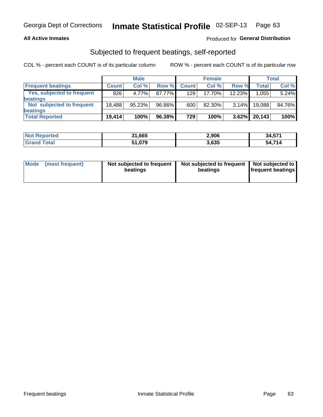### **All Active Inmates**

### Produced for General Distribution

## Subjected to frequent beatings, self-reported

COL % - percent each COUNT is of its particular column

|                            |              | <b>Male</b> |        |              | <b>Female</b> |          |              | Total  |
|----------------------------|--------------|-------------|--------|--------------|---------------|----------|--------------|--------|
| <b>Frequent beatings</b>   | <b>Count</b> | Col %       | Row %  | <b>Count</b> | Col %         | Row %    | <b>Total</b> | Col %  |
| Yes, subjected to frequent | 926          | 4.77%       | 87.77% | 129          | 17.70%        | 12.23%   | 1,055        | 5.24%  |
| <b>beatings</b>            |              |             |        |              |               |          |              |        |
| Not subjected to frequent  | 18.488       | 95.23%      | 96.86% | 600          | 82.30%        | $3.14\%$ | 19,088       | 94.76% |
| <b>beatings</b>            |              |             |        |              |               |          |              |        |
| <b>Total Reported</b>      | 19,414       | 100%        | 96.38% | 729          | 100%          | 3.62%    | 20,143       | 100%   |

| <b>Not Reported</b> | 31,665 | 2,906 | 34,571 |
|---------------------|--------|-------|--------|
| <b>Grand Total</b>  | 51,079 | 3,635 | 54,714 |

| Mode (most frequent) | Not subjected to frequent<br>beatings | Not subjected to frequent<br>beatings | Not subjected to<br><b>frequent beatings</b> |
|----------------------|---------------------------------------|---------------------------------------|----------------------------------------------|
|                      |                                       |                                       |                                              |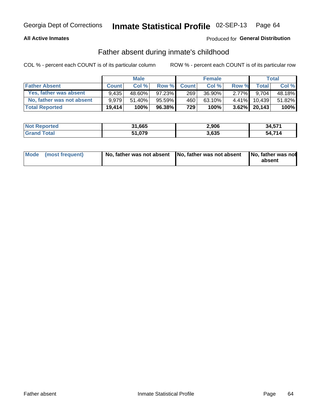### **All Active Inmates**

## **Produced for General Distribution**

## Father absent during inmate's childhood

COL % - percent each COUNT is of its particular column

|                           |              | <b>Male</b> |           |              | <b>Female</b> |          |                 | Total  |
|---------------------------|--------------|-------------|-----------|--------------|---------------|----------|-----------------|--------|
| <b>Father Absent</b>      | <b>Count</b> | Col%        | Row %     | <b>Count</b> | Col %         | Row %    | <b>Total</b>    | Col %  |
| Yes, father was absent    | 9.435        | 48.60%      | $97.23\%$ | 269          | 36.90%        | $2.77\%$ | 9.704           | 48.18% |
| No, father was not absent | 9.979        | 51.40%      | $95.59\%$ | 460          | 63.10%        | $4.41\%$ | 10.439          | 51.82% |
| <b>Total Reported</b>     | 19,414       | 100%        | $96.38\%$ | 729          | 100%          |          | $3.62\%$ 20,143 | 100%   |

| <b>Not Reported</b> | 31,665 | 2,906 | 34,571 |
|---------------------|--------|-------|--------|
| <b>Grand Total</b>  | 51,079 | 3,635 | 54.714 |

|  | Mode (most frequent) |  | No, father was not absent No, father was not absent No, father was not | absent |
|--|----------------------|--|------------------------------------------------------------------------|--------|
|--|----------------------|--|------------------------------------------------------------------------|--------|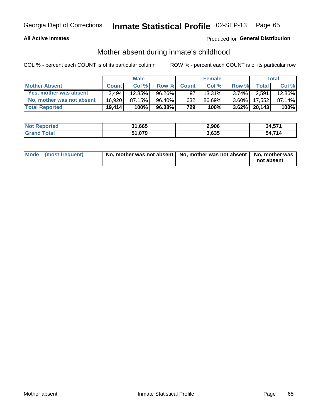### **All Active Inmates**

## Produced for General Distribution

## Mother absent during inmate's childhood

COL % - percent each COUNT is of its particular column

|                           |              | <b>Male</b> |           |              | <b>Female</b> |          |                 | Total  |
|---------------------------|--------------|-------------|-----------|--------------|---------------|----------|-----------------|--------|
| <b>Mother Absent</b>      | <b>Count</b> | Col%        | Row %     | <b>Count</b> | Col %         | Row %    | <b>Total</b>    | Col %  |
| Yes, mother was absent    | 2.494        | $12.85\%$   | 96.26%    | 97           | 13.31%        | $3.74\%$ | 2,591           | 12.86% |
| No, mother was not absent | 16.920       | 87.15%      | 96.40%    | 632          | 86.69%        | $3.60\%$ | 17,552          | 87.14% |
| <b>Total Reported</b>     | 19.414       | 100%        | $96.38\%$ | 729          | 100%          |          | $3.62\%$ 20.143 | 100%   |

| <b>Not Reported</b> | 31,665 | 2,906 | 34,571 |
|---------------------|--------|-------|--------|
| <b>Grand Total</b>  | 51,079 | 3,635 | 54.714 |

| Mode (most frequent) | No, mother was not absent   No, mother was not absent   No, mother was | not absent |
|----------------------|------------------------------------------------------------------------|------------|
|                      |                                                                        |            |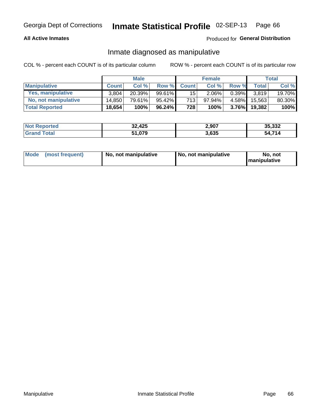### **All Active Inmates**

### Produced for General Distribution

## Inmate diagnosed as manipulative

COL % - percent each COUNT is of its particular column

|                       | <b>Male</b>  |        |           | <b>Female</b>   |          |          | Total        |        |
|-----------------------|--------------|--------|-----------|-----------------|----------|----------|--------------|--------|
| <b>Manipulative</b>   | <b>Count</b> | Col %  | Row %     | <b>Count</b>    | Col%     | Row %    | <b>Total</b> | Col %  |
| Yes, manipulative     | 3.804        | 20.39% | 99.61%I   | 15 <sup>1</sup> | $2.06\%$ | $0.39\%$ | 3.819        | 19.70% |
| No, not manipulative  | 14.850       | 79.61% | $95.42\%$ | 713             | 97.94%   | $4.58\%$ | 15.563       | 80.30% |
| <b>Total Reported</b> | 18,654       | 100%   | 96.24%    | 728             | 100%     | $3.76\%$ | 19.382       | 100%   |

| <b>Not Reported</b>     | 32,425 | 2,907 | 35,332     |
|-------------------------|--------|-------|------------|
| <b>Total</b><br>l Grand | 51,079 | 3,635 | .714<br>54 |

|  | Mode (most frequent) | No, not manipulative | No, not manipulative | No. not<br><b>I</b> manipulative |
|--|----------------------|----------------------|----------------------|----------------------------------|
|--|----------------------|----------------------|----------------------|----------------------------------|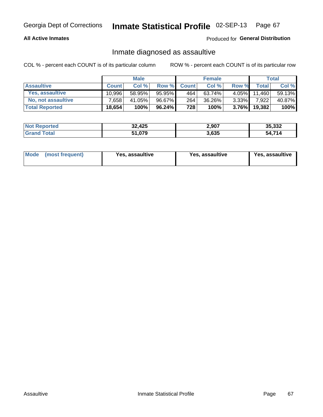### **All Active Inmates**

Produced for General Distribution

## Inmate diagnosed as assaultive

COL % - percent each COUNT is of its particular column

|                           | <b>Male</b>  |        | <b>Female</b> |              |           | Total    |              |        |
|---------------------------|--------------|--------|---------------|--------------|-----------|----------|--------------|--------|
| <b>Assaultive</b>         | <b>Count</b> | Col%   | Row %         | <b>Count</b> | Col %     | Row %    | <b>Total</b> | Col %  |
| Yes, assaultive           | 10.996       | 58.95% | 95.95%        | 464          | $63.74\%$ | $4.05\%$ | 11,460       | 59.13% |
| <b>No, not assaultive</b> | 7.658        | 41.05% | 96.67%        | 264          | 36.26%    | $3.33\%$ | 7,922        | 40.87% |
| <b>Total Reported</b>     | 18,654       | 100%   | 96.24%        | 728          | 100%      | $3.76\%$ | 19,382       | 100%   |

| <b>Not Reported</b> | 32,425 | 2,907 | 35,332                 |
|---------------------|--------|-------|------------------------|
| Tota                | 51,079 | 3,635 | $A$ 74 $A$<br>54.<br>A |

| Mode<br>(most frequent) | Yes, assaultive | Yes, assaultive | <b>Yes, assaultive</b> |
|-------------------------|-----------------|-----------------|------------------------|
|-------------------------|-----------------|-----------------|------------------------|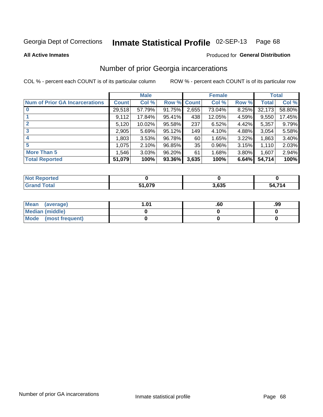#### Inmate Statistical Profile 02-SEP-13 Page 68

**All Active Inmates** 

#### Produced for General Distribution

# Number of prior Georgia incarcerations

COL % - percent each COUNT is of its particular column

|                                       |              | <b>Male</b> |                    |       | <b>Female</b> |          |        | <b>Total</b> |
|---------------------------------------|--------------|-------------|--------------------|-------|---------------|----------|--------|--------------|
| <b>Num of Prior GA Incarcerations</b> | <b>Count</b> | Col %       | <b>Row % Count</b> |       | Col %         | Row %    | Total  | Col %        |
| $\bf{0}$                              | 29,518       | 57.79%      | 91.75%             | 2,655 | 73.04%        | 8.25%    | 32,173 | 58.80%       |
|                                       | 9,112        | 17.84%      | 95.41%             | 438   | 12.05%        | 4.59%    | 9,550  | 17.45%       |
| $\mathbf{2}$                          | 5,120        | 10.02%      | 95.58%             | 237   | 6.52%         | 4.42%    | 5,357  | 9.79%        |
| 3                                     | 2,905        | 5.69%       | 95.12%             | 149   | 4.10%         | 4.88%    | 3,054  | 5.58%        |
| 4                                     | 1,803        | 3.53%       | 96.78%             | 60    | 1.65%         | 3.22%    | 1,863  | 3.40%        |
| 5                                     | 1,075        | 2.10%       | 96.85%             | 35    | 0.96%         | 3.15%    | 1,110  | 2.03%        |
| <b>More Than 5</b>                    | 1,546        | 3.03%       | 96.20%             | 61    | 1.68%         | $3.80\%$ | 1,607  | 2.94%        |
| <b>Total Reported</b>                 | 51,079       | 100%        | 93.36%             | 3,635 | 100%          | 6.64%    | 54,714 | 100%         |

| <b>Not</b><br>Reported |        |       |        |
|------------------------|--------|-------|--------|
| Total<br>"Granu        | 51,079 | 3,635 | 54,714 |

| Mean (average)       | l.01 | .ou | .99 |
|----------------------|------|-----|-----|
| Median (middle)      |      |     |     |
| Mode (most frequent) |      |     |     |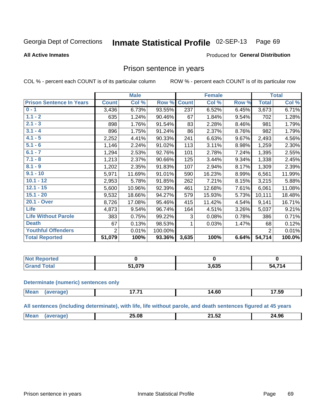#### Inmate Statistical Profile 02-SEP-13 Page 69

#### **All Active Inmates**

#### Produced for General Distribution

## Prison sentence in years

COL % - percent each COUNT is of its particular column

ROW % - percent each COUNT is of its particular row

|                                 | <b>Male</b>    |        |         | <b>Female</b> |        |       | <b>Total</b>   |        |
|---------------------------------|----------------|--------|---------|---------------|--------|-------|----------------|--------|
| <b>Prison Sentence In Years</b> | <b>Count</b>   | Col %  | Row %   | <b>Count</b>  | Col %  | Row % | <b>Total</b>   | Col %  |
| $0 - 1$                         | 3,436          | 6.73%  | 93.55%  | 237           | 6.52%  | 6.45% | 3,673          | 6.71%  |
| $1.1 - 2$                       | 635            | 1.24%  | 90.46%  | 67            | 1.84%  | 9.54% | 702            | 1.28%  |
| $2.1 - 3$                       | 898            | 1.76%  | 91.54%  | 83            | 2.28%  | 8.46% | 981            | 1.79%  |
| $3.1 - 4$                       | 896            | 1.75%  | 91.24%  | 86            | 2.37%  | 8.76% | 982            | 1.79%  |
| $4.1 - 5$                       | 2,252          | 4.41%  | 90.33%  | 241           | 6.63%  | 9.67% | 2,493          | 4.56%  |
| $5.1 - 6$                       | 1,146          | 2.24%  | 91.02%  | 113           | 3.11%  | 8.98% | 1,259          | 2.30%  |
| $6.1 - 7$                       | 1,294          | 2.53%  | 92.76%  | 101           | 2.78%  | 7.24% | 1,395          | 2.55%  |
| $7.1 - 8$                       | 1,213          | 2.37%  | 90.66%  | 125           | 3.44%  | 9.34% | 1,338          | 2.45%  |
| $8.1 - 9$                       | 1,202          | 2.35%  | 91.83%  | 107           | 2.94%  | 8.17% | 1,309          | 2.39%  |
| $9.1 - 10$                      | 5,971          | 11.69% | 91.01%  | 590           | 16.23% | 8.99% | 6,561          | 11.99% |
| $10.1 - 12$                     | 2,953          | 5.78%  | 91.85%  | 262           | 7.21%  | 8.15% | 3,215          | 5.88%  |
| $12.1 - 15$                     | 5,600          | 10.96% | 92.39%  | 461           | 12.68% | 7.61% | 6,061          | 11.08% |
| $15.1 - 20$                     | 9,532          | 18.66% | 94.27%  | 579           | 15.93% | 5.73% | 10,111         | 18.48% |
| 20.1 - Over                     | 8,726          | 17.08% | 95.46%  | 415           | 11.42% | 4.54% | 9,141          | 16.71% |
| <b>Life</b>                     | 4,873          | 9.54%  | 96.74%  | 164           | 4.51%  | 3.26% | 5,037          | 9.21%  |
| <b>Life Without Parole</b>      | 383            | 0.75%  | 99.22%  | 3             | 0.08%  | 0.78% | 386            | 0.71%  |
| <b>Death</b>                    | 67             | 0.13%  | 98.53%  |               | 0.03%  | 1.47% | 68             | 0.12%  |
| <b>Youthful Offenders</b>       | $\overline{2}$ | 0.01%  | 100.00% |               |        |       | $\overline{2}$ | 0.01%  |
| <b>Total Reported</b>           | 51,079         | 100%   | 93.36%  | 3,635         | 100%   | 6.64% | 54,714         | 100.0% |

| <b>Not Reported</b> |        |       |     |  |
|---------------------|--------|-------|-----|--|
| 'otal<br>. Circ     | 51.079 | 3,635 | 714 |  |

#### **Determinate (numeric) sentences only**

| Mos<br>$\cdots$ | $\rightarrow$ | $\sim$<br>ıД<br>___ | $ -$<br>7.5Y |
|-----------------|---------------|---------------------|--------------|
|                 |               |                     |              |

All sentences (including determinate), with life, life without parole, and death sentences figured at 45 years

|  | <b>Mea</b> | <br>יי<br>____ | --<br>. .<br>. | 24.96<br>___ |
|--|------------|----------------|----------------|--------------|
|--|------------|----------------|----------------|--------------|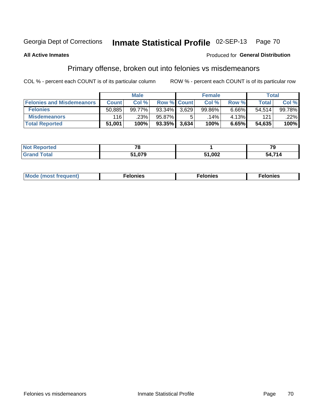#### Inmate Statistical Profile 02-SEP-13 Page 70

#### **All Active Inmates**

#### Produced for General Distribution

# Primary offense, broken out into felonies vs misdemeanors

COL % - percent each COUNT is of its particular column

|                                  | <b>Male</b>  |        |                    | <b>Female</b> |        |       | Total        |        |
|----------------------------------|--------------|--------|--------------------|---------------|--------|-------|--------------|--------|
| <b>Felonies and Misdemeanors</b> | <b>Count</b> | Col %  | <b>Row % Count</b> |               | Col %  | Row % | <b>Total</b> | Col %  |
| <b>Felonies</b>                  | 50,885       | 99.77% | 93.34%             | 3.629         | 99.86% | 6.66% | 54.514       | 99.78% |
| <b>Misdemeanors</b>              | 116          | .23%   | 95.87%             |               | .14% ' | 4.13% | 121          | .22%   |
| <b>Total Reported</b>            | 51,001       | 100%   | $93.35\%$          | 3,634         | 100%   | 6.65% | 54,635       | 100%   |

| <b>Not Reported</b> | $\overline{\phantom{a}}$ |        | 70     |
|---------------------|--------------------------|--------|--------|
| <b>Grand Total</b>  | 1,079ۃ                   | 51,002 | 54,714 |

| Mo | ____ | 11 C.S<br>. | onies<br>. |
|----|------|-------------|------------|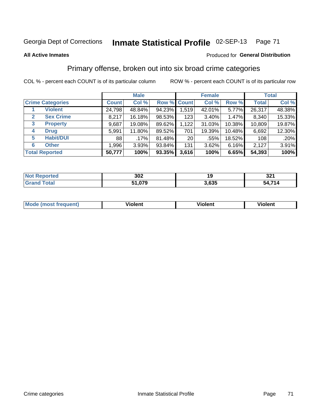# Georgia Dept of Corrections **Inmate Statistical Profile** 02-SEP-13 Page 71

#### **All Active Inmates**

### Produced for **General Distribution**

# Primary offense, broken out into six broad crime categories

COL % - percent each COUNT is of its particular column ROW % - percent each COUNT is of its particular row

|                                 | <b>Male</b>  |         |           | <b>Female</b>   |          |        | <b>Total</b> |        |
|---------------------------------|--------------|---------|-----------|-----------------|----------|--------|--------------|--------|
| <b>Crime Categories</b>         | <b>Count</b> | Col %   |           | Row % Count     | Col %    | Row %  | <b>Total</b> | Col %  |
| <b>Violent</b>                  | 24,798       | 48.84%  | 94.23%    | 1,519           | 42.01%   | 5.77%  | 26,317       | 48.38% |
| <b>Sex Crime</b><br>2           | 8,217        | 16.18%  | 98.53%    | 123             | $3.40\%$ | 1.47%  | 8,340        | 15.33% |
| $\mathbf{3}$<br><b>Property</b> | 9,687        | 19.08%  | 89.62%    | 1,122           | 31.03%   | 10.38% | 10,809       | 19.87% |
| <b>Drug</b><br>4                | 5,991        | 11.80%  | 89.52%    | 701             | 19.39%   | 10.48% | 6,692        | 12.30% |
| <b>Habit/DUI</b><br>5           | 88           | $.17\%$ | 81.48%    | 20 <sub>1</sub> | .55%     | 18.52% | 108          | .20%   |
| <b>Other</b><br>6               | 1,996        | 3.93%   | 93.84%    | 131             | 3.62%    | 6.16%  | 2,127        | 3.91%  |
| <b>Total Reported</b>           | 50,777       | 100%    | $93.35\%$ | 3,616           | 100%     | 6.65%  | 54,393       | 100%   |

| Reported<br><b>NOT</b> | 302          | 40    | າາາ<br>JZ I |
|------------------------|--------------|-------|-------------|
| <b>Total</b>           | 51,079<br>E4 | 3,635 | 714<br>54   |

| Mo<br>uent)<br>nos | .<br>/iolent | <br>Violent | - --<br><b>Tiolent</b> |
|--------------------|--------------|-------------|------------------------|
|                    |              |             |                        |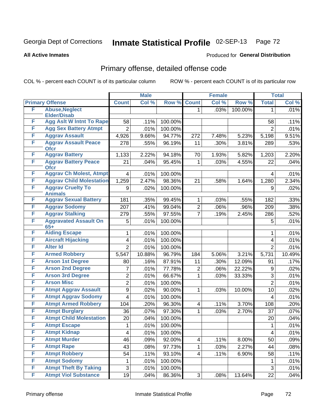# Georgia Dept of Corrections **Inmate Statistical Profile** 02-SEP-13 Page 72

**All Active Inmates**

### Produced for **General Distribution**

# Primary offense, detailed offense code

COL % - percent each COUNT is of its particular column ROW % - percent each COUNT is of its particular row

|        |                                                | <b>Male</b>               |         | <b>Female</b> |                |       | <b>Total</b> |                |        |
|--------|------------------------------------------------|---------------------------|---------|---------------|----------------|-------|--------------|----------------|--------|
|        | <b>Primary Offense</b>                         | <b>Count</b>              | Col %   | Row %         | <b>Count</b>   | Col % | Row %        | <b>Total</b>   | Col %  |
| F      | <b>Abuse, Neglect</b>                          |                           |         |               | 1.             | .03%  | 100.00%      | 1              | .01%   |
|        | <b>Elder/Disab</b>                             |                           |         |               |                |       |              |                |        |
| F      | <b>Agg Aslt W Intnt To Rape</b>                | 58                        | .11%    | 100.00%       |                |       |              | 58             | .11%   |
| F      | <b>Agg Sex Battery Atmpt</b>                   | $\overline{2}$            | .01%    | 100.00%       |                |       |              | $\overline{2}$ | .01%   |
| F      | <b>Aggrav Assault</b>                          | 4,926                     | 9.66%   | 94.77%        | 272            | 7.48% | 5.23%        | 5,198          | 9.51%  |
| F      | <b>Aggrav Assault Peace</b><br><b>Ofcr</b>     | 278                       | .55%    | 96.19%        | 11             | .30%  | 3.81%        | 289            | .53%   |
| F      | <b>Aggrav Battery</b>                          | 1,133                     | 2.22%   | 94.18%        | 70             | 1.93% | 5.82%        | 1,203          | 2.20%  |
| F      | <b>Aggrav Battery Peace</b><br><b>Ofcr</b>     | 21                        | .04%    | 95.45%        | 1              | .03%  | 4.55%        | 22             | .04%   |
| F      | <b>Aggrav Ch Molest, Atmpt</b>                 | 4                         | .01%    | 100.00%       |                |       |              | 4              | .01%   |
| F      | <b>Aggrav Child Molestation</b>                | 1,259                     | 2.47%   | 98.36%        | 21             | .58%  | 1.64%        | 1,280          | 2.34%  |
| F      | <b>Aggrav Cruelty To</b>                       | 9                         | .02%    | 100.00%       |                |       |              | 9              | .02%   |
|        | <b>Animals</b>                                 |                           |         |               |                |       |              |                |        |
| F<br>F | <b>Aggrav Sexual Battery</b>                   | 181                       | .35%    | 99.45%        | 1              | .03%  | .55%         | 182            | .33%   |
| F      | <b>Aggrav Sodomy</b><br><b>Aggrav Stalking</b> | 207                       | .41%    | 99.04%        | $\overline{2}$ | .06%  | .96%         | 209            | .38%   |
| F      |                                                | 279                       | .55%    | 97.55%        | $\overline{7}$ | .19%  | 2.45%        | 286            | .52%   |
|        | <b>Aggravated Assault On</b><br>$65+$          | 5                         | .01%    | 100.00%       |                |       |              | 5              | .01%   |
| F      | <b>Aiding Escape</b>                           | 1                         | .01%    | 100.00%       |                |       |              | 1              | .01%   |
| F      | <b>Aircraft Hijacking</b>                      | 4                         | .01%    | 100.00%       |                |       |              | 4              | .01%   |
| F      | <b>Alter Id</b>                                | $\overline{2}$            | .01%    | 100.00%       |                |       |              | $\overline{2}$ | .01%   |
| F      | <b>Armed Robbery</b>                           | 5,547                     | 10.88%  | 96.79%        | 184            | 5.06% | 3.21%        | 5,731          | 10.49% |
| F      | <b>Arson 1st Degree</b>                        | 80                        | .16%    | 87.91%        | 11             | .30%  | 12.09%       | 91             | .17%   |
| F      | <b>Arson 2nd Degree</b>                        | 7                         | .01%    | 77.78%        | 2              | .06%  | 22.22%       | 9              | .02%   |
| F      | <b>Arson 3rd Degree</b>                        | $\overline{2}$            | .01%    | 66.67%        | 1              | .03%  | 33.33%       | 3              | .01%   |
| F      | <b>Arson Misc</b>                              | $\overline{2}$            | .01%    | 100.00%       |                |       |              | $\overline{2}$ | .01%   |
| F      | <b>Atmpt Aggrav Assault</b>                    | 9                         | .02%    | 90.00%        | 1              | .03%  | 10.00%       | 10             | .02%   |
| F      | <b>Atmpt Aggrav Sodomy</b>                     | $\overline{\mathbf{4}}$   | .01%    | 100.00%       |                |       |              | 4              | .01%   |
| F      | <b>Atmpt Armed Robbery</b>                     | 104                       | .20%    | 96.30%        | 4              | .11%  | 3.70%        | 108            | .20%   |
| F      | <b>Atmpt Burglary</b>                          | 36                        | .07%    | 97.30%        | 1              | .03%  | 2.70%        | 37             | .07%   |
| F      | <b>Atmpt Child Molestation</b>                 | 20                        | $.04\%$ | 100.00%       |                |       |              | 20             | .04%   |
| F      | <b>Atmpt Escape</b>                            | 1                         | .01%    | 100.00%       |                |       |              | 1              | .01%   |
| F      | <b>Atmpt Kidnap</b>                            | $\overline{\mathcal{A}}$  | .01%    | 100.00%       |                |       |              | 4              | .01%   |
| F      | <b>Atmpt Murder</b>                            | 46                        | .09%    | 92.00%        | 4              | .11%  | 8.00%        | 50             | .09%   |
| F      | <b>Atmpt Rape</b>                              | 43                        | .08%    | 97.73%        | 1              | .03%  | 2.27%        | 44             | .08%   |
| F      | <b>Atmpt Robbery</b>                           | 54                        | .11%    | 93.10%        | 4              | .11%  | 6.90%        | 58             | .11%   |
| F      | <b>Atmpt Sodomy</b>                            | 1                         | .01%    | 100.00%       |                |       |              | 1              | .01%   |
| F      | <b>Atmpt Theft By Taking</b>                   | $\ensuremath{\mathsf{3}}$ | .01%    | 100.00%       |                |       |              | 3              | .01%   |
| F      | <b>Atmpt Viol Substance</b>                    | 19                        | .04%    | 86.36%        | 3 <sup>1</sup> | .08%  | 13.64%       | 22             | .04%   |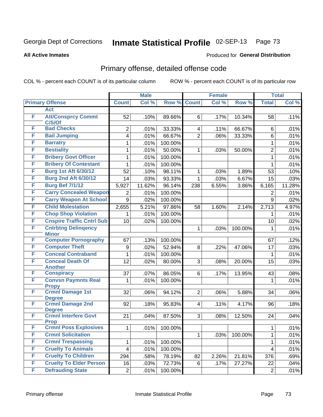## **All Active Inmates**

## Produced for **General Distribution**

# Primary offense, detailed offense code

|        |                                                       |                | <b>Male</b> |         |                         | <b>Female</b> |         |                | <b>Total</b> |
|--------|-------------------------------------------------------|----------------|-------------|---------|-------------------------|---------------|---------|----------------|--------------|
|        | <b>Primary Offense</b>                                | <b>Count</b>   | Col %       | Row %   | <b>Count</b>            | Col %         | Row %   | <b>Total</b>   | Col %        |
|        | <b>Act</b>                                            |                |             |         |                         |               |         |                |              |
| F      | <b>Att/Consprcy Commt</b><br>C/S/Of                   | 52             | .10%        | 89.66%  | 6                       | .17%          | 10.34%  | 58             | .11%         |
| F      | <b>Bad Checks</b>                                     | 2              | .01%        | 33.33%  | 4                       | .11%          | 66.67%  | 6              | .01%         |
| F      | <b>Bail Jumping</b>                                   | 4              | .01%        | 66.67%  | $\overline{2}$          | .06%          | 33.33%  | 6              | .01%         |
| F      | <b>Barratry</b>                                       | 1              | .01%        | 100.00% |                         |               |         | 1              | .01%         |
| F      | <b>Bestiality</b>                                     | 1              | .01%        | 50.00%  | 1                       | .03%          | 50.00%  | $\overline{2}$ | .01%         |
| F      | <b>Bribery Govt Officer</b>                           | 1              | .01%        | 100.00% |                         |               |         | $\mathbf{1}$   | .01%         |
| F      | <b>Bribery Of Contestant</b>                          | 1              | .01%        | 100.00% |                         |               |         | $\mathbf{1}$   | .01%         |
| F      | <b>Burg 1st Aft 6/30/12</b>                           | 52             | .10%        | 98.11%  | 1                       | .03%          | 1.89%   | 53             | .10%         |
| F      | <b>Burg 2nd Aft 6/30/12</b>                           | 14             | .03%        | 93.33%  | 1                       | .03%          | 6.67%   | 15             | .03%         |
| F      | <b>Burg Bef 7/1/12</b>                                | 5,927          | 11.62%      | 96.14%  | 238                     | 6.55%         | 3.86%   | 6,165          | 11.28%       |
| F      | <b>Carry Concealed Weapon</b>                         | 2              | .01%        | 100.00% |                         |               |         | $\overline{2}$ | .01%         |
| F      | <b>Carry Weapon At School</b>                         | 9              | .02%        | 100.00% |                         |               |         | 9              | .02%         |
| F      | <b>Child Molestation</b>                              | 2,655          | 5.21%       | 97.86%  | 58                      | 1.60%         | 2.14%   | 2,713          | 4.97%        |
| F      | <b>Chop Shop Violation</b>                            | 1              | .01%        | 100.00% |                         |               |         | 1              | .01%         |
| F      | <b>Cnspire Traffic Cntrl Sub</b>                      | 10             | .02%        | 100.00% |                         |               |         | 10             | .02%         |
| F      | <b>Cntrbtng Delingency</b><br><b>Minor</b>            |                |             |         | 1                       | .03%          | 100.00% | 1              | .01%         |
| F      | <b>Computer Pornography</b>                           | 67             | .13%        | 100.00% |                         |               |         | 67             | .12%         |
| F      | <b>Computer Theft</b>                                 | 9              | .02%        | 52.94%  | 8                       | .22%          | 47.06%  | 17             | .03%         |
| F      | <b>Conceal Contraband</b>                             | 1              | .01%        | 100.00% |                         |               |         | $\mathbf{1}$   | .01%         |
| F      | <b>Conceal Death Of</b><br><b>Another</b>             | 12             | .02%        | 80.00%  | 3                       | .08%          | 20.00%  | 15             | .03%         |
| F      | <b>Conspiracy</b>                                     | 37             | .07%        | 86.05%  | 6                       | .17%          | 13.95%  | 43             | .08%         |
| F      | <b>Convsn Paymnts Real</b>                            | 1              | .01%        | 100.00% |                         |               |         | $\mathbf{1}$   | .01%         |
|        | <b>Propy</b>                                          |                |             |         |                         |               |         |                |              |
| F      | <b>Crmnl Damage 1st</b><br><b>Degree</b>              | 32             | .06%        | 94.12%  | 2 <sup>1</sup>          | .06%          | 5.88%   | 34             | .06%         |
| F      | <b>Crmnl Damage 2nd</b>                               | 92             | .18%        | 95.83%  | $\overline{\mathbf{4}}$ | .11%          | 4.17%   | 96             | .18%         |
|        | <b>Degree</b>                                         |                |             |         |                         |               |         |                |              |
| F      | <b>Crmnl Interfere Govt</b>                           | 21             | .04%        | 87.50%  | 3 <sup>1</sup>          | .08%          | 12.50%  | 24             | .04%         |
| F      | <b>Prop</b><br><b>Crmnl Poss Explosives</b>           |                |             |         |                         |               |         |                |              |
| F      | <b>Crmnl Solicitation</b>                             | $\mathbf 1$    | .01%        | 100.00% |                         |               |         | $\mathbf{1}$   | .01%         |
|        |                                                       |                |             |         | 1                       | .03%          | 100.00% | 1              | .01%         |
| F<br>F | <b>Crmnl Trespassing</b><br><b>Cruelty To Animals</b> | 1              | .01%        | 100.00% |                         |               |         | 1              | .01%         |
| F      | <b>Cruelty To Children</b>                            | 4              | .01%        | 100.00% |                         |               |         | 4              | .01%         |
| F      | <b>Cruelty To Elder Person</b>                        | 294            | .58%        | 78.19%  | 82                      | 2.26%         | 21.81%  | 376            | .69%         |
|        | <b>Defrauding State</b>                               | 16             | .03%        | 72.73%  | 6                       | .17%          | 27.27%  | 22             | .04%         |
| F      |                                                       | $\overline{2}$ | .01%        | 100.00% |                         |               |         | $\overline{2}$ | .01%         |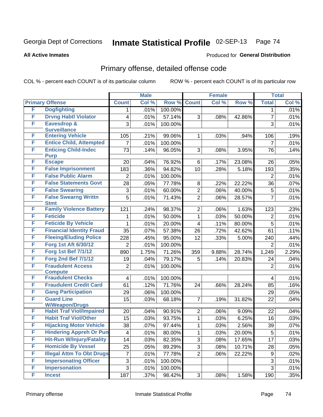#### **All Active Inmates**

## Produced for **General Distribution**

# Primary offense, detailed offense code

|   |                                                        |                          | <b>Male</b> |         |                | <b>Female</b> |        |                | <b>Total</b> |
|---|--------------------------------------------------------|--------------------------|-------------|---------|----------------|---------------|--------|----------------|--------------|
|   | <b>Primary Offense</b>                                 | <b>Count</b>             | Col %       | Row %   | <b>Count</b>   | Col %         | Row %  | <b>Total</b>   | Col %        |
| F | <b>Dogfighting</b>                                     | 1.                       | .01%        | 100.00% |                |               |        | 1              | .01%         |
| F | <b>Drvng Habtl Violator</b>                            | $\overline{\mathbf{4}}$  | .01%        | 57.14%  | 3              | .08%          | 42.86% | $\overline{7}$ | .01%         |
| F | <b>Eavesdrop &amp;</b>                                 | 3                        | .01%        | 100.00% |                |               |        | 3              | .01%         |
|   | <b>Surveillance</b>                                    |                          |             |         |                |               |        |                |              |
| F | <b>Entering Vehicle</b>                                | 105                      | .21%        | 99.06%  | $\mathbf{1}$   | .03%          | .94%   | 106            | .19%         |
| F | <b>Entice Child, Attempted</b>                         | 7                        | .01%        | 100.00% |                |               |        | $\overline{7}$ | .01%         |
| F | <b>Enticing Child-Indec</b>                            | 73                       | .14%        | 96.05%  | 3              | .08%          | 3.95%  | 76             | .14%         |
| F | <b>Purp</b><br><b>Escape</b>                           |                          |             | 76.92%  | 6              |               |        | 26             | .05%         |
| F |                                                        | 20                       | .04%        |         |                | .17%          | 23.08% |                |              |
| F | <b>False Imprisonment</b><br><b>False Public Alarm</b> | 183                      | .36%        | 94.82%  | 10             | .28%          | 5.18%  | 193            | .35%         |
|   |                                                        | $\overline{2}$           | .01%        | 100.00% |                |               |        | $\overline{2}$ | .01%         |
| F | <b>False Statements Govt</b>                           | 28                       | .05%        | 77.78%  | 8              | .22%          | 22.22% | 36             | .07%         |
| F | <b>False Swearing</b>                                  | $\sqrt{3}$               | .01%        | 60.00%  | $\overline{2}$ | .06%          | 40.00% | 5              | .01%         |
| F | <b>False Swearng Writtn</b><br><b>Stmt</b>             | $\overline{5}$           | .01%        | 71.43%  | $\overline{2}$ | .06%          | 28.57% | $\overline{7}$ | .01%         |
| F | <b>Family Violence Battery</b>                         | 121                      | .24%        | 98.37%  | $\overline{2}$ | .06%          | 1.63%  | 123            | .23%         |
| F | <b>Feticide</b>                                        | 1                        | .01%        | 50.00%  | $\mathbf{1}$   | .03%          | 50.00% | $\overline{2}$ | .01%         |
| F | <b>Feticide By Vehicle</b>                             | 1                        | .01%        | 20.00%  | $\overline{4}$ | .11%          | 80.00% | 5              | .01%         |
| F | <b>Financial Identity Fraud</b>                        | $\overline{35}$          |             | 57.38%  | 26             |               | 42.62% | 61             |              |
| F | <b>Fleeing/Eluding Police</b>                          |                          | .07%        | 95.00%  |                | .72%          |        |                | .11%         |
| F | <b>Forg 1st Aft 6/30/12</b>                            | 228                      | .45%        |         | 12             | .33%          | 5.00%  | 240            | .44%         |
| F | <b>Forg 1st Bef 7/1/12</b>                             | $\overline{2}$           | .01%        | 100.00% |                |               |        | $\overline{2}$ | .01%         |
|   |                                                        | 890                      | 1.75%       | 71.26%  | 359            | 9.88%         | 28.74% | 1,249          | 2.29%        |
| F | <b>Forg 2nd Bef 7/1/12</b>                             | 19                       | .04%        | 79.17%  | 5              | .14%          | 20.83% | 24             | .04%         |
| F | <b>Fraudulent Access</b>                               | $\overline{2}$           | .01%        | 100.00% |                |               |        | $\overline{2}$ | .01%         |
| F | <b>Compute</b><br><b>Fraudulent Checks</b>             | $\overline{\mathbf{4}}$  | .01%        | 100.00% |                |               |        | $\overline{4}$ | .01%         |
| F | <b>Fraudulent Credit Card</b>                          | 61                       | .12%        | 71.76%  | 24             | .66%          | 28.24% | 85             | .16%         |
| F | <b>Gang Participation</b>                              | 29                       | .06%        | 100.00% |                |               |        | 29             | .05%         |
| F | <b>Guard Line</b>                                      | 15                       | .03%        | 68.18%  | $\overline{7}$ | .19%          | 31.82% | 22             | .04%         |
|   | <b>W/Weapon/Drugs</b>                                  |                          |             |         |                |               |        |                |              |
| F | <b>Habit Traf Viol/Impaired</b>                        | 20                       | .04%        | 90.91%  | $\overline{2}$ | .06%          | 9.09%  | 22             | .04%         |
| F | <b>Habit Traf Viol/Other</b>                           | 15                       | .03%        | 93.75%  | $\mathbf 1$    | .03%          | 6.25%  | 16             | .03%         |
| F | <b>Hijacking Motor Vehicle</b>                         | $\overline{38}$          | .07%        | 97.44%  | $\mathbf{1}$   | .03%          | 2.56%  | 39             | .07%         |
| F | <b>Hindering Appreh Or Pun</b>                         | $\overline{\mathcal{A}}$ | .01%        | 80.00%  | $\mathbf 1$    | .03%          | 20.00% | 5              | .01%         |
| F | <b>Hit-Run W/Injury/Fatality</b>                       | 14                       | .03%        | 82.35%  | 3              | .08%          | 17.65% | 17             | .03%         |
| F | <b>Homicide By Vessel</b>                              | 25                       | .05%        | 89.29%  | $\overline{3}$ | .08%          | 10.71% | 28             | .05%         |
| F | <b>Illegal Attm To Obt Drugs</b>                       | $\overline{7}$           | .01%        | 77.78%  | $\overline{2}$ | .06%          | 22.22% | 9              | .02%         |
| F | <b>Impersonating Officer</b>                           | 3                        | .01%        | 100.00% |                |               |        | $\mathfrak{S}$ | .01%         |
| F | <b>Impersonation</b>                                   | $\overline{3}$           | .01%        | 100.00% |                |               |        | 3              | .01%         |
| F | <b>Incest</b>                                          | 187                      | .37%        | 98.42%  | 3 <sup>1</sup> | .08%          | 1.58%  | 190            | .35%         |
|   |                                                        |                          |             |         |                |               |        |                |              |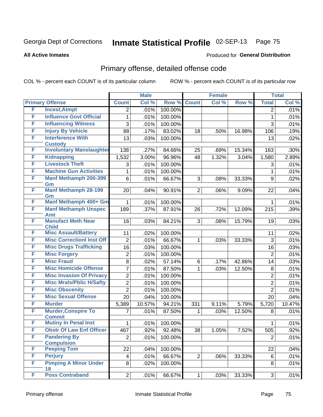**All Active Inmates**

## Produced for **General Distribution**

# Primary offense, detailed offense code

|   |                                             |                         | <b>Male</b> |         |                | <b>Female</b> |        |                | <b>Total</b> |
|---|---------------------------------------------|-------------------------|-------------|---------|----------------|---------------|--------|----------------|--------------|
|   | <b>Primary Offense</b>                      | <b>Count</b>            | Col %       | Row %   | <b>Count</b>   | Col %         | Row %  | <b>Total</b>   | Col %        |
| F | <b>Incest, Atmpt</b>                        | $\overline{2}$          | .01%        | 100.00% |                |               |        | 2              | .01%         |
| F | <b>Influence Govt Official</b>              | 1                       | .01%        | 100.00% |                |               |        | $\mathbf{1}$   | .01%         |
| F | <b>Influencing Witness</b>                  | 3                       | .01%        | 100.00% |                |               |        | 3              | .01%         |
| F | <b>Injury By Vehicle</b>                    | 88                      | .17%        | 83.02%  | 18             | .50%          | 16.98% | 106            | .19%         |
| F | <b>Interference With</b>                    | 13                      | .03%        | 100.00% |                |               |        | 13             | .02%         |
|   | <b>Custody</b>                              |                         |             |         |                |               |        |                |              |
| F | <b>Involuntary Manslaughter</b>             | 138                     | .27%        | 84.66%  | 25             | .69%          | 15.34% | 163            | .30%         |
| F | <b>Kidnapping</b>                           | 1,532                   | 3.00%       | 96.96%  | 48             | 1.32%         | 3.04%  | 1,580          | 2.89%        |
| F | <b>Livestock Theft</b>                      | 3                       | .01%        | 100.00% |                |               |        | 3              | .01%         |
| F | <b>Machine Gun Activities</b>               | 1                       | .01%        | 100.00% |                |               |        | 1              | .01%         |
| F | <b>Manf Methamph 200-399</b><br>Gm          | 6                       | .01%        | 66.67%  | 3              | .08%          | 33.33% | 9              | .02%         |
| F | <b>Manf Methamph 28-199</b>                 | 20                      | .04%        | 90.91%  | 2              | .06%          | 9.09%  | 22             | .04%         |
| F | Gm<br>Manf Methamph 400+ Gm                 | 1                       | .01%        | 100.00% |                |               |        | 1              | .01%         |
| F | <b>Manf Methamph Unspec</b>                 | 189                     | .37%        | 87.91%  | 26             | .72%          | 12.09% | 215            | .39%         |
|   | <b>Amt</b>                                  |                         |             |         |                |               |        |                |              |
| F | <b>Manufact Meth Near</b><br><b>Child</b>   | 16                      | .03%        | 84.21%  | 3              | .08%          | 15.79% | 19             | .03%         |
| F | <b>Misc Assault/Battery</b>                 | 11                      | .02%        | 100.00% |                |               |        | 11             | .02%         |
| F | <b>Misc CorrectionI Inst Off</b>            | $\overline{2}$          | .01%        | 66.67%  | 1              | .03%          | 33.33% | 3              | .01%         |
| F | <b>Misc Drugs Trafficking</b>               | 16                      | .03%        | 100.00% |                |               |        | 16             | .03%         |
| F | <b>Misc Forgery</b>                         | $\overline{c}$          | .01%        | 100.00% |                |               |        | $\overline{2}$ | .01%         |
| F | <b>Misc Fraud</b>                           | 8                       | .02%        | 57.14%  | 6              | .17%          | 42.86% | 14             | .03%         |
| F | <b>Misc Homicide Offense</b>                | 7                       | .01%        | 87.50%  | 1              | .03%          | 12.50% | 8              | .01%         |
| F | <b>Misc Invasion Of Privacy</b>             | $\overline{c}$          | .01%        | 100.00% |                |               |        | $\overline{c}$ | .01%         |
| F | <b>Misc Mrals/Pblic H/Safty</b>             | $\overline{2}$          | .01%        | 100.00% |                |               |        | $\overline{2}$ | .01%         |
| F | <b>Misc Obscenity</b>                       | $\overline{2}$          | .01%        | 100.00% |                |               |        | $\overline{2}$ | .01%         |
| F | <b>Misc Sexual Offense</b>                  | 20                      | .04%        | 100.00% |                |               |        | 20             | .04%         |
| F | <b>Murder</b>                               | 5,389                   | 10.57%      | 94.21%  | 331            | 9.11%         | 5.79%  | 5,720          | 10.47%       |
| F | <b>Murder, Conspire To</b><br><b>Commit</b> | 7                       | .01%        | 87.50%  | $\mathbf 1$    | .03%          | 12.50% | 8              | .01%         |
| F | <b>Mutiny In Penal Inst</b>                 | 1                       | .01%        | 100.00% |                |               |        | 1              | .01%         |
| F | <b>Obstr Of Law Enf Officer</b>             | 467                     | .92%        | 92.48%  | 38             | 1.05%         | 7.52%  | 505            | .92%         |
| F | <b>Pandering By</b>                         | $\overline{2}$          | .01%        | 100.00% |                |               |        | $\overline{2}$ | .01%         |
|   | <b>Compulsion</b>                           |                         |             |         |                |               |        |                |              |
| F | <b>Peeping Tom</b>                          | 22                      | .04%        | 100.00% |                |               |        | 22             | .04%         |
| F | <b>Perjury</b>                              | $\overline{\mathbf{4}}$ | .01%        | 66.67%  | $\overline{2}$ | .06%          | 33.33% | 6              | .01%         |
| F | <b>Pimping A Minor Under</b><br>18          | 8                       | .02%        | 100.00% |                |               |        | 8              | .01%         |
| F | <b>Poss Contraband</b>                      | $\overline{2}$          | .01%        | 66.67%  | $\mathbf{1}$   | .03%          | 33.33% | 3              | .01%         |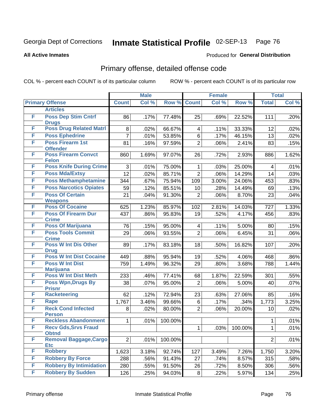Produced for **General Distribution**

## **All Active Inmates**

# Primary offense, detailed offense code

|   |                                             |                | <b>Male</b> |         |                | <b>Female</b> |         | <b>Total</b>   |       |  |
|---|---------------------------------------------|----------------|-------------|---------|----------------|---------------|---------|----------------|-------|--|
|   | <b>Primary Offense</b>                      | <b>Count</b>   | Col %       | Row %   | <b>Count</b>   | Col %         | Row %   | <b>Total</b>   | Col % |  |
|   | <b>Articles</b>                             |                |             |         |                |               |         |                |       |  |
| F | <b>Poss Dep Stim Cntrf</b><br><b>Drugs</b>  | 86             | .17%        | 77.48%  | 25             | .69%          | 22.52%  | 111            | .20%  |  |
| F | <b>Poss Drug Related Matri</b>              | 8              | .02%        | 66.67%  | 4              | .11%          | 33.33%  | 12             | .02%  |  |
| F | <b>Poss Ephedrine</b>                       | $\overline{7}$ | .01%        | 53.85%  | $\,6\,$        | .17%          | 46.15%  | 13             | .02%  |  |
| F | <b>Poss Firearm 1st</b><br><b>Offender</b>  | 81             | .16%        | 97.59%  | $\overline{2}$ | .06%          | 2.41%   | 83             | .15%  |  |
| F | <b>Poss Firearm Convct</b><br><b>Felon</b>  | 860            | 1.69%       | 97.07%  | 26             | .72%          | 2.93%   | 886            | 1.62% |  |
| F | <b>Poss Knife During Crime</b>              | 3              | .01%        | 75.00%  | 1              | .03%          | 25.00%  | 4              | .01%  |  |
| F | <b>Poss Mda/Extsy</b>                       | 12             | .02%        | 85.71%  | $\overline{2}$ | .06%          | 14.29%  | 14             | .03%  |  |
| F | <b>Poss Methamphetamine</b>                 | 344            | .67%        | 75.94%  | 109            | 3.00%         | 24.06%  | 453            | .83%  |  |
| F | <b>Poss Narcotics Opiates</b>               | 59             | .12%        | 85.51%  | 10             | .28%          | 14.49%  | 69             | .13%  |  |
| F | <b>Poss Of Certain</b><br><b>Weapons</b>    | 21             | .04%        | 91.30%  | $\overline{2}$ | .06%          | 8.70%   | 23             | .04%  |  |
| F | <b>Poss Of Cocaine</b>                      | 625            | 1.23%       | 85.97%  | 102            | 2.81%         | 14.03%  | 727            | 1.33% |  |
| F | <b>Poss Of Firearm Dur</b><br><b>Crime</b>  | 437            | .86%        | 95.83%  | 19             | .52%          | 4.17%   | 456            | .83%  |  |
| F | <b>Poss Of Marijuana</b>                    | 76             | .15%        | 95.00%  | 4              | .11%          | 5.00%   | 80             | .15%  |  |
| F | <b>Poss Tools Commit</b><br><b>Crime</b>    | 29             | .06%        | 93.55%  | $\overline{2}$ | .06%          | 6.45%   | 31             | .06%  |  |
| F | <b>Poss W Int Dis Other</b><br><b>Drug</b>  | 89             | .17%        | 83.18%  | 18             | .50%          | 16.82%  | 107            | .20%  |  |
| F | <b>Poss W Int Dist Cocaine</b>              | 449            | .88%        | 95.94%  | 19             | .52%          | 4.06%   | 468            | .86%  |  |
| F | <b>Poss W Int Dist</b><br><b>Marijuana</b>  | 759            | 1.49%       | 96.32%  | 29             | .80%          | 3.68%   | 788            | 1.44% |  |
| F | <b>Poss W Int Dist Meth</b>                 | 233            | .46%        | 77.41%  | 68             | 1.87%         | 22.59%  | 301            | .55%  |  |
| F | <b>Poss Wpn, Drugs By</b><br><b>Prisnr</b>  | 38             | .07%        | 95.00%  | $\overline{2}$ | .06%          | 5.00%   | 40             | .07%  |  |
| F | <b>Racketeering</b>                         | 62             | .12%        | 72.94%  | 23             | .63%          | 27.06%  | 85             | .16%  |  |
| F | <b>Rape</b>                                 | 1,767          | 3.46%       | 99.66%  | $\,6\,$        | .17%          | .34%    | 1,773          | 3.25% |  |
| F | <b>Reck Cond Infected</b><br><b>Person</b>  | 8              | .02%        | 80.00%  | $\overline{2}$ | .06%          | 20.00%  | 10             | .02%  |  |
| F | <b>Reckless Abandonment</b>                 | 1              | .01%        | 100.00% |                |               |         | 1              | .01%  |  |
| F | <b>Recv Gds, Srvs Fraud</b><br><b>Obtnd</b> |                |             |         | $\mathbf 1$    | .03%          | 100.00% | $\mathbf 1$    | .01%  |  |
| F | <b>Removal Baggage, Cargo</b><br><b>Etc</b> | $\overline{2}$ | .01%        | 100.00% |                |               |         | $\overline{2}$ | .01%  |  |
| F | <b>Robbery</b>                              | 1,623          | 3.18%       | 92.74%  | 127            | 3.49%         | 7.26%   | 1,750          | 3.20% |  |
| F | <b>Robbery By Force</b>                     | 288            | .56%        | 91.43%  | 27             | .74%          | 8.57%   | 315            | .58%  |  |
| F | <b>Robbery By Intimidation</b>              | 280            | .55%        | 91.50%  | 26             | .72%          | 8.50%   | 306            | .56%  |  |
| F | <b>Robbery By Sudden</b>                    | 126            | .25%        | 94.03%  | 8              | .22%          | 5.97%   | 134            | .25%  |  |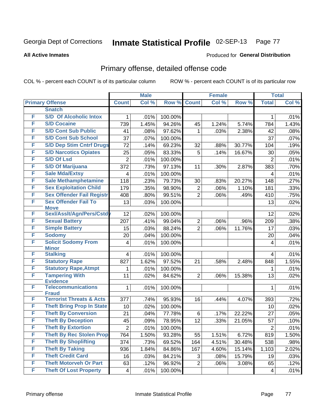**All Active Inmates**

## Produced for **General Distribution**

# Primary offense, detailed offense code

|   |                                            |                  | <b>Male</b> |         |                | <b>Female</b> |        | <b>Total</b>            |       |
|---|--------------------------------------------|------------------|-------------|---------|----------------|---------------|--------|-------------------------|-------|
|   | <b>Primary Offense</b>                     | <b>Count</b>     | Col %       | Row %   | <b>Count</b>   | Col %         | Row %  | <b>Total</b>            | Col % |
|   | <b>Snatch</b>                              |                  |             |         |                |               |        |                         |       |
| F | <b>S/D Of Alcoholic Intox</b>              | 1                | .01%        | 100.00% |                |               |        | 1                       | .01%  |
| F | <b>S/D Cocaine</b>                         | 739              | 1.45%       | 94.26%  | 45             | 1.24%         | 5.74%  | 784                     | 1.43% |
| F | <b>S/D Cont Sub Public</b>                 | 41               | .08%        | 97.62%  | 1              | .03%          | 2.38%  | 42                      | .08%  |
| F | <b>S/D Cont Sub School</b>                 | 37               | .07%        | 100.00% |                |               |        | 37                      | .07%  |
| F | <b>S/D Dep Stim Cntrf Drugs</b>            | 72               | .14%        | 69.23%  | 32             | .88%          | 30.77% | 104                     | .19%  |
| F | <b>S/D Narcotics Opiates</b>               | 25               | .05%        | 83.33%  | 5              | .14%          | 16.67% | 30                      | .05%  |
| F | <b>S/D Of Lsd</b>                          | $\overline{2}$   | .01%        | 100.00% |                |               |        | 2                       | .01%  |
| F | <b>S/D Of Marijuana</b>                    | 372              | .73%        | 97.13%  | 11             | .30%          | 2.87%  | 383                     | .70%  |
| F | <b>Sale Mda/Extsy</b>                      | 4                | .01%        | 100.00% |                |               |        | 4                       | .01%  |
| F | <b>Sale Methamphetamine</b>                | 118              | .23%        | 79.73%  | 30             | .83%          | 20.27% | 148                     | .27%  |
| F | <b>Sex Exploitation Child</b>              | 179              | .35%        | 98.90%  | $\overline{2}$ | .06%          | 1.10%  | 181                     | .33%  |
| F | <b>Sex Offender Fail Registr</b>           | 408              | .80%        | 99.51%  | $\overline{2}$ | .06%          | .49%   | 410                     | .75%  |
| F | <b>Sex Offender Fail To</b><br><b>Move</b> | 13               | .03%        | 100.00% |                |               |        | 13                      | .02%  |
| F | Sexl/Asslt/Agn/Pers/Cstd                   | 12               | .02%        | 100.00% |                |               |        | 12                      | .02%  |
| F | <b>Sexual Battery</b>                      | 207              | .41%        | 99.04%  | $\overline{c}$ | .06%          | .96%   | 209                     | .38%  |
| F | <b>Simple Battery</b>                      | 15               | .03%        | 88.24%  | $\overline{2}$ | .06%          | 11.76% | 17                      | .03%  |
| F | <b>Sodomy</b>                              | 20               | .04%        | 100.00% |                |               |        | 20                      | .04%  |
| F | <b>Solicit Sodomy From</b><br><b>Minor</b> | 4                | .01%        | 100.00% |                |               |        | $\overline{\mathbf{4}}$ | .01%  |
| F | <b>Stalking</b>                            | 4                | .01%        | 100.00% |                |               |        | 4                       | .01%  |
| F | <b>Statutory Rape</b>                      | 827              | 1.62%       | 97.52%  | 21             | .58%          | 2.48%  | 848                     | 1.55% |
| F | <b>Statutory Rape, Atmpt</b>               | 1                | .01%        | 100.00% |                |               |        | 1                       | .01%  |
| F | <b>Tampering With</b><br><b>Evidence</b>   | 11               | .02%        | 84.62%  | $\overline{2}$ | .06%          | 15.38% | 13                      | .02%  |
| F | <b>Telecommunications</b><br><b>Fraud</b>  | 1                | .01%        | 100.00% |                |               |        | 1                       | .01%  |
| F | <b>Terrorist Threats &amp; Acts</b>        | 377              | .74%        | 95.93%  | 16             | .44%          | 4.07%  | 393                     | .72%  |
| F | <b>Theft Bring Prop In State</b>           | 10               | .02%        | 100.00% |                |               |        | 10                      | .02%  |
| F | <b>Theft By Conversion</b>                 | 21               | .04%        | 77.78%  | 6              | .17%          | 22.22% | 27                      | .05%  |
| F | <b>Theft By Deception</b>                  | 45               | .09%        | 78.95%  | 12             | .33%          | 21.05% | 57                      | .10%  |
| F | <b>Theft By Extortion</b>                  | $\left 2\right $ | .01%        | 100.00% |                |               |        | $\overline{2}$          | .01%  |
| F | <b>Theft By Rec Stolen Prop</b>            | 764              | 1.50%       | 93.28%  | 55             | 1.51%         | 6.72%  | 819                     | 1.50% |
| F | <b>Theft By Shoplifting</b>                | 374              | .73%        | 69.52%  | 164            | 4.51%         | 30.48% | 538                     | .98%  |
| F | <b>Theft By Taking</b>                     | 936              | 1.84%       | 84.86%  | 167            | 4.60%         | 15.14% | 1,103                   | 2.02% |
| F | <b>Theft Credit Card</b>                   | 16               | .03%        | 84.21%  | 3              | .08%          | 15.79% | 19                      | .03%  |
| F | <b>Theft Motorveh Or Part</b>              | 63               | .12%        | 96.92%  | $\overline{2}$ | .06%          | 3.08%  | 65                      | .12%  |
| F | <b>Theft Of Lost Property</b>              | 4                | .01%        | 100.00% |                |               |        | 4                       | .01%  |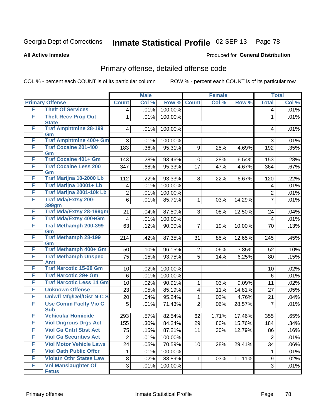**All Active Inmates**

## Produced for **General Distribution**

## Primary offense, detailed offense code

|   |                                            |                         | <b>Male</b> |         |                         | <b>Female</b> |        |                | <b>Total</b> |
|---|--------------------------------------------|-------------------------|-------------|---------|-------------------------|---------------|--------|----------------|--------------|
|   | <b>Primary Offense</b>                     | <b>Count</b>            | Col %       | Row %   | <b>Count</b>            | Col %         | Row %  | <b>Total</b>   | Col %        |
| F | <b>Theft Of Services</b>                   | 4                       | .01%        | 100.00% |                         |               |        | 4              | .01%         |
| F | <b>Theft Recv Prop Out</b><br><b>State</b> | 1                       | .01%        | 100.00% |                         |               |        | $\mathbf{1}$   | .01%         |
| F | <b>Traf Amphtmine 28-199</b><br>Gm         | 4                       | .01%        | 100.00% |                         |               |        | 4              | .01%         |
| F | Traf Amphtmine 400+ Gm                     | 3                       | .01%        | 100.00% |                         |               |        | 3              | .01%         |
| F | <b>Traf Cocaine 201-400</b><br>Gm          | 183                     | .36%        | 95.31%  | 9                       | .25%          | 4.69%  | 192            | .35%         |
| F | <b>Traf Cocaine 401+ Gm</b>                | 143                     | .28%        | 93.46%  | 10                      | .28%          | 6.54%  | 153            | .28%         |
| F | <b>Traf Cocaine Less 200</b><br>Gm         | 347                     | .68%        | 95.33%  | 17                      | .47%          | 4.67%  | 364            | .67%         |
| F | Traf Marijna 10-2000 Lb                    | 112                     | .22%        | 93.33%  | 8                       | .22%          | 6.67%  | 120            | .22%         |
| F | Traf Marijna 10001+ Lb                     | 4                       | .01%        | 100.00% |                         |               |        | 4              | .01%         |
| F | Traf Marijna 2001-10k Lb                   | $\overline{\mathbf{c}}$ | .01%        | 100.00% |                         |               |        | $\overline{c}$ | .01%         |
| F | <b>Traf Mda/Extsy 200-</b><br>399gm        | $\,6$                   | .01%        | 85.71%  | $\mathbf{1}$            | .03%          | 14.29% | $\overline{7}$ | .01%         |
| F | <b>Traf Mda/Extsy 28-199gm</b>             | 21                      | .04%        | 87.50%  | 3                       | .08%          | 12.50% | 24             | .04%         |
| F | Traf Mda/Extsy 400+Gm                      | $\overline{4}$          | .01%        | 100.00% |                         |               |        | 4              | .01%         |
| F | <b>Traf Methamph 200-399</b><br>Gm         | 63                      | .12%        | 90.00%  | $\overline{7}$          | .19%          | 10.00% | 70             | .13%         |
| F | <b>Traf Methamph 28-199</b><br>Gm          | 214                     | .42%        | 87.35%  | 31                      | .85%          | 12.65% | 245            | .45%         |
| F | Traf Methamph 400+ Gm                      | 50                      | .10%        | 96.15%  | $\overline{2}$          | .06%          | 3.85%  | 52             | .10%         |
| F | <b>Traf Methamph Unspec</b><br>Amt         | 75                      | .15%        | 93.75%  | $\overline{5}$          | .14%          | 6.25%  | 80             | .15%         |
| F | <b>Traf Narcotic 15-28 Gm</b>              | 10                      | .02%        | 100.00% |                         |               |        | 10             | .02%         |
| F | <b>Traf Narcotic 29+ Gm</b>                | 6                       | .01%        | 100.00% |                         |               |        | 6              | .01%         |
| F | <b>Traf Narcotic Less 14 Gm</b>            | 10                      | .02%        | 90.91%  | $\mathbf{1}$            | .03%          | 9.09%  | 11             | .02%         |
| F | <b>Unknown Offense</b>                     | 23                      | .05%        | 85.19%  | $\overline{\mathbf{4}}$ | .11%          | 14.81% | 27             | .05%         |
| F | <b>Uniwfl Mfg/Del/Dist N-C S</b>           | 20                      | .04%        | 95.24%  | $\mathbf{1}$            | .03%          | 4.76%  | 21             | .04%         |
| F | <b>Use Comm Facity Vio C</b><br><b>Sub</b> | 5                       | .01%        | 71.43%  | $\overline{2}$          | .06%          | 28.57% | $\overline{7}$ | .01%         |
| F | <b>Vehicular Homicide</b>                  | 293                     | .57%        | 82.54%  | 62                      | 1.71%         | 17.46% | 355            | .65%         |
| F | <b>Viol Dngrous Drgs Act</b>               | 155                     | .30%        | 84.24%  | 29                      | .80%          | 15.76% | 184            | .34%         |
| F | <b>Viol Ga Cntrl Sbst Act</b>              | 75                      | .15%        | 87.21%  | 11                      | .30%          | 12.79% | 86             | .16%         |
| F | <b>Viol Ga Securities Act</b>              | $\overline{2}$          | .01%        | 100.00% |                         |               |        | $\overline{2}$ | .01%         |
| F | <b>Viol Motor Vehicle Laws</b>             | 24                      | .05%        | 70.59%  | 10                      | .28%          | 29.41% | 34             | .06%         |
| F | <b>Viol Oath Public Offcr</b>              | 1                       | .01%        | 100.00% |                         |               |        | 1              | .01%         |
| F | <b>Violatn Othr States Law</b>             | 8                       | .02%        | 88.89%  | $\mathbf{1}$            | .03%          | 11.11% | 9              | .02%         |
| F | <b>Vol Manslaughter Of</b><br><b>Fetus</b> | 3                       | .01%        | 100.00% |                         |               |        | 3              | .01%         |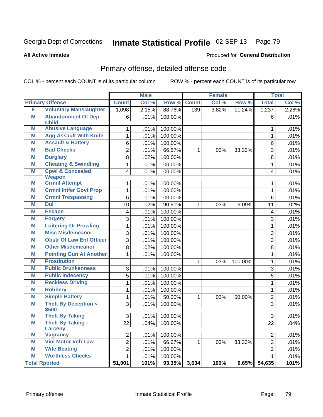**All Active Inmates**

## Produced for **General Distribution**

# Primary offense, detailed offense code

|   |                                           |                | <b>Male</b> |         |              | <b>Female</b> |         |                         | <b>Total</b> |
|---|-------------------------------------------|----------------|-------------|---------|--------------|---------------|---------|-------------------------|--------------|
|   | <b>Primary Offense</b>                    | <b>Count</b>   | Col %       | Row %   | <b>Count</b> | Col %         | Row %   | <b>Total</b>            | Col %        |
| F | <b>Voluntary Manslaughter</b>             | 1,098          | 2.15%       | 88.76%  | 139          | 3.82%         | 11.24%  | 1,237                   | 2.26%        |
| M | <b>Abandonment Of Dep</b><br><b>Child</b> | 6              | .01%        | 100.00% |              |               |         | 6                       | .01%         |
| M | <b>Abusive Language</b>                   | $\mathbf{1}$   | .01%        | 100.00% |              |               |         | 1                       | .01%         |
| M | <b>Agg Assault With Knife</b>             | $\mathbf{1}$   | .01%        | 100.00% |              |               |         | $\mathbf{1}$            | .01%         |
| M | <b>Assault &amp; Battery</b>              | 6              | .01%        | 100.00% |              |               |         | $6\phantom{1}$          | .01%         |
| M | <b>Bad Checks</b>                         | $\overline{2}$ | .01%        | 66.67%  | $\mathbf 1$  | .03%          | 33.33%  | 3                       | .01%         |
| M | <b>Burglary</b>                           | 8              | .02%        | 100.00% |              |               |         | 8                       | .01%         |
| M | <b>Cheating &amp; Swindling</b>           | $\mathbf{1}$   | .01%        | 100.00% |              |               |         | $\mathbf{1}$            | .01%         |
| M | <b>Cpwl &amp; Concealed</b>               | 4              | .01%        | 100.00% |              |               |         | 4                       | .01%         |
|   | <b>Weapon</b>                             |                |             |         |              |               |         |                         |              |
| M | <b>Crmnl Attempt</b>                      | $\mathbf{1}$   | .01%        | 100.00% |              |               |         | 1                       | .01%         |
| M | <b>Crmnl Intfer Govt Prop</b>             | $\overline{1}$ | .01%        | 100.00% |              |               |         | $\mathbf{1}$            | .01%         |
| M | <b>Crmnl Trespassing</b><br><b>Dui</b>    | 6              | .01%        | 100.00% |              |               |         | $\overline{6}$          | .01%         |
| M |                                           | 10             | .02%        | 90.91%  | $\mathbf{1}$ | .03%          | 9.09%   | 11                      | .02%         |
| M | <b>Escape</b>                             | 4              | .01%        | 100.00% |              |               |         | $\overline{\mathbf{4}}$ | .01%         |
| M | <b>Forgery</b>                            | $\overline{3}$ | .01%        | 100.00% |              |               |         | $\overline{3}$          | .01%         |
| M | <b>Loitering Or Prowling</b>              | $\mathbf 1$    | .01%        | 100.00% |              |               |         | $\mathbf{1}$            | .01%         |
| M | <b>Misc Misdemeanor</b>                   | 3              | .01%        | 100.00% |              |               |         | 3                       | .01%         |
| M | <b>Obstr Of Law Enf Officer</b>           | 3              | .01%        | 100.00% |              |               |         | 3                       | .01%         |
| M | <b>Other Misdemeanor</b>                  | 8              | .02%        | 100.00% |              |               |         | 8                       | .01%         |
| M | <b>Pointing Gun At Another</b>            | $\mathbf{1}$   | .01%        | 100.00% |              |               |         | $\mathbf{1}$            | .01%         |
| M | <b>Prostitution</b>                       |                |             |         | $\mathbf{1}$ | .03%          | 100.00% | $\mathbf{1}$            | .01%         |
| M | <b>Public Drunkenness</b>                 | 3              | .01%        | 100.00% |              |               |         | $\overline{3}$          | .01%         |
| M | <b>Public Indecency</b>                   | $\overline{5}$ | .01%        | 100.00% |              |               |         | $\overline{5}$          | .01%         |
| M | <b>Reckless Driving</b>                   | $\overline{1}$ | .01%        | 100.00% |              |               |         | $\overline{1}$          | .01%         |
| M | <b>Robbery</b>                            | $\mathbf 1$    | .01%        | 100.00% |              |               |         | $\mathbf{1}$            | .01%         |
| M | <b>Simple Battery</b>                     | $\mathbf{1}$   | .01%        | 50.00%  | $\mathbf{1}$ | .03%          | 50.00%  | $\overline{2}$          | .01%         |
| M | <b>Theft By Deception &lt;</b>            | 3              | .01%        | 100.00% |              |               |         | 3                       | .01%         |
| M | \$500<br><b>Theft By Taking</b>           | $\overline{3}$ | .01%        | 100.00% |              |               |         | $\overline{3}$          | .01%         |
| M | <b>Theft By Taking -</b>                  | 22             | .04%        | 100.00% |              |               |         | 22                      | .04%         |
|   | <b>Larceny</b>                            |                |             |         |              |               |         |                         |              |
| M | <b>Vagrancy</b>                           | $\overline{c}$ | .01%        | 100.00% |              |               |         | $\overline{2}$          | .01%         |
| M | <b>Viol Motor Veh Law</b>                 | $\overline{2}$ | .01%        | 66.67%  | $\mathbf{1}$ | .03%          | 33.33%  | $\overline{3}$          | .01%         |
| Μ | <b>Wife Beating</b>                       | $\overline{2}$ | .01%        | 100.00% |              |               |         | $\overline{2}$          | .01%         |
| M | <b>Worthless Checks</b>                   | 1              | .01%        | 100.00% |              |               |         | 1                       | .01%         |
|   | <b>Total Rported</b>                      | 51,001         | 101%        | 93.35%  | 3,634        | 100%          | 6.65%   | 54,635                  | 101%         |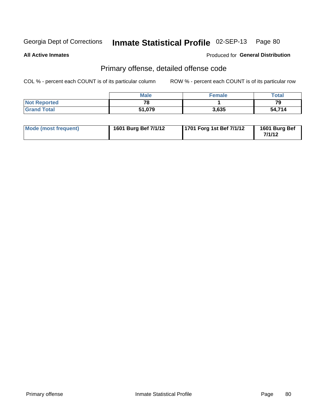**All Active Inmates**

Produced for **General Distribution**

# Primary offense, detailed offense code

|                     | <b>Male</b> | <b>Female</b> | <b>Total</b> |
|---------------------|-------------|---------------|--------------|
| <b>Not Reported</b> | 70          |               | 79           |
| <b>Grand Total</b>  | 51,079      | 3,635         | 54,714       |

| Mode (most frequent) | 1601 Burg Bef 7/1/12 | 1701 Forg 1st Bef 7/1/12 | 1601 Burg Bef<br>7/1/12 |
|----------------------|----------------------|--------------------------|-------------------------|
|----------------------|----------------------|--------------------------|-------------------------|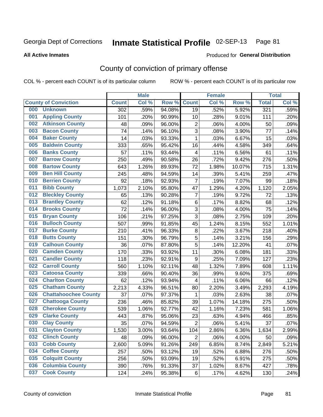## **All Active Inmates**

## Produced for **General Distribution**

# County of conviction of primary offense

|                                    |              | <b>Male</b> |        |                  | <b>Female</b> |        |              | <b>Total</b> |
|------------------------------------|--------------|-------------|--------|------------------|---------------|--------|--------------|--------------|
| <b>County of Conviction</b>        | <b>Count</b> | Col %       | Row %  | <b>Count</b>     | Col %         | Row %  | <b>Total</b> | Col %        |
| <b>Unknown</b><br>000              | 302          | .59%        | 94.08% | 19               | .52%          | 5.92%  | 321          | .59%         |
| <b>Appling County</b><br>001       | 101          | .20%        | 90.99% | 10               | .28%          | 9.01%  | 111          | .20%         |
| <b>Atkinson County</b><br>002      | 48           | .09%        | 96.00% | $\overline{2}$   | .06%          | 4.00%  | 50           | .09%         |
| <b>Bacon County</b><br>003         | 74           | .14%        | 96.10% | $\overline{3}$   | .08%          | 3.90%  | 77           | .14%         |
| <b>Baker County</b><br>004         | 14           | .03%        | 93.33% | $\mathbf{1}$     | .03%          | 6.67%  | 15           | .03%         |
| <b>Baldwin County</b><br>005       | 333          | .65%        | 95.42% | 16               | .44%          | 4.58%  | 349          | .64%         |
| <b>Banks County</b><br>006         | 57           | .11%        | 93.44% | 4                | .11%          | 6.56%  | 61           | .11%         |
| <b>Barrow County</b><br>007        | 250          | .49%        | 90.58% | 26               | .72%          | 9.42%  | 276          | .50%         |
| <b>Bartow County</b><br>008        | 643          | 1.26%       | 89.93% | 72               | 1.98%         | 10.07% | 715          | 1.31%        |
| <b>Ben Hill County</b><br>009      | 245          | .48%        | 94.59% | 14               | .39%          | 5.41%  | 259          | .47%         |
| <b>Berrien County</b><br>010       | 92           | .18%        | 92.93% | $\overline{7}$   | .19%          | 7.07%  | 99           | .18%         |
| <b>Bibb County</b><br>011          | 1,073        | 2.10%       | 95.80% | 47               | 1.29%         | 4.20%  | 1,120        | 2.05%        |
| <b>Bleckley County</b><br>012      | 65           | .13%        | 90.28% | $\overline{7}$   | .19%          | 9.72%  | 72           | .13%         |
| 013<br><b>Brantley County</b>      | 62           | .12%        | 91.18% | 6                | .17%          | 8.82%  | 68           | .12%         |
| <b>Brooks County</b><br>014        | 72           | .14%        | 96.00% | 3                | .08%          | 4.00%  | 75           | .14%         |
| <b>Bryan County</b><br>015         | 106          | .21%        | 97.25% | 3                | .08%          | 2.75%  | 109          | .20%         |
| <b>Bulloch County</b><br>016       | 507          | .99%        | 91.85% | 45               | 1.24%         | 8.15%  | 552          | 1.01%        |
| <b>Burke County</b><br>017         | 210          | .41%        | 96.33% | 8                | .22%          | 3.67%  | 218          | .40%         |
| <b>Butts County</b><br>018         | 151          | .30%        | 96.79% | $\overline{5}$   | .14%          | 3.21%  | 156          | .29%         |
| <b>Calhoun County</b><br>019       | 36           | .07%        | 87.80% | 5                | .14%          | 12.20% | 41           | .07%         |
| <b>Camden County</b><br>020        | 170          | .33%        | 93.92% | 11               | .30%          | 6.08%  | 181          | .33%         |
| <b>Candler County</b><br>021       | 118          | .23%        | 92.91% | $\boldsymbol{9}$ | .25%          | 7.09%  | 127          | .23%         |
| <b>Carroll County</b><br>022       | 560          | 1.10%       | 92.11% | 48               | 1.32%         | 7.89%  | 608          | 1.11%        |
| <b>Catoosa County</b><br>023       | 339          | .66%        | 90.40% | 36               | .99%          | 9.60%  | 375          | .69%         |
| <b>Charlton County</b><br>024      | 62           | .12%        | 93.94% | 4                | .11%          | 6.06%  | 66           | .12%         |
| 025<br><b>Chatham County</b>       | 2,213        | 4.33%       | 96.51% | 80               | 2.20%         | 3.49%  | 2,293        | 4.19%        |
| <b>Chattahoochee County</b><br>026 | 37           | .07%        | 97.37% | 1                | .03%          | 2.63%  | 38           | .07%         |
| <b>Chattooga County</b><br>027     | 236          | .46%        | 85.82% | 39               | 1.07%         | 14.18% | 275          | .50%         |
| <b>Cherokee County</b><br>028      | 539          | 1.06%       | 92.77% | 42               | 1.16%         | 7.23%  | 581          | 1.06%        |
| <b>Clarke County</b><br>029        | 443          | .87%        | 95.06% | 23               | .63%          | 4.94%  | 466          | .85%         |
| <b>Clay County</b><br>030          | 35           | .07%        | 94.59% | $\sqrt{2}$       | .06%          | 5.41%  | 37           | .07%         |
| 031<br><b>Clayton County</b>       | 1,530        | 3.00%       | 93.64% | 104              | 2.86%         | 6.36%  | 1,634        | 2.99%        |
| <b>Clinch County</b><br>032        | 48           | .09%        | 96.00% | $\overline{2}$   | .06%          | 4.00%  | 50           | .09%         |
| <b>Cobb County</b><br>033          | 2,600        | 5.09%       | 91.26% | 249              | 6.85%         | 8.74%  | 2,849        | 5.21%        |
| <b>Coffee County</b><br>034        | 257          | .50%        | 93.12% | 19               | .52%          | 6.88%  | 276          | .50%         |
| <b>Colquitt County</b><br>035      | 256          | .50%        | 93.09% | 19               | .52%          | 6.91%  | 275          | .50%         |
| <b>Columbia County</b><br>036      | 390          | .76%        | 91.33% | 37               | 1.02%         | 8.67%  | 427          | .78%         |
| <b>Cook County</b><br>037          | 124          | .24%        | 95.38% | 6                | .17%          | 4.62%  | 130          | .24%         |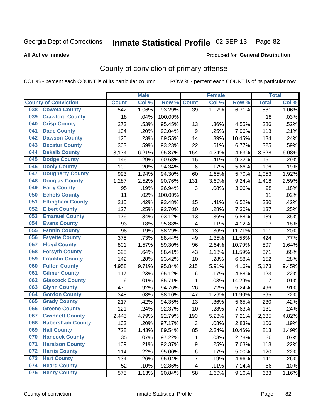Produced for **General Distribution**

## **All Active Inmates**

# County of conviction of primary offense

|     |                             |              | <b>Male</b> |         |                         | <b>Female</b> |        |                | <b>Total</b> |
|-----|-----------------------------|--------------|-------------|---------|-------------------------|---------------|--------|----------------|--------------|
|     | <b>County of Conviction</b> | <b>Count</b> | Col %       | Row %   | <b>Count</b>            | Col %         | Row %  | <b>Total</b>   | Col %        |
| 038 | <b>Coweta County</b>        | 542          | 1.06%       | 93.29%  | 39                      | 1.07%         | 6.71%  | 581            | 1.06%        |
| 039 | <b>Crawford County</b>      | 18           | .04%        | 100.00% |                         |               |        | 18             | .03%         |
| 040 | <b>Crisp County</b>         | 273          | .53%        | 95.45%  | 13                      | .36%          | 4.55%  | 286            | .52%         |
| 041 | <b>Dade County</b>          | 104          | .20%        | 92.04%  | $\boldsymbol{9}$        | .25%          | 7.96%  | 113            | .21%         |
| 042 | <b>Dawson County</b>        | 120          | .23%        | 89.55%  | 14                      | .39%          | 10.45% | 134            | .24%         |
| 043 | <b>Decatur County</b>       | 303          | .59%        | 93.23%  | 22                      | .61%          | 6.77%  | 325            | .59%         |
| 044 | <b>Dekalb County</b>        | 3,174        | 6.21%       | 95.37%  | 154                     | 4.24%         | 4.63%  | 3,328          | 6.08%        |
| 045 | <b>Dodge County</b>         | 146          | .29%        | 90.68%  | 15                      | .41%          | 9.32%  | 161            | .29%         |
| 046 | <b>Dooly County</b>         | 100          | .20%        | 94.34%  | $6\phantom{1}$          | .17%          | 5.66%  | 106            | .19%         |
| 047 | <b>Dougherty County</b>     | 993          | 1.94%       | 94.30%  | 60                      | 1.65%         | 5.70%  | 1,053          | 1.92%        |
| 048 | <b>Douglas County</b>       | 1,287        | 2.52%       | 90.76%  | 131                     | 3.60%         | 9.24%  | 1,418          | 2.59%        |
| 049 | <b>Early County</b>         | 95           | .19%        | 96.94%  | 3                       | .08%          | 3.06%  | 98             | .18%         |
| 050 | <b>Echols County</b>        | 11           | .02%        | 100.00% |                         |               |        | 11             | .02%         |
| 051 | <b>Effingham County</b>     | 215          | .42%        | 93.48%  | 15                      | .41%          | 6.52%  | 230            | .42%         |
| 052 | <b>Elbert County</b>        | 127          | .25%        | 92.70%  | 10                      | .28%          | 7.30%  | 137            | .25%         |
| 053 | <b>Emanuel County</b>       | 176          | .34%        | 93.12%  | 13                      | .36%          | 6.88%  | 189            | .35%         |
| 054 | <b>Evans County</b>         | 93           | .18%        | 95.88%  | $\overline{\mathbf{4}}$ | .11%          | 4.12%  | 97             | .18%         |
| 055 | <b>Fannin County</b>        | 98           | .19%        | 88.29%  | 13                      | .36%          | 11.71% | 111            | .20%         |
| 056 | <b>Fayette County</b>       | 375          | .73%        | 88.44%  | 49                      | 1.35%         | 11.56% | 424            | .77%         |
| 057 | <b>Floyd County</b>         | 801          | 1.57%       | 89.30%  | 96                      | 2.64%         | 10.70% | 897            | 1.64%        |
| 058 | <b>Forsyth County</b>       | 328          | .64%        | 88.41%  | 43                      | 1.18%         | 11.59% | 371            | .68%         |
| 059 | <b>Franklin County</b>      | 142          | .28%        | 93.42%  | 10                      | .28%          | 6.58%  | 152            | .28%         |
| 060 | <b>Fulton County</b>        | 4,958        | 9.71%       | 95.84%  | 215                     | 5.91%         | 4.16%  | 5,173          | 9.45%        |
| 061 | <b>Gilmer County</b>        | 117          | .23%        | 95.12%  | $\,6\,$                 | .17%          | 4.88%  | 123            | .22%         |
| 062 | <b>Glascock County</b>      | $\,6$        | .01%        | 85.71%  | $\mathbf{1}$            | .03%          | 14.29% | $\overline{7}$ | .01%         |
| 063 | <b>Glynn County</b>         | 470          | .92%        | 94.76%  | 26                      | .72%          | 5.24%  | 496            | .91%         |
| 064 | <b>Gordon County</b>        | 348          | .68%        | 88.10%  | 47                      | 1.29%         | 11.90% | 395            | .72%         |
| 065 | <b>Grady County</b>         | 217          | .42%        | 94.35%  | 13                      | .36%          | 5.65%  | 230            | .42%         |
| 066 | <b>Greene County</b>        | 121          | .24%        | 92.37%  | 10                      | .28%          | 7.63%  | 131            | .24%         |
| 067 | <b>Gwinnett County</b>      | 2,445        | 4.79%       | 92.79%  | 190                     | 5.23%         | 7.21%  | 2,635          | 4.82%        |
| 068 | <b>Habersham County</b>     | 103          | .20%        | 97.17%  | 3                       | .08%          | 2.83%  | 106            | .19%         |
| 069 | <b>Hall County</b>          | 728          | 1.43%       | 89.54%  | 85                      | 2.34%         | 10.46% | 813            | 1.49%        |
| 070 | <b>Hancock County</b>       | 35           | .07%        | 97.22%  | $\mathbf 1$             | .03%          | 2.78%  | 36             | .07%         |
| 071 | <b>Haralson County</b>      | 109          | .21%        | 92.37%  | 9                       | .25%          | 7.63%  | 118            | .22%         |
| 072 | <b>Harris County</b>        | 114          | .22%        | 95.00%  | $\,6\,$                 | .17%          | 5.00%  | 120            | .22%         |
| 073 | <b>Hart County</b>          | 134          | .26%        | 95.04%  | $\overline{7}$          | .19%          | 4.96%  | 141            | .26%         |
| 074 | <b>Heard County</b>         | 52           | .10%        | 92.86%  | $\overline{4}$          | .11%          | 7.14%  | 56             | .10%         |
| 075 | <b>Henry County</b>         | 575          | 1.13%       | 90.84%  | 58                      | 1.60%         | 9.16%  | 633            | 1.16%        |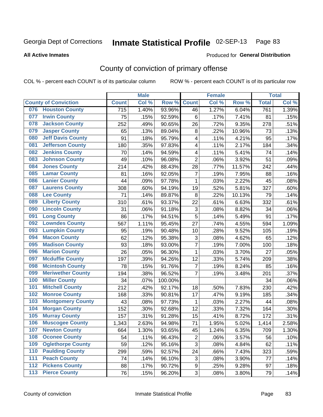Produced for **General Distribution**

## **All Active Inmates**

## County of conviction of primary offense

|                             |                          |              | <b>Male</b> |         |                           | <b>Female</b> |        |              | <b>Total</b> |
|-----------------------------|--------------------------|--------------|-------------|---------|---------------------------|---------------|--------|--------------|--------------|
| <b>County of Conviction</b> |                          | <b>Count</b> | Col %       | Row %   | <b>Count</b>              | Col %         | Row %  | <b>Total</b> | Col %        |
|                             | 076 Houston County       | 715          | 1.40%       | 93.96%  | 46                        | 1.27%         | 6.04%  | 761          | 1.39%        |
| 077                         | <b>Irwin County</b>      | 75           | .15%        | 92.59%  | 6                         | .17%          | 7.41%  | 81           | .15%         |
| 078                         | <b>Jackson County</b>    | 252          | .49%        | 90.65%  | 26                        | .72%          | 9.35%  | 278          | .51%         |
| 079                         | <b>Jasper County</b>     | 65           | .13%        | 89.04%  | 8                         | .22%          | 10.96% | 73           | .13%         |
| 080                         | <b>Jeff Davis County</b> | 91           | .18%        | 95.79%  | 4                         | .11%          | 4.21%  | 95           | .17%         |
| 081                         | <b>Jefferson County</b>  | 180          | .35%        | 97.83%  | 4                         | .11%          | 2.17%  | 184          | .34%         |
| 082                         | <b>Jenkins County</b>    | 70           | .14%        | 94.59%  | 4                         | .11%          | 5.41%  | 74           | .14%         |
| 083                         | <b>Johnson County</b>    | 49           | .10%        | 96.08%  | $\overline{2}$            | .06%          | 3.92%  | 51           | .09%         |
| 084                         | <b>Jones County</b>      | 214          | .42%        | 88.43%  | 28                        | .77%          | 11.57% | 242          | .44%         |
| 085                         | <b>Lamar County</b>      | 81           | .16%        | 92.05%  | $\overline{7}$            | .19%          | 7.95%  | 88           | .16%         |
| 086                         | <b>Lanier County</b>     | 44           | .09%        | 97.78%  | 1                         | .03%          | 2.22%  | 45           | .08%         |
| 087                         | <b>Laurens County</b>    | 308          | .60%        | 94.19%  | 19                        | .52%          | 5.81%  | 327          | .60%         |
| 088                         | <b>Lee County</b>        | 71           | .14%        | 89.87%  | 8                         | .22%          | 10.13% | 79           | .14%         |
| 089                         | <b>Liberty County</b>    | 310          | .61%        | 93.37%  | 22                        | .61%          | 6.63%  | 332          | .61%         |
| 090                         | <b>Lincoln County</b>    | 31           | .06%        | 91.18%  | $\ensuremath{\mathsf{3}}$ | .08%          | 8.82%  | 34           | .06%         |
| 091                         | <b>Long County</b>       | 86           | .17%        | 94.51%  | 5                         | .14%          | 5.49%  | 91           | .17%         |
| 092                         | <b>Lowndes County</b>    | 567          | 1.11%       | 95.45%  | 27                        | .74%          | 4.55%  | 594          | 1.09%        |
| 093                         | <b>Lumpkin County</b>    | 95           | .19%        | 90.48%  | 10                        | .28%          | 9.52%  | 105          | .19%         |
| 094                         | <b>Macon County</b>      | 62           | .12%        | 95.38%  | 3                         | .08%          | 4.62%  | 65           | .12%         |
| 095                         | <b>Madison County</b>    | 93           | .18%        | 93.00%  | $\overline{7}$            | .19%          | 7.00%  | 100          | .18%         |
| 096                         | <b>Marion County</b>     | 26           | .05%        | 96.30%  | $\mathbf{1}$              | .03%          | 3.70%  | 27           | .05%         |
| 097                         | <b>Mcduffie County</b>   | 197          | .39%        | 94.26%  | 12                        | .33%          | 5.74%  | 209          | .38%         |
| 098                         | <b>Mcintosh County</b>   | 78           | .15%        | 91.76%  | $\overline{7}$            | .19%          | 8.24%  | 85           | .16%         |
| 099                         | <b>Meriwether County</b> | 194          | .38%        | 96.52%  | $\overline{7}$            | .19%          | 3.48%  | 201          | .37%         |
| 100                         | <b>Miller County</b>     | 34           | .07%        | 100.00% |                           |               |        | 34           | .06%         |
| 101                         | <b>Mitchell County</b>   | 212          | .42%        | 92.17%  | 18                        | .50%          | 7.83%  | 230          | .42%         |
| 102                         | <b>Monroe County</b>     | 168          | .33%        | 90.81%  | 17                        | .47%          | 9.19%  | 185          | .34%         |
| 103                         | <b>Montgomery County</b> | 43           | .08%        | 97.73%  | $\mathbf{1}$              | .03%          | 2.27%  | 44           | .08%         |
| 104                         | <b>Morgan County</b>     | 152          | .30%        | 92.68%  | 12                        | .33%          | 7.32%  | 164          | .30%         |
| 105                         | <b>Murray County</b>     | 157          | .31%        | 91.28%  | 15                        | .41%          | 8.72%  | 172          | .31%         |
| 106                         | <b>Muscogee County</b>   | 1,343        | 2.63%       | 94.98%  | 71                        | 1.95%         | 5.02%  | 1,414        | 2.58%        |
| 107                         | <b>Newton County</b>     | 664          | 1.30%       | 93.65%  | 45                        | 1.24%         | 6.35%  | 709          | 1.30%        |
| 108                         | <b>Oconee County</b>     | 54           | .11%        | 96.43%  | 2                         | .06%          | 3.57%  | 56           | .10%         |
| 109                         | <b>Oglethorpe County</b> | 59           | .12%        | 95.16%  | 3                         | .08%          | 4.84%  | 62           | .11%         |
| 110                         | <b>Paulding County</b>   | 299          | .59%        | 92.57%  | 24                        | .66%          | 7.43%  | 323          | .59%         |
| 111                         | <b>Peach County</b>      | 74           | .14%        | 96.10%  | 3                         | .08%          | 3.90%  | 77           | .14%         |
| $\overline{112}$            | <b>Pickens County</b>    | 88           | .17%        | 90.72%  | 9                         | .25%          | 9.28%  | 97           | .18%         |
| 113                         | <b>Pierce County</b>     | 76           | .15%        | 96.20%  | 3                         | .08%          | 3.80%  | 79           | .14%         |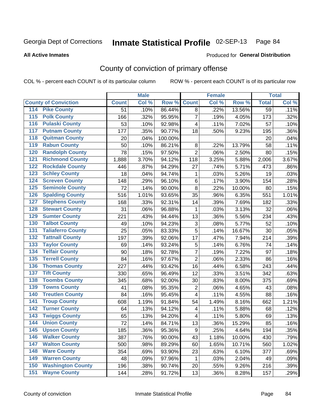**All Active Inmates**

## Produced for **General Distribution**

# County of conviction of primary offense

|                                        |              | <b>Male</b> |         |                         | <b>Female</b> |          |                 | <b>Total</b> |
|----------------------------------------|--------------|-------------|---------|-------------------------|---------------|----------|-----------------|--------------|
| <b>County of Conviction</b>            | <b>Count</b> | Col %       | Row %   | <b>Count</b>            | Col %         | Row %    | <b>Total</b>    | Col %        |
| <b>Pike County</b><br>114              | 51           | .10%        | 86.44%  | 8                       | .22%          | 13.56%   | $\overline{59}$ | .11%         |
| <b>Polk County</b><br>$\overline{115}$ | 166          | .32%        | 95.95%  | $\overline{7}$          | .19%          | 4.05%    | 173             | .32%         |
| <b>Pulaski County</b><br>116           | 53           | .10%        | 92.98%  | 4                       | .11%          | 7.02%    | 57              | .10%         |
| <b>Putnam County</b><br>117            | 177          | .35%        | 90.77%  | 18                      | .50%          | 9.23%    | 195             | .36%         |
| 118<br><b>Quitman County</b>           | 20           | .04%        | 100.00% |                         |               |          | 20              | .04%         |
| <b>Rabun County</b><br>119             | 50           | .10%        | 86.21%  | $\,8\,$                 | .22%          | 13.79%   | 58              | .11%         |
| <b>Randolph County</b><br>120          | 78           | .15%        | 97.50%  | $\overline{2}$          | .06%          | 2.50%    | 80              | .15%         |
| <b>Richmond County</b><br>121          | 1,888        | 3.70%       | 94.12%  | 118                     | 3.25%         | 5.88%    | 2,006           | 3.67%        |
| <b>Rockdale County</b><br>122          | 446          | .87%        | 94.29%  | 27                      | .74%          | 5.71%    | 473             | .86%         |
| <b>Schley County</b><br>123            | 18           | .04%        | 94.74%  | 1                       | .03%          | 5.26%    | 19              | .03%         |
| <b>Screven County</b><br>124           | 148          | .29%        | 96.10%  | $\,6$                   | .17%          | 3.90%    | 154             | .28%         |
| <b>Seminole County</b><br>125          | 72           | .14%        | 90.00%  | 8                       | .22%          | 10.00%   | 80              | .15%         |
| 126<br><b>Spalding County</b>          | 516          | 1.01%       | 93.65%  | 35                      | .96%          | 6.35%    | 551             | 1.01%        |
| 127<br><b>Stephens County</b>          | 168          | .33%        | 92.31%  | 14                      | .39%          | 7.69%    | 182             | .33%         |
| <b>Stewart County</b><br>128           | 31           | .06%        | 96.88%  | 1                       | .03%          | 3.13%    | 32              | .06%         |
| <b>Sumter County</b><br>129            | 221          | .43%        | 94.44%  | 13                      | .36%          | 5.56%    | 234             | .43%         |
| <b>Talbot County</b><br>130            | 49           | .10%        | 94.23%  | 3                       | .08%          | 5.77%    | 52              | .10%         |
| <b>Taliaferro County</b><br>131        | 25           | .05%        | 83.33%  | 5                       | .14%          | 16.67%   | 30              | .05%         |
| <b>Tattnall County</b><br>132          | 197          | .39%        | 92.06%  | 17                      | .47%          | 7.94%    | 214             | .39%         |
| <b>Taylor County</b><br>133            | 69           | .14%        | 93.24%  | 5                       | .14%          | 6.76%    | 74              | .14%         |
| <b>Telfair County</b><br>134           | 90           | .18%        | 92.78%  | $\overline{7}$          | .19%          | 7.22%    | 97              | .18%         |
| <b>Terrell County</b><br>135           | 84           | .16%        | 97.67%  | $\overline{2}$          | .06%          | 2.33%    | 86              | .16%         |
| <b>Thomas County</b><br>136            | 227          | .44%        | 93.42%  | 16                      | .44%          | 6.58%    | 243             | .44%         |
| <b>Tift County</b><br>137              | 330          | .65%        | 96.49%  | 12                      | .33%          | 3.51%    | 342             | .63%         |
| <b>Toombs County</b><br>138            | 345          | .68%        | 92.00%  | 30                      | .83%          | 8.00%    | 375             | .69%         |
| <b>Towns County</b><br>139             | 41           | .08%        | 95.35%  | $\overline{2}$          | .06%          | 4.65%    | 43              | .08%         |
| <b>Treutlen County</b><br>140          | 84           | .16%        | 95.45%  | 4                       | .11%          | 4.55%    | 88              | .16%         |
| <b>Troup County</b><br>141             | 608          | 1.19%       | 91.84%  | 54                      | 1.49%         | 8.16%    | 662             | 1.21%        |
| <b>Turner County</b><br>142            | 64           | .13%        | 94.12%  | $\overline{\mathbf{4}}$ | .11%          | 5.88%    | 68              | .12%         |
| <b>Twiggs County</b><br>143            | 65           | .13%        | 94.20%  | 4                       | .11%          | 5.80%    | 69              | .13%         |
| <b>Union County</b><br>144             | 72           | .14%        | 84.71%  | 13                      | .36%          | 15.29%   | 85              | .16%         |
| 145<br><b>Upson County</b>             | 185          | .36%        | 95.36%  | 9                       | .25%          | 4.64%    | 194             | .35%         |
| <b>Walker County</b><br>146            | 387          | .76%        | 90.00%  | 43                      | 1.18%         | 10.00%   | 430             | .79%         |
| <b>Walton County</b><br>147            | 500          | .98%        | 89.29%  | 60                      | 1.65%         | 10.71%   | 560             | 1.02%        |
| <b>Ware County</b><br>148              | 354          | .69%        | 93.90%  | 23                      | .63%          | 6.10%    | 377             | .69%         |
| <b>Warren County</b><br>149            | 48           | .09%        | 97.96%  | $\mathbf{1}$            | .03%          | 2.04%    | 49              | .09%         |
| <b>Washington County</b><br>150        | 196          | .38%        | 90.74%  | 20                      | .55%          | 9.26%    | 216             | .39%         |
| <b>Wayne County</b><br>151             | 144          | .28%        | 91.72%  | 13                      | .36%          | $8.28\%$ | 157             | .29%         |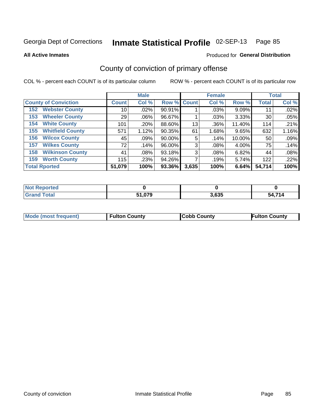Produced for **General Distribution**

## **All Active Inmates**

# County of conviction of primary offense

|                                |                    | <b>Male</b> |             |       | <b>Female</b> |        |              | <b>Total</b> |
|--------------------------------|--------------------|-------------|-------------|-------|---------------|--------|--------------|--------------|
| <b>County of Conviction</b>    | Count <sup>1</sup> | Col %       | Row % Count |       | Col %         | Row %  | <b>Total</b> | Col %        |
| <b>Webster County</b><br>152   | 10 <sub>1</sub>    | $.02\%$     | 90.91%      |       | .03%          | 9.09%  | 11           | .02%         |
| <b>Wheeler County</b><br>153   | 29                 | $.06\%$     | 96.67%      |       | .03%          | 3.33%  | 30           | .05%         |
| <b>White County</b><br>154     | 101                | .20%        | 88.60%      | 13    | .36%          | 11.40% | 114          | .21%         |
| <b>Whitfield County</b><br>155 | 571                | 1.12%       | 90.35%      | 61    | 1.68%         | 9.65%  | 632          | 1.16%        |
| <b>Wilcox County</b><br>156    | 45                 | .09%        | 90.00%      | 5     | .14%          | 10.00% | 50           | .09%         |
| <b>Wilkes County</b><br>157    | 72                 | .14%        | 96.00%      | 3     | .08%          | 4.00%  | 75           | .14%         |
| <b>Wilkinson County</b><br>158 | 41                 | $.08\%$     | 93.18%      | 3     | $.08\%$       | 6.82%  | 44           | .08%         |
| <b>Worth County</b><br>159     | 115                | .23%        | 94.26%      |       | .19%          | 5.74%  | 122          | .22%         |
| <b>Total Rported</b>           | 51,079             | 100%        | $93.36\%$   | 3,635 | 100%          | 6.64%  | 54,714       | 100%         |

| <b>Not</b><br>: Reported |        |       |              |
|--------------------------|--------|-------|--------------|
| <b>Total</b>             | 51,079 | 3,635 | - 1711<br>ьл |

| Mode (most frequent) | <b>Fulton County</b> | <b>Cobb County</b> | <b>Fulton County</b> |
|----------------------|----------------------|--------------------|----------------------|
|                      |                      |                    |                      |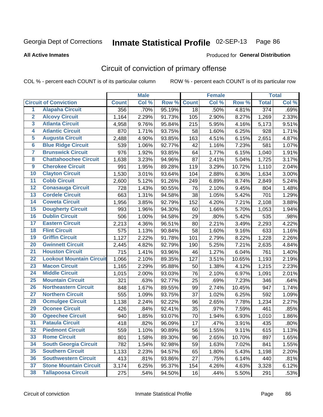Produced for **General Distribution**

## **All Active Inmates**

# Circuit of conviction of primary offense

|                         |                                 |              | <b>Male</b> |        |              | <b>Female</b> |        |                  | <b>Total</b> |
|-------------------------|---------------------------------|--------------|-------------|--------|--------------|---------------|--------|------------------|--------------|
|                         | <b>Circuit of Conviction</b>    | <b>Count</b> | Col %       | Row %  | <b>Count</b> | Col %         | Row %  | <b>Total</b>     | Col %        |
| 1                       | <b>Alapaha Circuit</b>          | 356          | .70%        | 95.19% | 18           | .50%          | 4.81%  | $\overline{374}$ | .69%         |
| $\overline{2}$          | <b>Alcovy Circuit</b>           | 1,164        | 2.29%       | 91.73% | 105          | 2.90%         | 8.27%  | 1,269            | 2.33%        |
| $\overline{\mathbf{3}}$ | <b>Atlanta Circuit</b>          | 4,958        | 9.76%       | 95.84% | 215          | 5.95%         | 4.16%  | 5,173            | 9.51%        |
| 4                       | <b>Atlantic Circuit</b>         | 870          | 1.71%       | 93.75% | 58           | 1.60%         | 6.25%  | 928              | 1.71%        |
| 5                       | <b>Augusta Circuit</b>          | 2,488        | 4.90%       | 93.85% | 163          | 4.51%         | 6.15%  | 2,651            | 4.87%        |
| $\overline{\mathbf{6}}$ | <b>Blue Ridge Circuit</b>       | 539          | 1.06%       | 92.77% | 42           | 1.16%         | 7.23%  | 581              | 1.07%        |
| $\overline{\mathbf{7}}$ | <b>Brunswick Circuit</b>        | 976          | 1.92%       | 93.85% | 64           | 1.77%         | 6.15%  | 1,040            | 1.91%        |
| 8                       | <b>Chattahoochee Circuit</b>    | 1,638        | 3.23%       | 94.96% | 87           | 2.41%         | 5.04%  | 1,725            | 3.17%        |
| $\overline{9}$          | <b>Cherokee Circuit</b>         | 991          | 1.95%       | 89.28% | 119          | 3.29%         | 10.72% | 1,110            | 2.04%        |
| 10                      | <b>Clayton Circuit</b>          | 1,530        | 3.01%       | 93.64% | 104          | 2.88%         | 6.36%  | 1,634            | 3.00%        |
| $\overline{11}$         | <b>Cobb Circuit</b>             | 2,600        | 5.12%       | 91.26% | 249          | 6.89%         | 8.74%  | 2,849            | 5.24%        |
| $\overline{12}$         | <b>Conasauga Circuit</b>        | 728          | 1.43%       | 90.55% | 76           | 2.10%         | 9.45%  | 804              | 1.48%        |
| 13                      | <b>Cordele Circuit</b>          | 663          | 1.31%       | 94.58% | 38           | 1.05%         | 5.42%  | 701              | 1.29%        |
| 14                      | <b>Coweta Circuit</b>           | 1,956        | 3.85%       | 92.79% | 152          | 4.20%         | 7.21%  | 2,108            | 3.88%        |
| 15                      | <b>Dougherty Circuit</b>        | 993          | 1.96%       | 94.30% | 60           | 1.66%         | 5.70%  | 1,053            | 1.94%        |
| 16                      | <b>Dublin Circuit</b>           | 506          | 1.00%       | 94.58% | 29           | .80%          | 5.42%  | 535              | .98%         |
| 17                      | <b>Eastern Circuit</b>          | 2,213        | 4.36%       | 96.51% | 80           | 2.21%         | 3.49%  | 2,293            | 4.22%        |
| 18                      | <b>Flint Circuit</b>            | 575          | 1.13%       | 90.84% | 58           | 1.60%         | 9.16%  | 633              | 1.16%        |
| 19                      | <b>Griffin Circuit</b>          | 1,127        | 2.22%       | 91.78% | 101          | 2.79%         | 8.22%  | 1,228            | 2.26%        |
| 20                      | <b>Gwinnett Circuit</b>         | 2,445        | 4.82%       | 92.79% | 190          | 5.25%         | 7.21%  | 2,635            | 4.84%        |
| $\overline{21}$         | <b>Houston Circuit</b>          | 715          | 1.41%       | 93.96% | 46           | 1.27%         | 6.04%  | 761              | 1.40%        |
| $\overline{22}$         | <b>Lookout Mountain Circuit</b> | 1,066        | 2.10%       | 89.35% | 127          | 3.51%         | 10.65% | 1,193            | 2.19%        |
| 23                      | <b>Macon Circuit</b>            | 1,165        | 2.29%       | 95.88% | 50           | 1.38%         | 4.12%  | 1,215            | 2.23%        |
| $\overline{24}$         | <b>Middle Circuit</b>           | 1,015        | 2.00%       | 93.03% | 76           | 2.10%         | 6.97%  | 1,091            | 2.01%        |
| 25                      | <b>Mountain Circuit</b>         | 321          | .63%        | 92.77% | 25           | .69%          | 7.23%  | 346              | .64%         |
| 26                      | <b>Northeastern Circuit</b>     | 848          | 1.67%       | 89.55% | 99           | 2.74%         | 10.45% | 947              | 1.74%        |
| $\overline{27}$         | <b>Northern Circuit</b>         | 555          | 1.09%       | 93.75% | 37           | 1.02%         | 6.25%  | 592              | 1.09%        |
| 28                      | <b>Ocmulgee Circuit</b>         | 1,138        | 2.24%       | 92.22% | 96           | 2.65%         | 7.78%  | 1,234            | 2.27%        |
| 29                      | <b>Oconee Circuit</b>           | 426          | .84%        | 92.41% | 35           | .97%          | 7.59%  | 461              | .85%         |
| 30                      | <b>Ogeechee Circuit</b>         | 940          | 1.85%       | 93.07% | 70           | 1.94%         | 6.93%  | 1,010            | 1.86%        |
| $\overline{31}$         | <b>Pataula Circuit</b>          | 418          | .82%        | 96.09% | 17           | .47%          | 3.91%  | 435              | .80%         |
| 32                      | <b>Piedmont Circuit</b>         | 559          | 1.10%       | 90.89% | 56           | 1.55%         | 9.11%  | 615              | 1.13%        |
| 33                      | <b>Rome Circuit</b>             | 801          | 1.58%       | 89.30% | 96           | 2.65%         | 10.70% | 897              | 1.65%        |
| 34                      | <b>South Georgia Circuit</b>    | 782          | 1.54%       | 92.98% | 59           | 1.63%         | 7.02%  | 841              | 1.55%        |
| 35                      | <b>Southern Circuit</b>         | 1,133        | 2.23%       | 94.57% | 65           | 1.80%         | 5.43%  | 1,198            | 2.20%        |
| 36                      | <b>Southwestern Circuit</b>     | 413          | .81%        | 93.86% | 27           | .75%          | 6.14%  | 440              | .81%         |
| 37                      | <b>Stone Mountain Circuit</b>   | 3,174        | 6.25%       | 95.37% | 154          | 4.26%         | 4.63%  | 3,328            | 6.12%        |
| 38                      | <b>Tallapoosa Circuit</b>       | 275          | .54%        | 94.50% | 16           | .44%          | 5.50%  | 291              | .53%         |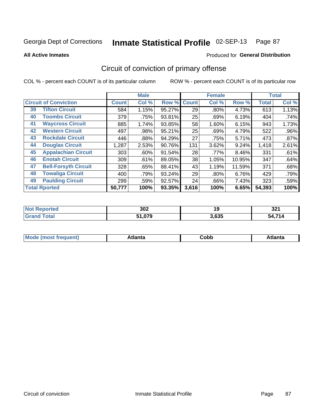Produced for **General Distribution**

## **All Active Inmates**

# Circuit of conviction of primary offense

|    |                              |              | <b>Male</b> |        |              | <b>Female</b> |          |              | <b>Total</b> |
|----|------------------------------|--------------|-------------|--------|--------------|---------------|----------|--------------|--------------|
|    | <b>Circuit of Conviction</b> | <b>Count</b> | Col %       | Row %  | <b>Count</b> | Col %         | Row %    | <b>Total</b> | Col %        |
| 39 | <b>Tifton Circuit</b>        | 584          | 1.15%       | 95.27% | 29           | $.80\%$       | 4.73%    | 613          | 1.13%        |
| 40 | <b>Toombs Circuit</b>        | 379          | .75%        | 93.81% | 25           | .69%          | 6.19%    | 404          | .74%         |
| 41 | <b>Waycross Circuit</b>      | 885          | 1.74%       | 93.85% | 58           | 1.60%         | 6.15%    | 943          | 1.73%        |
| 42 | <b>Western Circuit</b>       | 497          | .98%        | 95.21% | 25           | .69%          | 4.79%    | 522          | .96%         |
| 43 | <b>Rockdale Circuit</b>      | 446          | .88%        | 94.29% | 27           | .75%          | 5.71%    | 473          | .87%         |
| 44 | <b>Douglas Circuit</b>       | 1,287        | 2.53%       | 90.76% | 131          | 3.62%         | 9.24%    | 1,418        | 2.61%        |
| 45 | <b>Appalachian Circuit</b>   | 303          | $.60\%$     | 91.54% | 28           | .77%          | $8.46\%$ | 331          | .61%         |
| 46 | <b>Enotah Circuit</b>        | 309          | .61%        | 89.05% | 38           | 1.05%         | 10.95%   | 347          | .64%         |
| 47 | <b>Bell-Forsyth Circuit</b>  | 328          | .65%        | 88.41% | 43           | 1.19%         | 11.59%   | 371          | .68%         |
| 48 | <b>Towaliga Circuit</b>      | 400          | .79%        | 93.24% | 29           | $.80\%$       | 6.76%    | 429          | .79%         |
| 49 | <b>Paulding Circuit</b>      | 299          | .59%        | 92.57% | 24           | .66%          | 7.43%    | 323          | .59%         |
|    | <b>Total Rported</b>         | 50,777       | 100%        | 93.35% | 3,616        | 100%          | 6.65%    | 54,393       | 100%         |

| N   | 302        | 7 L   | 224        |
|-----|------------|-------|------------|
| тео |            | 19    | JZ 1       |
|     | 070<br>- - | 3,635 | 74.4<br>54 |

| M<br>- - -<br>.<br>.<br>∪opp<br>нс |
|------------------------------------|
|------------------------------------|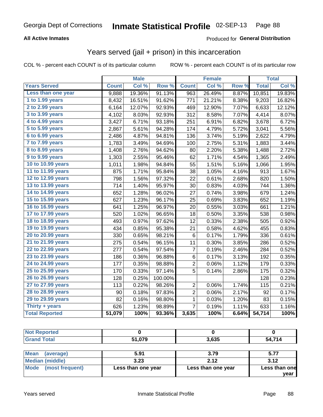## **All Active Inmates**

## Produced for **General Distribution**

## Years served (jail + prison) in this incarceration

COL % - percent each COUNT is of its particular column ROW % - percent each COUNT is of its particular row

|                        |              | <b>Male</b> |         |                 | <b>Female</b> |                  |              | <b>Total</b> |
|------------------------|--------------|-------------|---------|-----------------|---------------|------------------|--------------|--------------|
| <b>Years Served</b>    | <b>Count</b> | Col %       | Row %   | <b>Count</b>    | Col %         | Row <sup>%</sup> | <b>Total</b> | Col %        |
| Less than one year     | 9,888        | 19.36%      | 91.13%  | 963             | 26.49%        | 8.87%            | 10,851       | 19.83%       |
| 1 to 1.99 years        | 8,432        | 16.51%      | 91.62%  | 771             | 21.21%        | 8.38%            | 9,203        | 16.82%       |
| 2 to 2.99 years        | 6,164        | 12.07%      | 92.93%  | 469             | 12.90%        | 7.07%            | 6,633        | 12.12%       |
| 3 to 3.99 years        | 4,102        | 8.03%       | 92.93%  | 312             | 8.58%         | 7.07%            | 4,414        | 8.07%        |
| 4 to 4.99 years        | 3,427        | 6.71%       | 93.18%  | 251             | 6.91%         | 6.82%            | 3,678        | 6.72%        |
| 5 to 5.99 years        | 2,867        | 5.61%       | 94.28%  | 174             | 4.79%         | 5.72%            | 3,041        | 5.56%        |
| 6 to 6.99 years        | 2,486        | 4.87%       | 94.81%  | 136             | 3.74%         | 5.19%            | 2,622        | 4.79%        |
| 7 to 7.99 years        | 1,783        | 3.49%       | 94.69%  | 100             | 2.75%         | 5.31%            | 1,883        | 3.44%        |
| <b>8 to 8.99 years</b> | 1,408        | 2.76%       | 94.62%  | 80              | 2.20%         | 5.38%            | 1,488        | 2.72%        |
| 9 to 9.99 years        | 1,303        | 2.55%       | 95.46%  | 62              | 1.71%         | 4.54%            | 1,365        | 2.49%        |
| 10 to 10.99 years      | 1,011        | 1.98%       | 94.84%  | 55              | 1.51%         | 5.16%            | 1,066        | 1.95%        |
| 11 to 11.99 years      | 875          | 1.71%       | 95.84%  | 38              | 1.05%         | 4.16%            | 913          | 1.67%        |
| 12 to 12.99 years      | 798          | 1.56%       | 97.32%  | 22              | 0.61%         | 2.68%            | 820          | 1.50%        |
| 13 to 13.99 years      | 714          | 1.40%       | 95.97%  | 30              | 0.83%         | 4.03%            | 744          | 1.36%        |
| 14 to 14.99 years      | 652          | 1.28%       | 96.02%  | 27              | 0.74%         | 3.98%            | 679          | 1.24%        |
| 15 to 15.99 years      | 627          | 1.23%       | 96.17%  | 25              | 0.69%         | 3.83%            | 652          | 1.19%        |
| 16 to 16.99 years      | 641          | 1.25%       | 96.97%  | 20              | 0.55%         | 3.03%            | 661          | 1.21%        |
| 17 to 17.99 years      | 520          | 1.02%       | 96.65%  | 18              | 0.50%         | 3.35%            | 538          | 0.98%        |
| 18 to 18.99 years      | 493          | 0.97%       | 97.62%  | 12              | 0.33%         | 2.38%            | 505          | 0.92%        |
| 19 to 19.99 years      | 434          | 0.85%       | 95.38%  | 21              | 0.58%         | 4.62%            | 455          | 0.83%        |
| 20 to 20.99 years      | 330          | 0.65%       | 98.21%  | $6\phantom{1}6$ | 0.17%         | 1.79%            | 336          | 0.61%        |
| 21 to 21.99 years      | 275          | 0.54%       | 96.15%  | 11              | 0.30%         | 3.85%            | 286          | 0.52%        |
| 22 to 22.99 years      | 277          | 0.54%       | 97.54%  | 7               | 0.19%         | 2.46%            | 284          | 0.52%        |
| 23 to 23.99 years      | 186          | 0.36%       | 96.88%  | 6               | 0.17%         | 3.13%            | 192          | 0.35%        |
| 24 to 24.99 years      | 177          | 0.35%       | 98.88%  | $\overline{c}$  | 0.06%         | 1.12%            | 179          | 0.33%        |
| 25 to 25.99 years      | 170          | 0.33%       | 97.14%  | 5               | 0.14%         | 2.86%            | 175          | 0.32%        |
| 26 to 26.99 years      | 128          | 0.25%       | 100.00% |                 |               |                  | 128          | 0.23%        |
| 27 to 27.99 years      | 113          | 0.22%       | 98.26%  | $\overline{2}$  | 0.06%         | 1.74%            | 115          | 0.21%        |
| 28 to 28.99 years      | 90           | 0.18%       | 97.83%  | $\overline{2}$  | 0.06%         | 2.17%            | 92           | 0.17%        |
| 29 to 29.99 years      | 82           | 0.16%       | 98.80%  | 1               | 0.03%         | 1.20%            | 83           | 0.15%        |
| Thirty + years         | 626          | 1.23%       | 98.89%  | $\overline{7}$  | 0.19%         | 1.11%            | 633          | 1.16%        |
| <b>Total Reported</b>  | 51,079       | 100%        | 93.36%  | 3,635           | 100%          | 6.64%            | 54,714       | 100%         |

| <b>Not Reported</b>      |        |       |        |
|--------------------------|--------|-------|--------|
| <b>Grand Total</b>       | 51,079 | 3,635 | 54,714 |
|                          |        |       |        |
| <b>Mean</b><br>(average) | 5.91   | 3.79  | 5.77   |
| <b>Median (middle)</b>   | 3.23   | 2.12  | 3.12   |

| Mode (most frequent) | Less than one year | Less than one year |
|----------------------|--------------------|--------------------|
|                      |                    |                    |

**Less than one**

**year**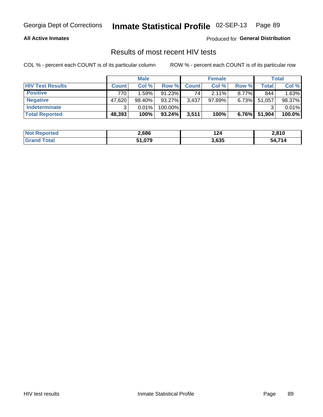## **All Active Inmates**

Produced for **General Distribution**

# Results of most recent HIV tests

|                         |              | <b>Male</b> |           |              | <b>Female</b> |          |                    | <b>Total</b> |
|-------------------------|--------------|-------------|-----------|--------------|---------------|----------|--------------------|--------------|
| <b>HIV Test Results</b> | <b>Count</b> | Col %       | Row %I    | <b>Count</b> | Col %         | Row %    | Total <sub>1</sub> | Col %        |
| <b>Positive</b>         | 770          | 1.59%       | $91.23\%$ | 74           | $2.11\%$      | $8.77\%$ | 844                | 1.63%        |
| <b>Negative</b>         | 47,620       | 98.40%      | 93.27%    | 3,437        | 97.89%        | 6.73%    | 51,057             | 98.37%       |
| <b>Indeterminate</b>    | ີ            | 0.01%       | 100.00%   |              |               |          |                    | 0.01%        |
| <b>Total Reported</b>   | 48,393       | 100%        | $93.24\%$ | 3,511        | 100%          | $6.76\%$ | 51,904             | 100.0%       |

| <b>Not Reported</b>   | 2,686  | 124   | 2.810  |
|-----------------------|--------|-------|--------|
| <b>Total</b><br>Grand | 51,079 | 3,635 | 54.714 |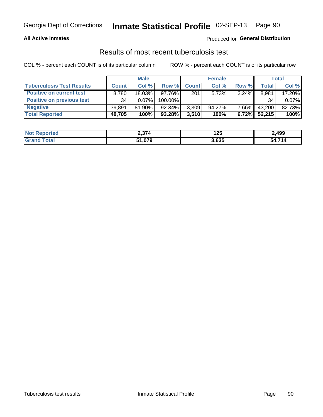## **All Active Inmates**

## Produced for **General Distribution**

## Results of most recent tuberculosis test

|                                  | <b>Male</b>  |           |           | <b>Female</b> |           |          | Total  |        |
|----------------------------------|--------------|-----------|-----------|---------------|-----------|----------|--------|--------|
| <b>Tuberculosis Test Results</b> | <b>Count</b> | Col%      | Row %     | <b>Count</b>  | Col %     | Row %    | Total  | Col %  |
| <b>Positive on current test</b>  | 8.780        | 18.03%    | $97.76\%$ | 201           | 5.73%     | 2.24%    | 8,981  | 17.20% |
| <b>Positive on previous test</b> | 34           | 0.07%     | 100.00%   |               |           |          | 34     | 0.07%  |
| <b>Negative</b>                  | 39.891       | $81.90\%$ | $92.34\%$ | 3,309         | $94.27\%$ | 7.66%    | 43,200 | 82.73% |
| <b>Total Reported</b>            | 48,705       | 100%      | $93.28\%$ | 3,510         | 100%      | $6.72\%$ | 52,215 | 100%   |

| <b>Not Reported</b> | 2,374  | l つら こうかい いちのう いちのう いちのう しゃくしゃ しんしょう りょうかい しんしょう しょうしょう しょうしょう<br>14J | 2,499        |
|---------------------|--------|-----------------------------------------------------------------------|--------------|
| Total<br>Gran       | 51,079 | 3,635                                                                 | 54 714<br>54 |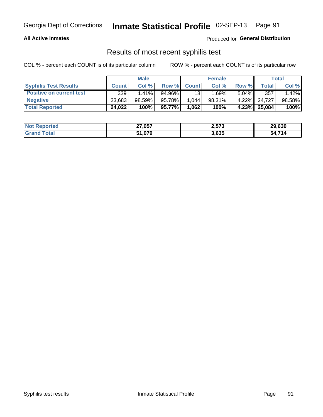## **All Active Inmates**

Produced for **General Distribution**

## Results of most recent syphilis test

|                                 | <b>Male</b>  |        |        | <b>Female</b> |        |          | Total  |        |
|---------------------------------|--------------|--------|--------|---------------|--------|----------|--------|--------|
| <b>Syphilis Test Results</b>    | <b>Count</b> | Col%   | Row %  | <b>Count</b>  | Col %  | Row %    | Total  | Col %  |
| <b>Positive on current test</b> | 339          | 1.41%  | 94.96% | 18            | 1.69%  | $5.04\%$ | 357    | 1.42%  |
| <b>Negative</b>                 | 23,683       | 98.59% | 95.78% | 1.044         | 98.31% | $4.22\%$ | 24.727 | 98.58% |
| <b>Total Reported</b>           | 24,022       | 100%   | 95.77% | 1,062         | 100%   | 4.23%    | 25,084 | 100%   |

| <b>Not Reported</b> | 27,057 | 2,573 | 29,630 |
|---------------------|--------|-------|--------|
| <b>Grand Total</b>  | 51,079 | 3,635 | 54,714 |